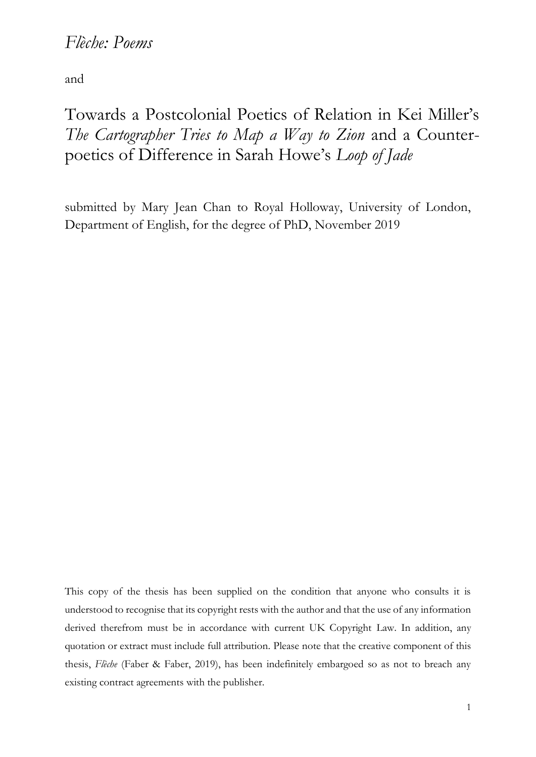# *Flèche: Poems*

and

Towards a Postcolonial Poetics of Relation in Kei Miller's *The Cartographer Tries to Map a Way to Zion* and a Counterpoetics of Difference in Sarah Howe's *Loop of Jade* 

submitted by Mary Jean Chan to Royal Holloway, University of London, Department of English, for the degree of PhD, November 2019

This copy of the thesis has been supplied on the condition that anyone who consults it is understood to recognise that its copyright rests with the author and that the use of any information derived therefrom must be in accordance with current UK Copyright Law. In addition, any quotation or extract must include full attribution. Please note that the creative component of this thesis, *Flèche* (Faber & Faber, 2019), has been indefinitely embargoed so as not to breach any existing contract agreements with the publisher.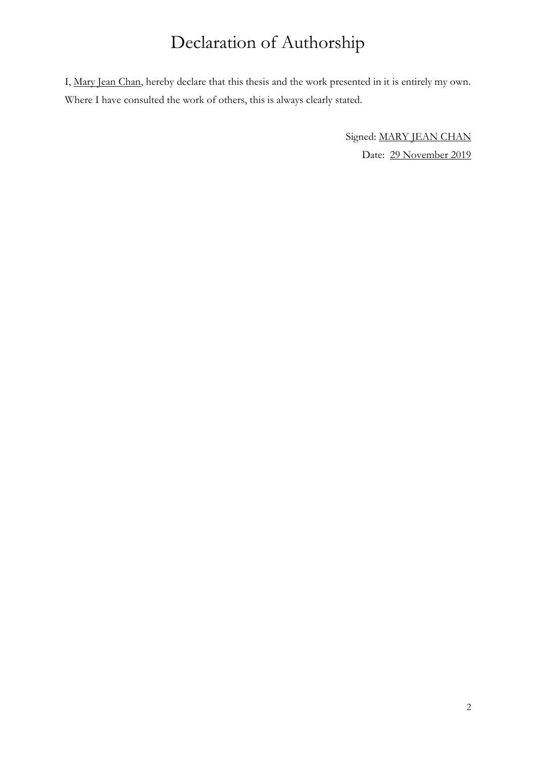# Declaration of Authorship

I, Mary Jean Chan, hereby declare that this thesis and the work presented in it is entirely my own. Where I have consulted the work of others, this is always clearly stated.

> Signed: MARY JEAN CHAN Date: 29 November 2019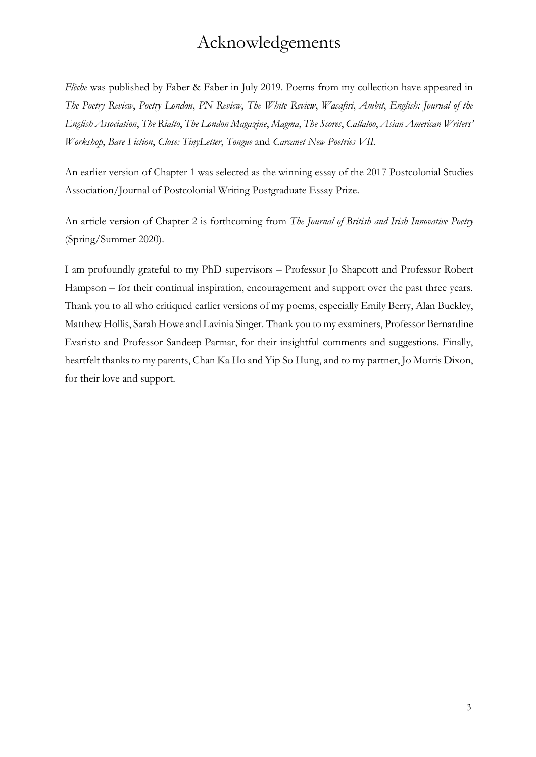# Acknowledgements

*Flèche* was published by Faber & Faber in July 2019. Poems from my collection have appeared in *The Poetry Review*, *Poetry London*, *PN Review*, *The White Review*, *Wasafiri*, *Ambit*, *English: Journal of the English Association*, *The Rialto*, *The London Magazine*, *Magma*, *The Scores*, *Callaloo*, *Asian American Writers' Workshop*, *Bare Fiction*, *Close: TinyLetter*, *Tongue* and *Carcanet New Poetries VII.*

An earlier version of Chapter 1 was selected as the winning essay of the 2017 Postcolonial Studies Association/Journal of Postcolonial Writing Postgraduate Essay Prize.

An article version of Chapter 2 is forthcoming from *The Journal of British and Irish Innovative Poetry* (Spring/Summer 2020).

I am profoundly grateful to my PhD supervisors – Professor Jo Shapcott and Professor Robert Hampson – for their continual inspiration, encouragement and support over the past three years. Thank you to all who critiqued earlier versions of my poems, especially Emily Berry, Alan Buckley, Matthew Hollis, Sarah Howe and Lavinia Singer. Thank you to my examiners, Professor Bernardine Evaristo and Professor Sandeep Parmar, for their insightful comments and suggestions. Finally, heartfelt thanks to my parents, Chan Ka Ho and Yip So Hung, and to my partner, Jo Morris Dixon, for their love and support.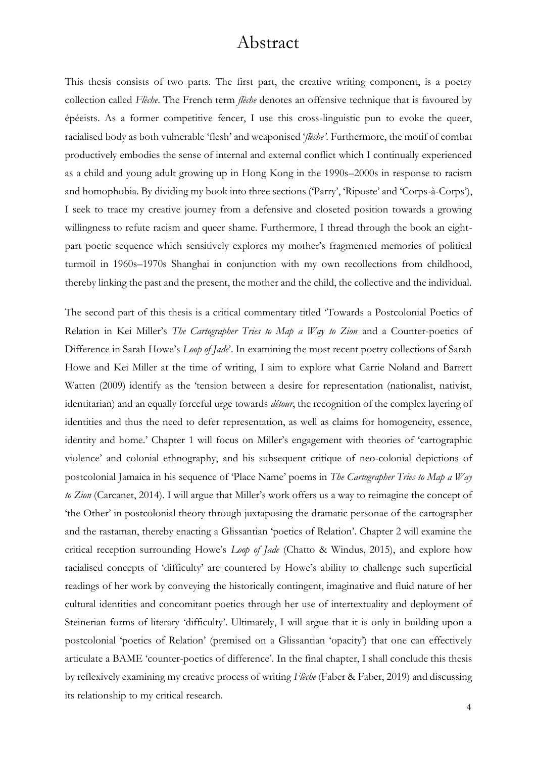# Abstract

This thesis consists of two parts. The first part, the creative writing component, is a poetry collection called *Flèche*. The French term *flèche* denotes an offensive technique that is favoured by épéeists. As a former competitive fencer, I use this cross-linguistic pun to evoke the queer, racialised body as both vulnerable 'flesh' and weaponised '*flèche'*. Furthermore, the motif of combat productively embodies the sense of internal and external conflict which I continually experienced as a child and young adult growing up in Hong Kong in the 1990s–2000s in response to racism and homophobia. By dividing my book into three sections ('Parry', 'Riposte' and 'Corps-à-Corps'), I seek to trace my creative journey from a defensive and closeted position towards a growing willingness to refute racism and queer shame. Furthermore, I thread through the book an eightpart poetic sequence which sensitively explores my mother's fragmented memories of political turmoil in 1960s–1970s Shanghai in conjunction with my own recollections from childhood, thereby linking the past and the present, the mother and the child, the collective and the individual.

The second part of this thesis is a critical commentary titled 'Towards a Postcolonial Poetics of Relation in Kei Miller's *The Cartographer Tries to Map a Way to Zion* and a Counter-poetics of Difference in Sarah Howe's *Loop of Jade*'. In examining the most recent poetry collections of Sarah Howe and Kei Miller at the time of writing, I aim to explore what Carrie Noland and Barrett Watten (2009) identify as the 'tension between a desire for representation (nationalist, nativist, identitarian) and an equally forceful urge towards *détour*, the recognition of the complex layering of identities and thus the need to defer representation, as well as claims for homogeneity, essence, identity and home.' Chapter 1 will focus on Miller's engagement with theories of 'cartographic violence' and colonial ethnography, and his subsequent critique of neo-colonial depictions of postcolonial Jamaica in his sequence of 'Place Name' poems in *The Cartographer Tries to Map a Way to Zion* (Carcanet, 2014). I will argue that Miller's work offers us a way to reimagine the concept of 'the Other' in postcolonial theory through juxtaposing the dramatic personae of the cartographer and the rastaman, thereby enacting a Glissantian 'poetics of Relation'. Chapter 2 will examine the critical reception surrounding Howe's *Loop of Jade* (Chatto & Windus, 2015), and explore how racialised concepts of 'difficulty' are countered by Howe's ability to challenge such superficial readings of her work by conveying the historically contingent, imaginative and fluid nature of her cultural identities and concomitant poetics through her use of intertextuality and deployment of Steinerian forms of literary 'difficulty'. Ultimately, I will argue that it is only in building upon a postcolonial 'poetics of Relation' (premised on a Glissantian 'opacity') that one can effectively articulate a BAME 'counter-poetics of difference'. In the final chapter, I shall conclude this thesis by reflexively examining my creative process of writing *Flèche* (Faber & Faber, 2019) and discussing its relationship to my critical research.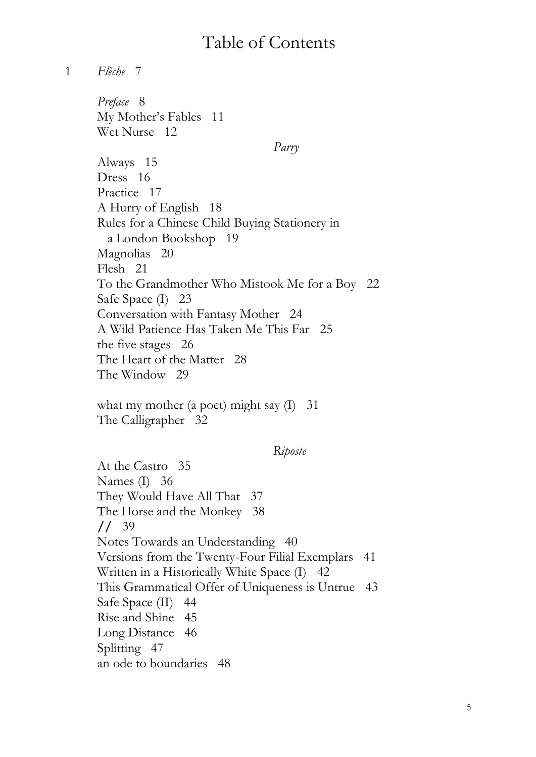# Table of Contents

1 *Flèche* 7

*Preface* 8 My Mother's Fables 11 Wet Nurse 12  *Parry* Always 15 Dress 16 Practice 17 A Hurry of English 18 Rules for a Chinese Child Buying Stationery in a London Bookshop 19 Magnolias 20 Flesh 21 To the Grandmother Who Mistook Me for a Boy 22 Safe Space (I) 23 Conversation with Fantasy Mother 24 A Wild Patience Has Taken Me This Far 25 the five stages 26 The Heart of the Matter 28 The Window 29

what my mother (a poet) might say (I) 31 The Calligrapher 32

## *Riposte*

At the Castro 35 Names (I) 36 They Would Have All That 37 The Horse and the Monkey 38 **//** 39 Notes Towards an Understanding 40 Versions from the Twenty-Four Filial Exemplars 41 Written in a Historically White Space (I) 42 This Grammatical Offer of Uniqueness is Untrue 43 Safe Space (II) 44 Rise and Shine 45 Long Distance 46 Splitting 47 an ode to boundaries 48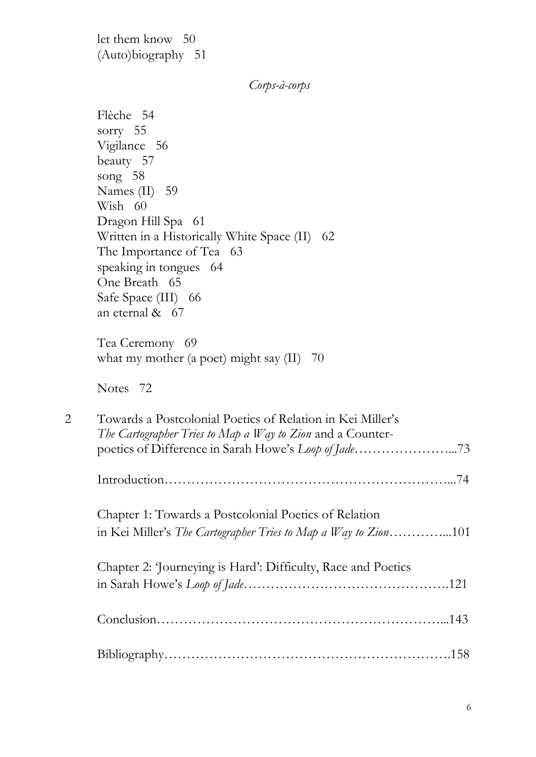let them know 50 (Auto)biography 51

 *Corps-à-corps*

Flèche 54 sorry 55 Vigilance 56 beauty 57 song 58 Names (II) 59 Wish 60 Dragon Hill Spa 61 Written in a Historically White Space (II) 62 The Importance of Tea 63 speaking in tongues 64 One Breath 65 Safe Space (III) 66 an eternal & 67 Tea Ceremony 69 what my mother (a poet) might say  $(II)$  70 Notes 72 2 Towards a Postcolonial Poetics of Relation in Kei Miller's *The Cartographer Tries to Map a Way to Zion* and a Counterpoetics of Difference in Sarah Howe's *Loop of Jade…………………...*73 Introduction*………………………………………………………...*74 Chapter 1: Towards a Postcolonial Poetics of Relation in Kei Miller's *The Cartographer Tries to Map a Way to Zion…………...*101 Chapter 2: 'Journeying is Hard': Difficulty, Race and Poetics in Sarah Howe's *Loop of Jade……………………………………….*121 Conclusion………………………………………………………...143 Bibliography……………………………………………………….158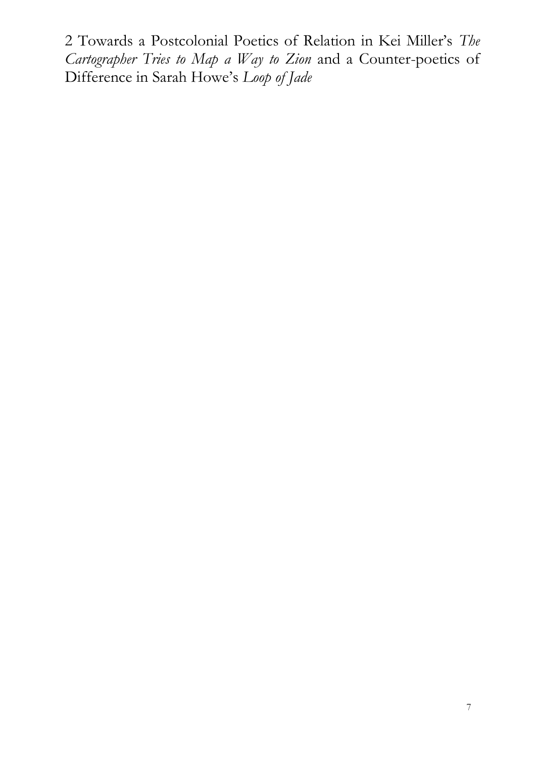2 Towards a Postcolonial Poetics of Relation in Kei Miller's *The Cartographer Tries to Map a Way to Zion* and a Counter-poetics of Difference in Sarah Howe's *Loop of Jade*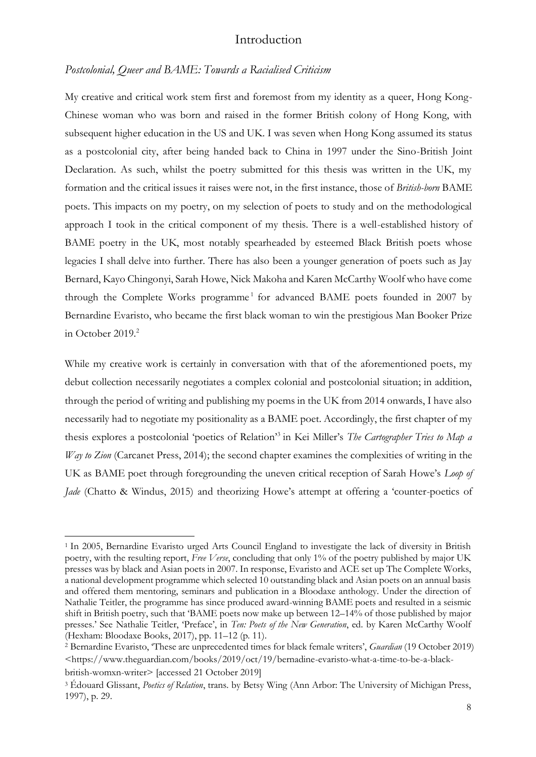### Introduction

#### *Postcolonial, Queer and BAME: Towards a Racialised Criticism*

My creative and critical work stem first and foremost from my identity as a queer, Hong Kong-Chinese woman who was born and raised in the former British colony of Hong Kong, with subsequent higher education in the US and UK. I was seven when Hong Kong assumed its status as a postcolonial city, after being handed back to China in 1997 under the Sino-British Joint Declaration. As such, whilst the poetry submitted for this thesis was written in the UK, my formation and the critical issues it raises were not, in the first instance, those of *British-born* BAME poets. This impacts on my poetry, on my selection of poets to study and on the methodological approach I took in the critical component of my thesis. There is a well-established history of BAME poetry in the UK, most notably spearheaded by esteemed Black British poets whose legacies I shall delve into further. There has also been a younger generation of poets such as Jay Bernard, Kayo Chingonyi, Sarah Howe, Nick Makoha and Karen McCarthy Woolf who have come through the Complete Works programme<sup>1</sup> for advanced BAME poets founded in 2007 by Bernardine Evaristo, who became the first black woman to win the prestigious Man Booker Prize in October 2019.<sup>2</sup>

While my creative work is certainly in conversation with that of the aforementioned poets, my debut collection necessarily negotiates a complex colonial and postcolonial situation; in addition, through the period of writing and publishing my poems in the UK from 2014 onwards, I have also necessarily had to negotiate my positionality as a BAME poet. Accordingly, the first chapter of my thesis explores a postcolonial 'poetics of Relation'<sup>3</sup> in Kei Miller's *The Cartographer Tries to Map a Way to Zion* (Carcanet Press, 2014); the second chapter examines the complexities of writing in the UK as BAME poet through foregrounding the uneven critical reception of Sarah Howe's *Loop of Jade* (Chatto & Windus, 2015) and theorizing Howe's attempt at offering a 'counter-poetics of

<sup>1</sup> In 2005, Bernardine Evaristo urged Arts Council England to investigate the lack of diversity in British poetry, with the resulting report, *Free Verse*, concluding that only 1% of the poetry published by major UK presses was by black and Asian poets in 2007. In response, Evaristo and ACE set up The Complete Works, a national development programme which selected 10 outstanding black and Asian poets on an annual basis and offered them mentoring, seminars and publication in a Bloodaxe anthology. Under the direction of Nathalie Teitler, the programme has since produced award-winning BAME poets and resulted in a seismic shift in British poetry, such that 'BAME poets now make up between 12–14% of those published by major presses.' See Nathalie Teitler, 'Preface', in *Ten: Poets of the New Generation*, ed. by Karen McCarthy Woolf (Hexham: Bloodaxe Books, 2017), pp. 11–12 (p. 11).

<sup>2</sup> Bernardine Evaristo, 'These are unprecedented times for black female writers', *Guardian* (19 October 2019) <https://www.theguardian.com/books/2019/oct/19/bernadine-evaristo-what-a-time-to-be-a-blackbritish-womxn-writer> [accessed 21 October 2019]

<sup>3</sup> Édouard Glissant, *Poetics of Relation*, trans. by Betsy Wing (Ann Arbor: The University of Michigan Press, 1997), p. 29.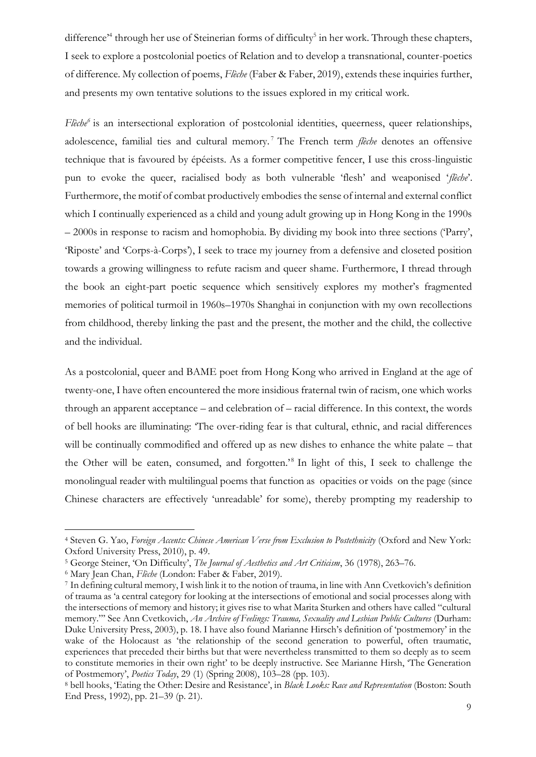difference<sup>24</sup> through her use of Steinerian forms of difficulty<sup>5</sup> in her work. Through these chapters, I seek to explore a postcolonial poetics of Relation and to develop a transnational, counter-poetics of difference. My collection of poems, *Flèche* (Faber & Faber, 2019), extends these inquiries further, and presents my own tentative solutions to the issues explored in my critical work.

*Flèche<sup>6</sup>* is an intersectional exploration of postcolonial identities, queerness, queer relationships, adolescence, familial ties and cultural memory. <sup>7</sup> The French term *flèche* denotes an offensive technique that is favoured by épéeists. As a former competitive fencer, I use this cross-linguistic pun to evoke the queer, racialised body as both vulnerable 'flesh' and weaponised '*flèche*'. Furthermore, the motif of combat productively embodies the sense of internal and external conflict which I continually experienced as a child and young adult growing up in Hong Kong in the 1990s – 2000s in response to racism and homophobia. By dividing my book into three sections ('Parry', 'Riposte' and 'Corps-à-Corps'), I seek to trace my journey from a defensive and closeted position towards a growing willingness to refute racism and queer shame. Furthermore, I thread through the book an eight-part poetic sequence which sensitively explores my mother's fragmented memories of political turmoil in 1960s–1970s Shanghai in conjunction with my own recollections from childhood, thereby linking the past and the present, the mother and the child, the collective and the individual.

As a postcolonial, queer and BAME poet from Hong Kong who arrived in England at the age of twenty-one, I have often encountered the more insidious fraternal twin of racism, one which works through an apparent acceptance – and celebration of – racial difference. In this context, the words of bell hooks are illuminating: 'The over-riding fear is that cultural, ethnic, and racial differences will be continually commodified and offered up as new dishes to enhance the white palate – that the Other will be eaten, consumed, and forgotten.<sup>'8</sup> In light of this, I seek to challenge the monolingual reader with multilingual poems that function as opacities or voids on the page (since Chinese characters are effectively 'unreadable' for some), thereby prompting my readership to

<sup>4</sup> Steven G. Yao, *Foreign Accents: Chinese American Verse from Exclusion to Postethnicity* (Oxford and New York: Oxford University Press, 2010), p. 49.

<sup>5</sup> George Steiner, 'On Difficulty', *The Journal of Aesthetics and Art Criticism*, 36 (1978), 263–76.

<sup>6</sup> Mary Jean Chan, *Flèche* (London: Faber & Faber, 2019).

<sup>7</sup> In defining cultural memory, I wish link it to the notion of trauma, in line with Ann Cvetkovich's definition of trauma as 'a central category for looking at the intersections of emotional and social processes along with the intersections of memory and history; it gives rise to what Marita Sturken and others have called "cultural memory."' See Ann Cvetkovich, *An Archive of Feelings: Trauma, Sexuality and Lesbian Public Cultures* (Durham: Duke University Press, 2003), p. 18. I have also found Marianne Hirsch's definition of 'postmemory' in the wake of the Holocaust as 'the relationship of the second generation to powerful, often traumatic, experiences that preceded their births but that were nevertheless transmitted to them so deeply as to seem to constitute memories in their own right' to be deeply instructive. See Marianne Hirsh, 'The Generation of Postmemory', *Poetics Today*, 29 (1) (Spring 2008), 103–28 (pp. 103).

<sup>8</sup> bell hooks, 'Eating the Other: Desire and Resistance', in *Black Looks: Race and Representation* (Boston: South End Press, 1992), pp. 21–39 (p. 21).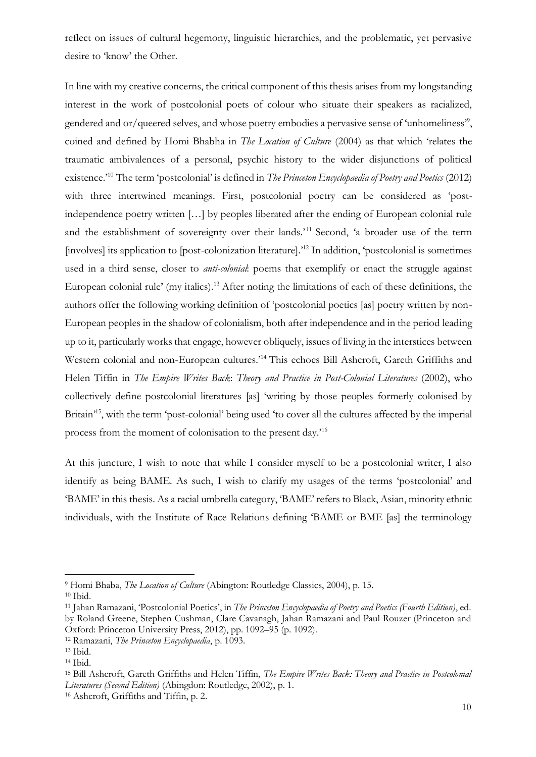reflect on issues of cultural hegemony, linguistic hierarchies, and the problematic, yet pervasive desire to 'know' the Other.

In line with my creative concerns, the critical component of this thesis arises from my longstanding interest in the work of postcolonial poets of colour who situate their speakers as racialized, gendered and or/queered selves, and whose poetry embodies a pervasive sense of 'unhomeliness'<sup>9</sup> , coined and defined by Homi Bhabha in *The Location of Culture* (2004) as that which 'relates the traumatic ambivalences of a personal, psychic history to the wider disjunctions of political existence.'<sup>10</sup> The term 'postcolonial' is defined in *The Princeton Encyclopaedia of Poetry and Poetics* (2012) with three intertwined meanings. First, postcolonial poetry can be considered as 'postindependence poetry written […] by peoples liberated after the ending of European colonial rule and the establishment of sovereignty over their lands.<sup>'11</sup> Second, 'a broader use of the term [involves] its application to [post-colonization literature].'<sup>12</sup> In addition, 'postcolonial is sometimes used in a third sense, closer to *anti-colonial*: poems that exemplify or enact the struggle against European colonial rule' (my italics).<sup>13</sup> After noting the limitations of each of these definitions, the authors offer the following working definition of 'postcolonial poetics [as] poetry written by non-European peoples in the shadow of colonialism, both after independence and in the period leading up to it, particularly works that engage, however obliquely, issues of living in the interstices between Western colonial and non-European cultures.'<sup>14</sup> This echoes Bill Ashcroft, Gareth Griffiths and Helen Tiffin in *The Empire Writes Back*: *Theory and Practice in Post-Colonial Literatures* (2002), who collectively define postcolonial literatures [as] 'writing by those peoples formerly colonised by Britain<sup>15</sup>, with the term 'post-colonial' being used 'to cover all the cultures affected by the imperial process from the moment of colonisation to the present day.'<sup>16</sup>

At this juncture, I wish to note that while I consider myself to be a postcolonial writer, I also identify as being BAME. As such, I wish to clarify my usages of the terms 'postcolonial' and 'BAME' in this thesis. As a racial umbrella category, 'BAME' refers to Black, Asian, minority ethnic individuals, with the Institute of Race Relations defining 'BAME or BME [as] the terminology

<sup>9</sup> Homi Bhaba, *The Location of Culture* (Abington: Routledge Classics, 2004), p. 15.

<sup>10</sup> Ibid.

<sup>11</sup> Jahan Ramazani, 'Postcolonial Poetics', in *The Princeton Encyclopaedia of Poetry and Poetics (Fourth Edition)*, ed. by Roland Greene, Stephen Cushman, Clare Cavanagh, Jahan Ramazani and Paul Rouzer (Princeton and Oxford: Princeton University Press, 2012), pp. 1092–95 (p. 1092).

<sup>12</sup> Ramazani, *The Princeton Encyclopaedia*, p. 1093.

<sup>13</sup> Ibid.

<sup>14</sup> Ibid.

<sup>15</sup> Bill Ashcroft, Gareth Griffiths and Helen Tiffin, *The Empire Writes Back: Theory and Practice in Postcolonial Literatures (Second Edition)* (Abingdon: Routledge, 2002), p. 1.

<sup>16</sup> Ashcroft, Griffiths and Tiffin, p. 2.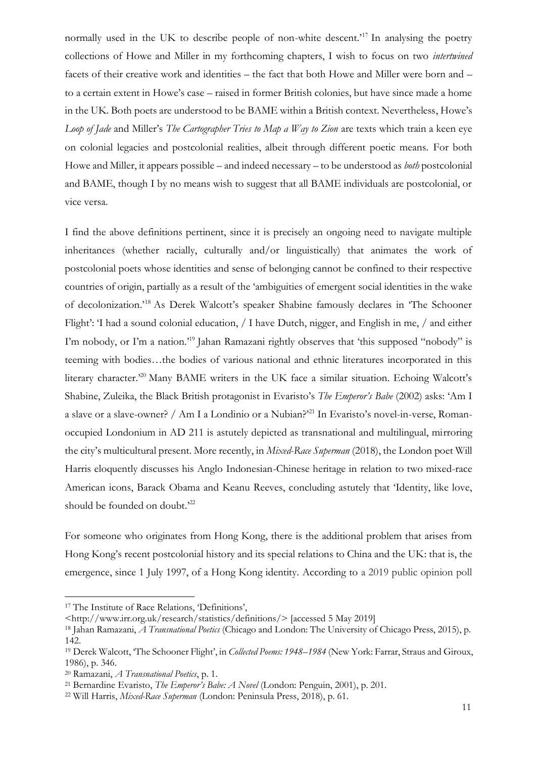normally used in the UK to describe people of non-white descent.<sup>'17</sup> In analysing the poetry collections of Howe and Miller in my forthcoming chapters, I wish to focus on two *intertwined* facets of their creative work and identities – the fact that both Howe and Miller were born and – to a certain extent in Howe's case – raised in former British colonies, but have since made a home in the UK. Both poets are understood to be BAME within a British context. Nevertheless, Howe's *Loop of Jade* and Miller's *The Cartographer Tries to Map a Way to Zion* are texts which train a keen eye on colonial legacies and postcolonial realities, albeit through different poetic means. For both Howe and Miller, it appears possible – and indeed necessary – to be understood as *both* postcolonial and BAME, though I by no means wish to suggest that all BAME individuals are postcolonial, or vice versa.

I find the above definitions pertinent, since it is precisely an ongoing need to navigate multiple inheritances (whether racially, culturally and/or linguistically) that animates the work of postcolonial poets whose identities and sense of belonging cannot be confined to their respective countries of origin, partially as a result of the 'ambiguities of emergent social identities in the wake of decolonization.'<sup>18</sup> As Derek Walcott's speaker Shabine famously declares in 'The Schooner Flight': 'I had a sound colonial education, / I have Dutch, nigger, and English in me, / and either I'm nobody, or I'm a nation.<sup>19</sup> Jahan Ramazani rightly observes that 'this supposed "nobody" is teeming with bodies…the bodies of various national and ethnic literatures incorporated in this literary character.<sup>20</sup> Many BAME writers in the UK face a similar situation. Echoing Walcott's Shabine, Zuleika, the Black British protagonist in Evaristo's *The Emperor's Babe* (2002) asks: 'Am I a slave or a slave-owner? / Am I a Londinio or a Nubian?'<sup>21</sup> In Evaristo's novel-in-verse, Romanoccupied Londonium in AD 211 is astutely depicted as transnational and multilingual, mirroring the city's multicultural present. More recently, in *Mixed-Race Superman* (2018), the London poet Will Harris eloquently discusses his Anglo Indonesian-Chinese heritage in relation to two mixed-race American icons, Barack Obama and Keanu Reeves, concluding astutely that 'Identity, like love, should be founded on doubt.<sup>222</sup>

For someone who originates from Hong Kong, there is the additional problem that arises from Hong Kong's recent postcolonial history and its special relations to China and the UK: that is, the emergence, since 1 July 1997, of a Hong Kong identity. According to a 2019 public opinion poll

<sup>17</sup> The Institute of Race Relations, 'Definitions',

[<sup>&</sup>lt;http://www.irr.org.uk/research/statistics/definitions/>](about:blank) [accessed 5 May 2019]

<sup>18</sup> Jahan Ramazani, *A Transnational Poetics* (Chicago and London: The University of Chicago Press, 2015), p. 142.

<sup>19</sup> Derek Walcott, 'The Schooner Flight', in *Collected Poems: 1948–1984* (New York: Farrar, Straus and Giroux, 1986), p. 346.

<sup>20</sup> Ramazani, *A Transnational Poetics*, p. 1.

<sup>21</sup> Bernardine Evaristo, *The Emperor's Babe: A Novel* (London: Penguin, 2001), p. 201.

<sup>22</sup> Will Harris, *Mixed-Race Superman* (London: Peninsula Press, 2018), p. 61.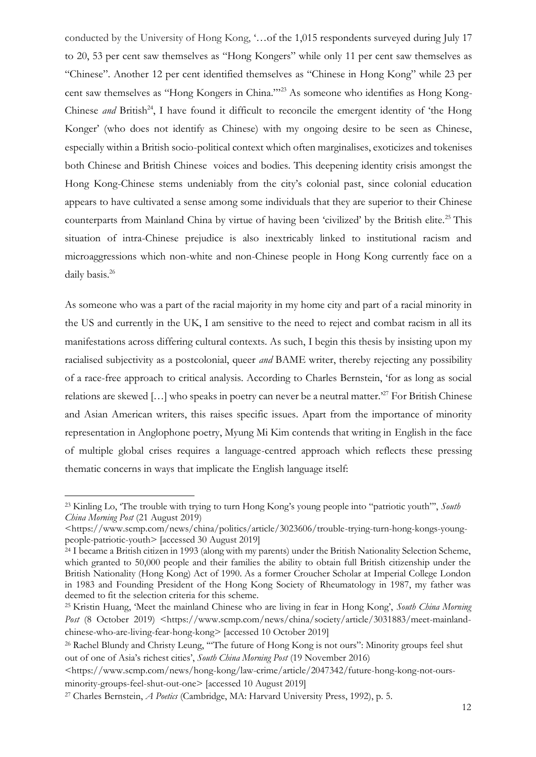conducted by the University of Hong Kong, '…of the 1,015 respondents surveyed during July 17 to 20, 53 per cent saw themselves as "Hong Kongers" while only 11 per cent saw themselves as "Chinese". Another 12 per cent identified themselves as "Chinese in Hong Kong" while 23 per cent saw themselves as "Hong Kongers in China."'<sup>23</sup> As someone who identifies as Hong Kong-Chinese *and* British<sup>24</sup>, I have found it difficult to reconcile the emergent identity of 'the Hong Konger' (who does not identify as Chinese) with my ongoing desire to be seen as Chinese, especially within a British socio-political context which often marginalises, exoticizes and tokenises both Chinese and British Chinese voices and bodies. This deepening identity crisis amongst the Hong Kong-Chinese stems undeniably from the city's colonial past, since colonial education appears to have cultivated a sense among some individuals that they are superior to their Chinese counterparts from Mainland China by virtue of having been 'civilized' by the British elite.<sup>25</sup> This situation of intra-Chinese prejudice is also inextricably linked to institutional racism and microaggressions which non-white and non-Chinese people in Hong Kong currently face on a daily basis.<sup>26</sup>

As someone who was a part of the racial majority in my home city and part of a racial minority in the US and currently in the UK, I am sensitive to the need to reject and combat racism in all its manifestations across differing cultural contexts. As such, I begin this thesis by insisting upon my racialised subjectivity as a postcolonial, queer *and* BAME writer, thereby rejecting any possibility of a race-free approach to critical analysis. According to Charles Bernstein, 'for as long as social relations are skewed […] who speaks in poetry can never be a neutral matter.'<sup>27</sup> For British Chinese and Asian American writers, this raises specific issues. Apart from the importance of minority representation in Anglophone poetry, Myung Mi Kim contends that writing in English in the face of multiple global crises requires a language-centred approach which reflects these pressing thematic concerns in ways that implicate the English language itself:

<sup>23</sup> Kinling Lo, 'The trouble with trying to turn Hong Kong's young people into "patriotic youth"', *South China Morning Post* (21 August 2019)

[<sup>&</sup>lt;https://www.scmp.com/news/china/politics/article/3023606/trouble-trying-turn-hong-kongs-young](about:blank)[people-patriotic-youth>](about:blank) [accessed 30 August 2019]

<sup>&</sup>lt;sup>24</sup> I became a British citizen in 1993 (along with my parents) under the British Nationality Selection Scheme, which granted to 50,000 people and their families the ability to obtain full British citizenship under the British Nationality (Hong Kong) Act of 1990. As a former Croucher Scholar at Imperial College London in 1983 and Founding President of the Hong Kong Society of Rheumatology in 1987, my father was deemed to fit the selection criteria for this scheme.

<sup>25</sup> Kristin Huang, 'Meet the mainland Chinese who are living in fear in Hong Kong', *South China Morning*  Post (8 October 2019) [<https://www.scmp.com/news/china/society/article/3031883/meet-mainland](https://www.scmp.com/news/china/society/article/3031883/meet-mainland-chinese-who-are-living-fear-hong-kong)[chinese-who-are-living-fear-hong-kong>](https://www.scmp.com/news/china/society/article/3031883/meet-mainland-chinese-who-are-living-fear-hong-kong) [accessed 10 October 2019]

<sup>&</sup>lt;sup>26</sup> Rachel Blundy and Christy Leung, "The future of Hong Kong is not ours": Minority groups feel shut out of one of Asia's richest cities', *South China Morning Post* (19 November 2016)

[<sup>&</sup>lt;https://www.scmp.com/news/hong-kong/law-crime/article/2047342/future-hong-kong-not-ours](about:blank)[minority-groups-feel-shut-out-one>](about:blank) [accessed 10 August 2019]

<sup>27</sup> Charles Bernstein, *A Poetics* (Cambridge, MA: Harvard University Press, 1992), p. 5.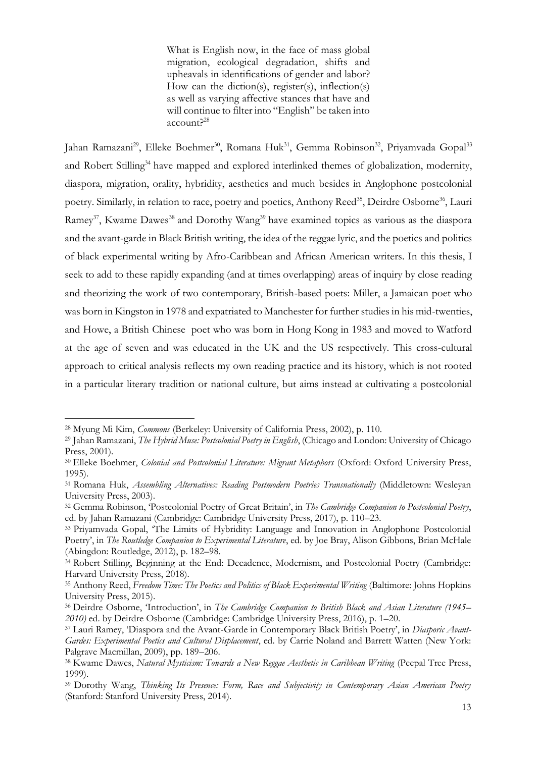What is English now, in the face of mass global migration, ecological degradation, shifts and upheavals in identifications of gender and labor? How can the diction(s), register(s), inflection(s) as well as varying affective stances that have and will continue to filter into "English" be taken into account?<sup>28</sup>

Jahan Ramazani<sup>29</sup>, Elleke Boehmer<sup>30</sup>, Romana Huk<sup>31</sup>, Gemma Robinson<sup>32</sup>, Priyamvada Gopal<sup>33</sup> and Robert Stilling<sup>34</sup> have mapped and explored interlinked themes of globalization, modernity, diaspora, migration, orality, hybridity, aesthetics and much besides in Anglophone postcolonial poetry. Similarly, in relation to race, poetry and poetics, Anthony Reed<sup>35</sup>, Deirdre Osborne<sup>36</sup>, Lauri Ramey<sup>37</sup>, Kwame Dawes<sup>38</sup> and Dorothy Wang<sup>39</sup> have examined topics as various as the diaspora and the avant-garde in Black British writing, the idea of the reggae lyric, and the poetics and politics of black experimental writing by Afro-Caribbean and African American writers. In this thesis, I seek to add to these rapidly expanding (and at times overlapping) areas of inquiry by close reading and theorizing the work of two contemporary, British-based poets: Miller, a Jamaican poet who was born in Kingston in 1978 and expatriated to Manchester for further studies in his mid-twenties, and Howe, a British Chinese poet who was born in Hong Kong in 1983 and moved to Watford at the age of seven and was educated in the UK and the US respectively. This cross-cultural approach to critical analysis reflects my own reading practice and its history, which is not rooted in a particular literary tradition or national culture, but aims instead at cultivating a postcolonial

<sup>28</sup> Myung Mi Kim, *Commons* (Berkeley: University of California Press, 2002), p. 110.

<sup>29</sup> Jahan Ramazani, *The Hybrid Muse: Postcolonial Poetry in English*, (Chicago and London: University of Chicago Press, 2001).

<sup>30</sup> Elleke Boehmer, *Colonial and Postcolonial Literature: Migrant Metaphors* (Oxford: Oxford University Press, 1995).

<sup>31</sup> Romana Huk, *Assembling Alternatives: Reading Postmodern Poetries Transnationally* (Middletown: Wesleyan University Press, 2003).

<sup>32</sup> Gemma Robinson, 'Postcolonial Poetry of Great Britain', in *The Cambridge Companion to Postcolonial Poetry*, ed. by Jahan Ramazani (Cambridge: Cambridge University Press, 2017), p. 110–23.

<sup>33</sup> Priyamvada Gopal, 'The Limits of Hybridity: Language and Innovation in Anglophone Postcolonial Poetry', in *The Routledge Companion to Experimental Literature*, ed. by Joe Bray, Alison Gibbons, Brian McHale (Abingdon: Routledge, 2012), p. 182–98.

<sup>34</sup> Robert Stilling, Beginning at the End: Decadence, Modernism, and Postcolonial Poetry (Cambridge: Harvard University Press, 2018).

<sup>&</sup>lt;sup>35</sup> Anthony Reed, *Freedom Time: The Poetics and Politics of Black Experimental Writing* (Baltimore: Johns Hopkins University Press, 2015).

<sup>36</sup> Deirdre Osborne, 'Introduction', in *The Cambridge Companion to British Black and Asian Literature (1945– 2010)* ed. by Deirdre Osborne (Cambridge: Cambridge University Press, 2016), p. 1–20.

<sup>37</sup> Lauri Ramey, 'Diaspora and the Avant-Garde in Contemporary Black British Poetry', in *Diasporic Avant-Gardes: Experimental Poetics and Cultural Displacement*, ed. by Carrie Noland and Barrett Watten (New York: Palgrave Macmillan, 2009), pp. 189–206.

<sup>38</sup> Kwame Dawes, *Natural Mysticism: Towards a New Reggae Aesthetic in Caribbean Writing* (Peepal Tree Press, 1999).

<sup>39</sup> Dorothy Wang, *Thinking Its Presence: Form, Race and Subjectivity in Contemporary Asian American Poetry* (Stanford: Stanford University Press, 2014).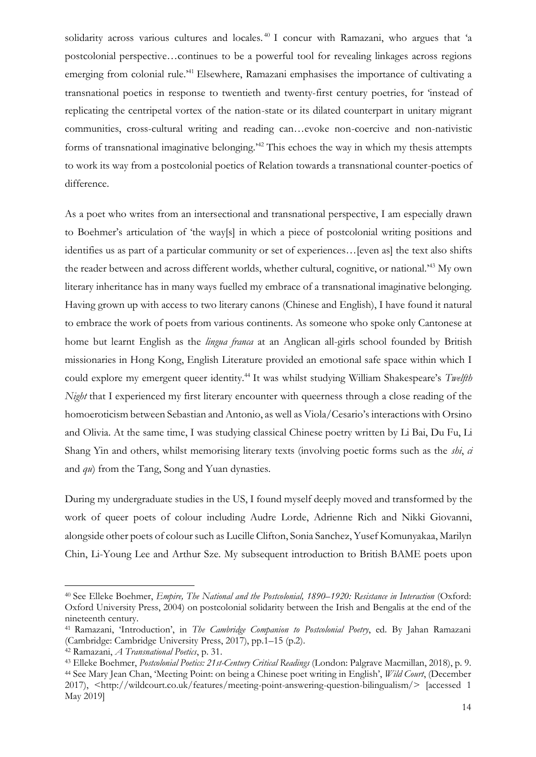solidarity across various cultures and locales.<sup>40</sup> I concur with Ramazani, who argues that 'a postcolonial perspective…continues to be a powerful tool for revealing linkages across regions emerging from colonial rule.<sup>41</sup> Elsewhere, Ramazani emphasises the importance of cultivating a transnational poetics in response to twentieth and twenty-first century poetries, for 'instead of replicating the centripetal vortex of the nation-state or its dilated counterpart in unitary migrant communities, cross-cultural writing and reading can…evoke non-coercive and non-nativistic forms of transnational imaginative belonging.'<sup>42</sup> This echoes the way in which my thesis attempts to work its way from a postcolonial poetics of Relation towards a transnational counter-poetics of difference.

As a poet who writes from an intersectional and transnational perspective, I am especially drawn to Boehmer's articulation of 'the way[s] in which a piece of postcolonial writing positions and identifies us as part of a particular community or set of experiences…[even as] the text also shifts the reader between and across different worlds, whether cultural, cognitive, or national.'<sup>43</sup> My own literary inheritance has in many ways fuelled my embrace of a transnational imaginative belonging. Having grown up with access to two literary canons (Chinese and English), I have found it natural to embrace the work of poets from various continents. As someone who spoke only Cantonese at home but learnt English as the *lingua franca* at an Anglican all-girls school founded by British missionaries in Hong Kong, English Literature provided an emotional safe space within which I could explore my emergent queer identity.<sup>44</sup> It was whilst studying William Shakespeare's *Twelfth Night* that I experienced my first literary encounter with queerness through a close reading of the homoeroticism between Sebastian and Antonio, as well as Viola/Cesario's interactions with Orsino and Olivia. At the same time, I was studying classical Chinese poetry written by Li Bai, Du Fu, Li Shang Yin and others, whilst memorising literary texts (involving poetic forms such as the *shi*, *ci* and *qu*) from the Tang, Song and Yuan dynasties.

During my undergraduate studies in the US, I found myself deeply moved and transformed by the work of queer poets of colour including Audre Lorde, Adrienne Rich and Nikki Giovanni, alongside other poets of colour such as Lucille Clifton, Sonia Sanchez, Yusef Komunyakaa, Marilyn Chin, Li-Young Lee and Arthur Sze. My subsequent introduction to British BAME poets upon

<sup>40</sup> See Elleke Boehmer, *Empire, The National and the Postcolonial, 1890–1920: Resistance in Interaction* (Oxford: Oxford University Press, 2004) on postcolonial solidarity between the Irish and Bengalis at the end of the nineteenth century.

<sup>41</sup> Ramazani, 'Introduction', in *The Cambridge Companion to Postcolonial Poetry*, ed. By Jahan Ramazani (Cambridge: Cambridge University Press, 2017), pp.1–15 (p.2).

<sup>42</sup> Ramazani, *A Transnational Poetics*, p. 31.

<sup>43</sup> Elleke Boehmer, *Postcolonial Poetics: 21st-Century Critical Readings* (London: Palgrave Macmillan, 2018), p. 9. <sup>44</sup> See Mary Jean Chan, 'Meeting Point: on being a Chinese poet writing in English', *Wild Court*, (December 2017), <http://wildcourt.co.uk/features/meeting-point-answering-question-bilingualism/> [accessed 1 May 2019]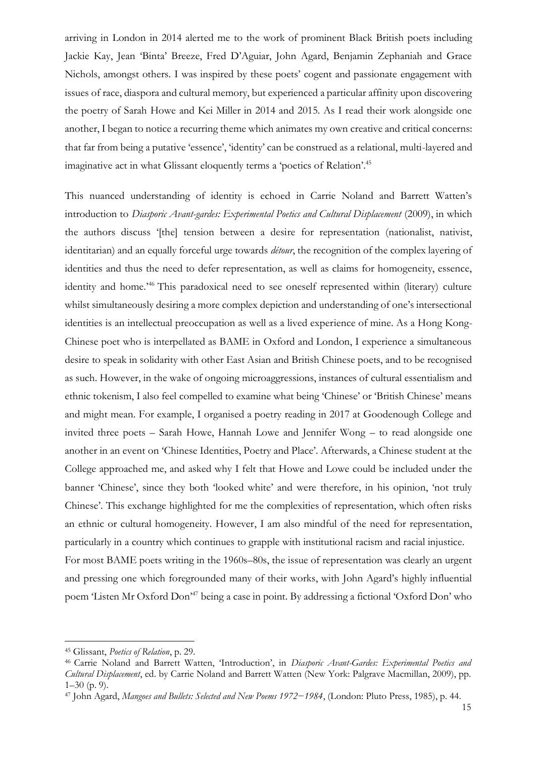arriving in London in 2014 alerted me to the work of prominent Black British poets including Jackie Kay, Jean 'Binta' Breeze, Fred D'Aguiar, John Agard, Benjamin Zephaniah and Grace Nichols, amongst others. I was inspired by these poets' cogent and passionate engagement with issues of race, diaspora and cultural memory, but experienced a particular affinity upon discovering the poetry of Sarah Howe and Kei Miller in 2014 and 2015. As I read their work alongside one another, I began to notice a recurring theme which animates my own creative and critical concerns: that far from being a putative 'essence', 'identity' can be construed as a relational, multi-layered and imaginative act in what Glissant eloquently terms a 'poetics of Relation'.<sup>45</sup>

This nuanced understanding of identity is echoed in Carrie Noland and Barrett Watten's introduction to *Diasporic Avant-gardes: Experimental Poetics and Cultural Displacement* (2009), in which the authors discuss '[the] tension between a desire for representation (nationalist, nativist, identitarian) and an equally forceful urge towards *détour*, the recognition of the complex layering of identities and thus the need to defer representation, as well as claims for homogeneity, essence, identity and home.'<sup>46</sup> This paradoxical need to see oneself represented within (literary) culture whilst simultaneously desiring a more complex depiction and understanding of one's intersectional identities is an intellectual preoccupation as well as a lived experience of mine. As a Hong Kong-Chinese poet who is interpellated as BAME in Oxford and London, I experience a simultaneous desire to speak in solidarity with other East Asian and British Chinese poets, and to be recognised as such. However, in the wake of ongoing microaggressions, instances of cultural essentialism and ethnic tokenism, I also feel compelled to examine what being 'Chinese' or 'British Chinese' means and might mean. For example, I organised a poetry reading in 2017 at Goodenough College and invited three poets – Sarah Howe, Hannah Lowe and Jennifer Wong – to read alongside one another in an event on 'Chinese Identities, Poetry and Place'. Afterwards, a Chinese student at the College approached me, and asked why I felt that Howe and Lowe could be included under the banner 'Chinese', since they both 'looked white' and were therefore, in his opinion, 'not truly Chinese'. This exchange highlighted for me the complexities of representation, which often risks an ethnic or cultural homogeneity. However, I am also mindful of the need for representation, particularly in a country which continues to grapple with institutional racism and racial injustice. For most BAME poets writing in the 1960s–80s, the issue of representation was clearly an urgent and pressing one which foregrounded many of their works, with John Agard's highly influential poem 'Listen Mr Oxford Don'<sup>47</sup> being a case in point. By addressing a fictional 'Oxford Don' who

<sup>45</sup> Glissant, *Poetics of Relation*, p. 29.

<sup>46</sup> Carrie Noland and Barrett Watten, 'Introduction', in *Diasporic Avant-Gardes: Experimental Poetics and Cultural Displacement*, ed. by Carrie Noland and Barrett Watten (New York: Palgrave Macmillan, 2009), pp.  $1-30$  (p. 9).

<sup>47</sup> John Agard, *Mangoes and Bullets: Selected and New Poems 1972−1984*, (London: Pluto Press, 1985), p. 44.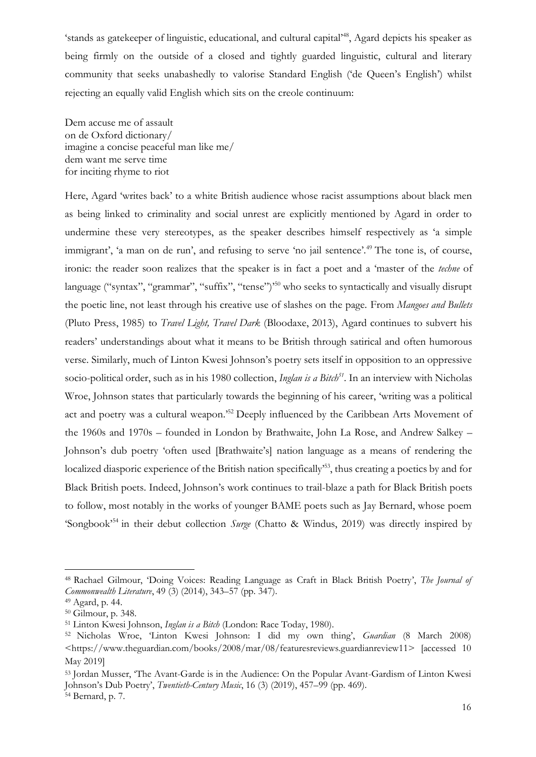'stands as gatekeeper of linguistic, educational, and cultural capital'<sup>48</sup>, Agard depicts his speaker as being firmly on the outside of a closed and tightly guarded linguistic, cultural and literary community that seeks unabashedly to valorise Standard English ('de Queen's English') whilst rejecting an equally valid English which sits on the creole continuum:

Dem accuse me of assault on de Oxford dictionary/ imagine a concise peaceful man like me/ dem want me serve time for inciting rhyme to riot

Here, Agard 'writes back' to a white British audience whose racist assumptions about black men as being linked to criminality and social unrest are explicitly mentioned by Agard in order to undermine these very stereotypes, as the speaker describes himself respectively as 'a simple immigrant', 'a man on de run', and refusing to serve 'no jail sentence'.<sup>49</sup> The tone is, of course, ironic: the reader soon realizes that the speaker is in fact a poet and a 'master of the *techne* of language ("syntax", "grammar", "suffix", "tense")<sup>50</sup> who seeks to syntactically and visually disrupt the poetic line, not least through his creative use of slashes on the page. From *Mangoes and Bullets*  (Pluto Press, 1985) to *Travel Light, Travel Dark* (Bloodaxe, 2013), Agard continues to subvert his readers' understandings about what it means to be British through satirical and often humorous verse. Similarly, much of Linton Kwesi Johnson's poetry sets itself in opposition to an oppressive socio-political order, such as in his 1980 collection, *Inglan is a Bitch<sup>51</sup>* . In an interview with Nicholas Wroe, Johnson states that particularly towards the beginning of his career, 'writing was a political act and poetry was a cultural weapon.'<sup>52</sup> Deeply influenced by the Caribbean Arts Movement of the 1960s and 1970s – founded in London by Brathwaite, John La Rose, and Andrew Salkey – Johnson's dub poetry 'often used [Brathwaite's] nation language as a means of rendering the localized diasporic experience of the British nation specifically<sup>553</sup>, thus creating a poetics by and for Black British poets. Indeed, Johnson's work continues to trail-blaze a path for Black British poets to follow, most notably in the works of younger BAME poets such as Jay Bernard, whose poem 'Songbook'<sup>54</sup> in their debut collection *Surge* (Chatto & Windus, 2019) was directly inspired by

<sup>48</sup> Rachael Gilmour, 'Doing Voices: Reading Language as Craft in Black British Poetry', *The Journal of Commonwealth Literature*, 49 (3) (2014), 343–57 (pp. 347).

<sup>49</sup> Agard, p. 44.

<sup>50</sup> Gilmour, p. 348.

<sup>51</sup> Linton Kwesi Johnson, *Inglan is a Bitch* (London: Race Today, 1980).

<sup>52</sup> Nicholas Wroe, 'Linton Kwesi Johnson: I did my own thing', *Guardian* (8 March 2008)  $\text{6}$  < https://www.theguardian.com/books/2008/mar/08/featuresreviews.guardianreview11> [accessed 10] May 2019]

<sup>53</sup> Jordan Musser, 'The Avant-Garde is in the Audience: On the Popular Avant-Gardism of Linton Kwesi Johnson's Dub Poetry', *Twentieth-Century Music*, 16 (3) (2019), 457–99 (pp. 469). <sup>54</sup> Bernard, p. 7.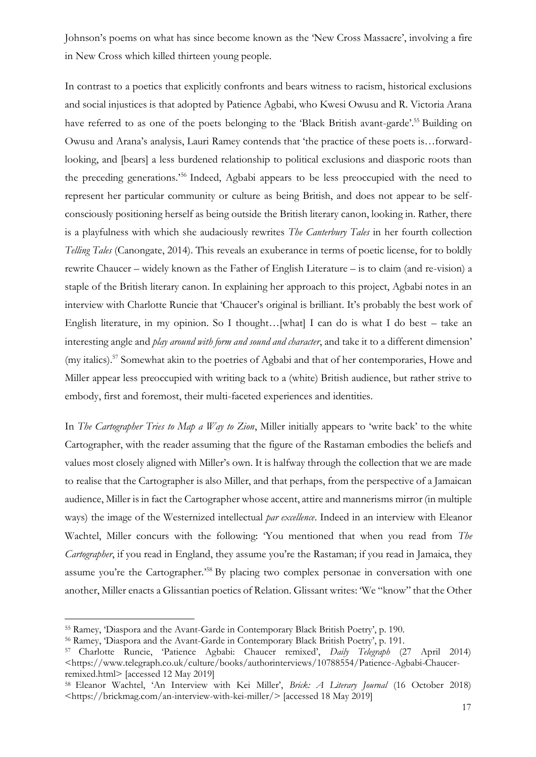Johnson's poems on what has since become known as the 'New Cross Massacre', involving a fire in New Cross which killed thirteen young people.

In contrast to a poetics that explicitly confronts and bears witness to racism, historical exclusions and social injustices is that adopted by Patience Agbabi, who Kwesi Owusu and R. Victoria Arana have referred to as one of the poets belonging to the 'Black British avant-garde'.<sup>55</sup> Building on Owusu and Arana's analysis, Lauri Ramey contends that 'the practice of these poets is…forwardlooking, and [bears] a less burdened relationship to political exclusions and diasporic roots than the preceding generations.'<sup>56</sup> Indeed, Agbabi appears to be less preoccupied with the need to represent her particular community or culture as being British, and does not appear to be selfconsciously positioning herself as being outside the British literary canon, looking in. Rather, there is a playfulness with which she audaciously rewrites *The Canterbury Tales* in her fourth collection *Telling Tales* (Canongate, 2014). This reveals an exuberance in terms of poetic license, for to boldly rewrite Chaucer – widely known as the Father of English Literature – is to claim (and re-vision) a staple of the British literary canon. In explaining her approach to this project, Agbabi notes in an interview with Charlotte Runcie that 'Chaucer's original is brilliant. It's probably the best work of English literature, in my opinion. So I thought…[what] I can do is what I do best – take an interesting angle and *play around with form and sound and character*, and take it to a different dimension' (my italics).<sup>57</sup> Somewhat akin to the poetries of Agbabi and that of her contemporaries, Howe and Miller appear less preoccupied with writing back to a (white) British audience, but rather strive to embody, first and foremost, their multi-faceted experiences and identities.

In *The Cartographer Tries to Map a Way to Zion*, Miller initially appears to 'write back' to the white Cartographer, with the reader assuming that the figure of the Rastaman embodies the beliefs and values most closely aligned with Miller's own. It is halfway through the collection that we are made to realise that the Cartographer is also Miller, and that perhaps, from the perspective of a Jamaican audience, Miller is in fact the Cartographer whose accent, attire and mannerisms mirror (in multiple ways) the image of the Westernized intellectual *par excellence*. Indeed in an interview with Eleanor Wachtel, Miller concurs with the following: 'You mentioned that when you read from *The Cartographer*, if you read in England, they assume you're the Rastaman; if you read in Jamaica, they assume you're the Cartographer.<sup>558</sup> By placing two complex personae in conversation with one another, Miller enacts a Glissantian poetics of Relation. Glissant writes: 'We "know" that the Other

<sup>55</sup> Ramey, 'Diaspora and the Avant-Garde in Contemporary Black British Poetry', p. 190.

<sup>56</sup> Ramey, 'Diaspora and the Avant-Garde in Contemporary Black British Poetry', p. 191.

<sup>57</sup> Charlotte Runcie, 'Patience Agbabi: Chaucer remixed', *Daily Telegraph* (27 April 2014) <https://www.telegraph.co.uk/culture/books/authorinterviews/10788554/Patience-Agbabi-Chaucerremixed.html> [accessed 12 May 2019]

<sup>58</sup> Eleanor Wachtel, 'An Interview with Kei Miller', *Brick: A Literary Journal* (16 October 2018) <https://brickmag.com/an-interview-with-kei-miller/> [accessed 18 May 2019]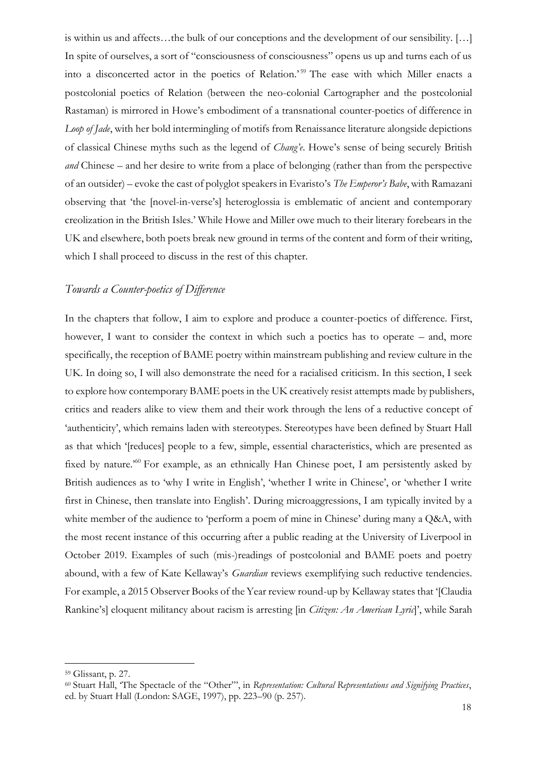is within us and affects…the bulk of our conceptions and the development of our sensibility. […] In spite of ourselves, a sort of "consciousness of consciousness" opens us up and turns each of us into a disconcerted actor in the poetics of Relation.'<sup>59</sup> The ease with which Miller enacts a postcolonial poetics of Relation (between the neo-colonial Cartographer and the postcolonial Rastaman) is mirrored in Howe's embodiment of a transnational counter-poetics of difference in *Loop of Jade*, with her bold intermingling of motifs from Renaissance literature alongside depictions of classical Chinese myths such as the legend of *Chang'e*. Howe's sense of being securely British *and* Chinese – and her desire to write from a place of belonging (rather than from the perspective of an outsider) – evoke the cast of polyglot speakers in Evaristo's *The Emperor's Babe*, with Ramazani observing that 'the [novel-in-verse's] heteroglossia is emblematic of ancient and contemporary creolization in the British Isles.' While Howe and Miller owe much to their literary forebears in the UK and elsewhere, both poets break new ground in terms of the content and form of their writing, which I shall proceed to discuss in the rest of this chapter.

### *Towards a Counter-poetics of Difference*

In the chapters that follow, I aim to explore and produce a counter-poetics of difference. First, however, I want to consider the context in which such a poetics has to operate – and, more specifically, the reception of BAME poetry within mainstream publishing and review culture in the UK. In doing so, I will also demonstrate the need for a racialised criticism. In this section, I seek to explore how contemporary BAME poets in the UK creatively resist attempts made by publishers, critics and readers alike to view them and their work through the lens of a reductive concept of 'authenticity', which remains laden with stereotypes. Stereotypes have been defined by Stuart Hall as that which '[reduces] people to a few, simple, essential characteristics, which are presented as fixed by nature.<sup>50</sup> For example, as an ethnically Han Chinese poet, I am persistently asked by British audiences as to 'why I write in English', 'whether I write in Chinese', or 'whether I write first in Chinese, then translate into English'. During microaggressions, I am typically invited by a white member of the audience to 'perform a poem of mine in Chinese' during many a Q&A, with the most recent instance of this occurring after a public reading at the University of Liverpool in October 2019. Examples of such (mis-)readings of postcolonial and BAME poets and poetry abound, with a few of Kate Kellaway's *Guardian* reviews exemplifying such reductive tendencies. For example, a 2015 Observer Books of the Year review round-up by Kellaway states that '[Claudia Rankine's] eloquent militancy about racism is arresting [in *Citizen: An American Lyric*]', while Sarah

<sup>59</sup> Glissant, p. 27.

<sup>60</sup> Stuart Hall, 'The Spectacle of the "Other"', in *Representation: Cultural Representations and Signifying Practices*, ed. by Stuart Hall (London: SAGE, 1997), pp. 223–90 (p. 257).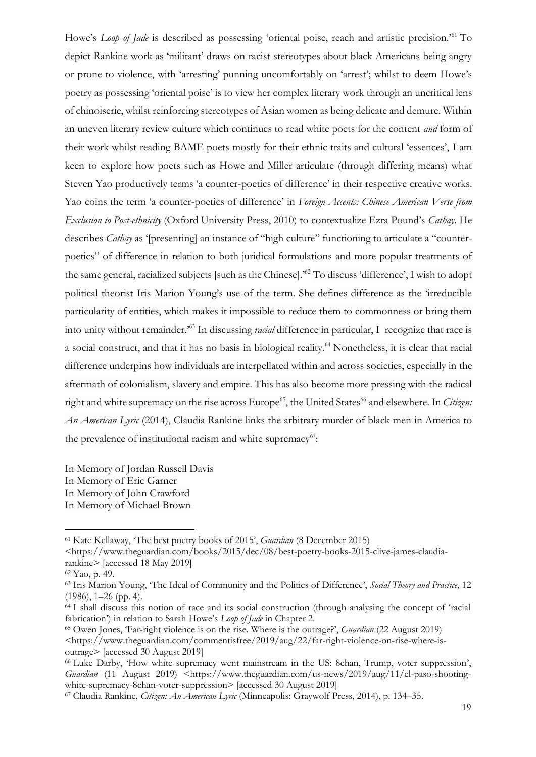Howe's *Loop of Jade* is described as possessing 'oriental poise, reach and artistic precision.'<sup>61</sup> To depict Rankine work as 'militant' draws on racist stereotypes about black Americans being angry or prone to violence, with 'arresting' punning uncomfortably on 'arrest'; whilst to deem Howe's poetry as possessing 'oriental poise' is to view her complex literary work through an uncritical lens of chinoiserie, whilst reinforcing stereotypes of Asian women as being delicate and demure. Within an uneven literary review culture which continues to read white poets for the content *and* form of their work whilst reading BAME poets mostly for their ethnic traits and cultural 'essences', I am keen to explore how poets such as Howe and Miller articulate (through differing means) what Steven Yao productively terms 'a counter-poetics of difference' in their respective creative works. Yao coins the term 'a counter-poetics of difference' in *Foreign Accents: Chinese American Verse from Exclusion to Post-ethnicity* (Oxford University Press, 2010) to contextualize Ezra Pound's *Cathay*. He describes *Cathay* as '[presenting] an instance of "high culture" functioning to articulate a "counterpoetics" of difference in relation to both juridical formulations and more popular treatments of the same general, racialized subjects [such as the Chinese].'<sup>62</sup> To discuss 'difference', I wish to adopt political theorist Iris Marion Young's use of the term. She defines difference as the 'irreducible particularity of entities, which makes it impossible to reduce them to commonness or bring them into unity without remainder.'<sup>63</sup> In discussing *racial* difference in particular, I recognize that race is a social construct, and that it has no basis in biological reality.<sup>64</sup> Nonetheless, it is clear that racial difference underpins how individuals are interpellated within and across societies, especially in the aftermath of colonialism, slavery and empire. This has also become more pressing with the radical right and white supremacy on the rise across Europe<sup>65</sup>, the United States<sup>66</sup> and elsewhere. In *Citizen: An American Lyric* (2014), Claudia Rankine links the arbitrary murder of black men in America to the prevalence of institutional racism and white supremacy<sup>67</sup>:

In Memory of Jordan Russell Davis In Memory of Eric Garner In Memory of John Crawford In Memory of Michael Brown

<sup>61</sup> Kate Kellaway, 'The best poetry books of 2015', *Guardian* (8 December 2015)

<sup>&</sup>lt;https://www.theguardian.com/books/2015/dec/08/best-poetry-books-2015-clive-james-claudiarankine> [accessed 18 May 2019]

<sup>62</sup> Yao, p. 49.

<sup>63</sup> Iris Marion Young, 'The Ideal of Community and the Politics of Difference', *Social Theory and Practice*, 12 (1986), 1–26 (pp. 4).

<sup>64</sup> I shall discuss this notion of race and its social construction (through analysing the concept of 'racial fabrication') in relation to Sarah Howe's *Loop of Jade* in Chapter 2.

<sup>65</sup> Owen Jones, 'Far-right violence is on the rise. Where is the outrage?', *Guardian* (22 August 2019) <https://www.theguardian.com/commentisfree/2019/aug/22/far-right-violence-on-rise-where-isoutrage> [accessed 30 August 2019]

<sup>66</sup> Luke Darby, 'How white supremacy went mainstream in the US: 8chan, Trump, voter suppression', *Guardian* (11 August 2019) <https://www.theguardian.com/us-news/2019/aug/11/el-paso-shootingwhite-supremacy-8chan-voter-suppression> [accessed 30 August 2019]

<sup>67</sup> Claudia Rankine, *Citizen: An American Lyric* (Minneapolis: Graywolf Press, 2014), p. 134–35.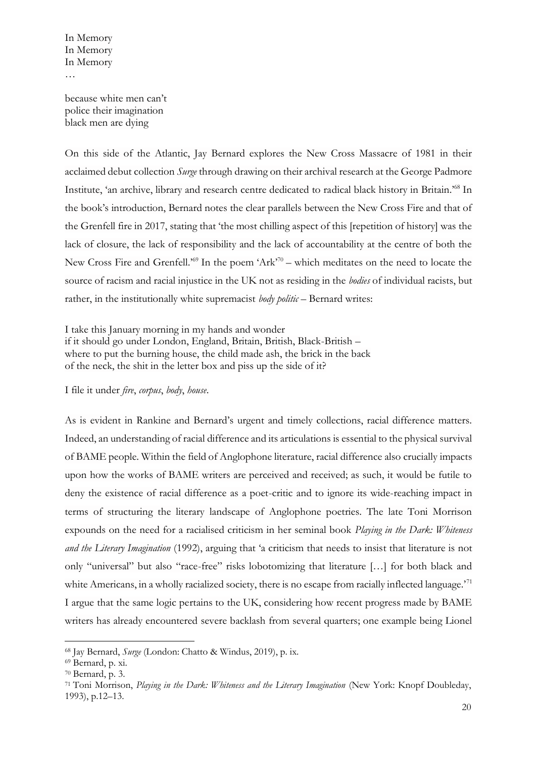because white men can't police their imagination black men are dying

On this side of the Atlantic, Jay Bernard explores the New Cross Massacre of 1981 in their acclaimed debut collection *Surge* through drawing on their archival research at the George Padmore Institute, 'an archive, library and research centre dedicated to radical black history in Britain.'<sup>68</sup> In the book's introduction, Bernard notes the clear parallels between the New Cross Fire and that of the Grenfell fire in 2017, stating that 'the most chilling aspect of this [repetition of history] was the lack of closure, the lack of responsibility and the lack of accountability at the centre of both the New Cross Fire and Grenfell.<sup>569</sup> In the poem 'Ark<sup>70</sup> – which meditates on the need to locate the source of racism and racial injustice in the UK not as residing in the *bodies* of individual racists, but rather, in the institutionally white supremacist *body politic* – Bernard writes:

I take this January morning in my hands and wonder if it should go under London, England, Britain, British, Black-British – where to put the burning house, the child made ash, the brick in the back of the neck, the shit in the letter box and piss up the side of it?

I file it under *fire*, *corpus*, *body*, *house*.

As is evident in Rankine and Bernard's urgent and timely collections, racial difference matters. Indeed, an understanding of racial difference and its articulations is essential to the physical survival of BAME people. Within the field of Anglophone literature, racial difference also crucially impacts upon how the works of BAME writers are perceived and received; as such, it would be futile to deny the existence of racial difference as a poet-critic and to ignore its wide-reaching impact in terms of structuring the literary landscape of Anglophone poetries. The late Toni Morrison expounds on the need for a racialised criticism in her seminal book *Playing in the Dark: Whiteness and the Literary Imagination* (1992), arguing that 'a criticism that needs to insist that literature is not only "universal" but also "race-free" risks lobotomizing that literature […] for both black and white Americans, in a wholly racialized society, there is no escape from racially inflected language.<sup>71</sup> I argue that the same logic pertains to the UK, considering how recent progress made by BAME writers has already encountered severe backlash from several quarters; one example being Lionel

<sup>68</sup> Jay Bernard, *Surge* (London: Chatto & Windus, 2019), p. ix.

<sup>69</sup> Bernard, p. xi.

<sup>70</sup> Bernard, p. 3.

<sup>71</sup> Toni Morrison, *Playing in the Dark: Whiteness and the Literary Imagination* (New York: Knopf Doubleday, 1993), p.12–13.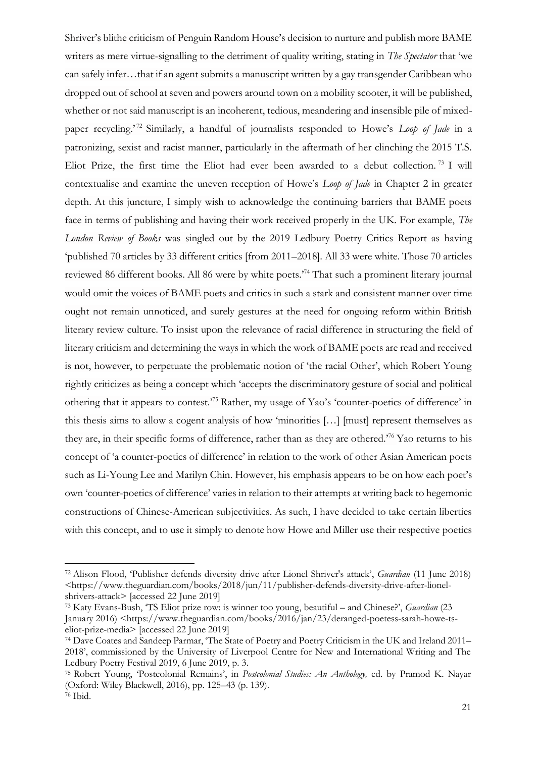Shriver's blithe criticism of Penguin Random House's decision to nurture and publish more BAME writers as mere virtue-signalling to the detriment of quality writing, stating in *The Spectator* that 'we can safely infer…that if an agent submits a manuscript written by a gay transgender Caribbean who dropped out of school at seven and powers around town on a mobility scooter, it will be published, whether or not said manuscript is an incoherent, tedious, meandering and insensible pile of mixedpaper recycling.<sup>'72</sup> Similarly, a handful of journalists responded to Howe's *Loop of Jade* in a patronizing, sexist and racist manner, particularly in the aftermath of her clinching the 2015 T.S. Eliot Prize, the first time the Eliot had ever been awarded to a debut collection. <sup>73</sup> I will contextualise and examine the uneven reception of Howe's *Loop of Jade* in Chapter 2 in greater depth. At this juncture, I simply wish to acknowledge the continuing barriers that BAME poets face in terms of publishing and having their work received properly in the UK. For example, *The London Review of Books* was singled out by the 2019 Ledbury Poetry Critics Report as having 'published 70 articles by 33 different critics [from 2011–2018]. All 33 were white. Those 70 articles reviewed 86 different books. All 86 were by white poets.'<sup>74</sup> That such a prominent literary journal would omit the voices of BAME poets and critics in such a stark and consistent manner over time ought not remain unnoticed, and surely gestures at the need for ongoing reform within British literary review culture. To insist upon the relevance of racial difference in structuring the field of literary criticism and determining the ways in which the work of BAME poets are read and received is not, however, to perpetuate the problematic notion of 'the racial Other', which Robert Young rightly criticizes as being a concept which 'accepts the discriminatory gesture of social and political othering that it appears to contest.'<sup>75</sup> Rather, my usage of Yao's 'counter-poetics of difference' in this thesis aims to allow a cogent analysis of how 'minorities […] [must] represent themselves as they are, in their specific forms of difference, rather than as they are othered.'<sup>76</sup> Yao returns to his concept of 'a counter-poetics of difference' in relation to the work of other Asian American poets such as Li-Young Lee and Marilyn Chin. However, his emphasis appears to be on how each poet's own 'counter-poetics of difference' varies in relation to their attempts at writing back to hegemonic constructions of Chinese-American subjectivities. As such, I have decided to take certain liberties with this concept, and to use it simply to denote how Howe and Miller use their respective poetics

<sup>72</sup> Alison Flood, 'Publisher defends diversity drive after Lionel Shriver's attack', *Guardian* (11 June 2018) <https://www.theguardian.com/books/2018/jun/11/publisher-defends-diversity-drive-after-lionelshrivers-attack> [accessed 22 June 2019]

<sup>73</sup> Katy Evans-Bush, 'TS Eliot prize row: is winner too young, beautiful – and Chinese?', *Guardian* (23 January 2016) <https://www.theguardian.com/books/2016/jan/23/deranged-poetess-sarah-howe-tseliot-prize-media> [accessed 22 June 2019]

<sup>74</sup> Dave Coates and Sandeep Parmar, 'The State of Poetry and Poetry Criticism in the UK and Ireland 2011– 2018', commissioned by the University of Liverpool Centre for New and International Writing and The Ledbury Poetry Festival 2019, 6 June 2019, p. 3.

<sup>75</sup> Robert Young, 'Postcolonial Remains', in *Postcolonial Studies: An Anthology,* ed. by Pramod K. Nayar (Oxford: Wiley Blackwell, 2016), pp. 125–43 (p. 139).

<sup>76</sup> Ibid.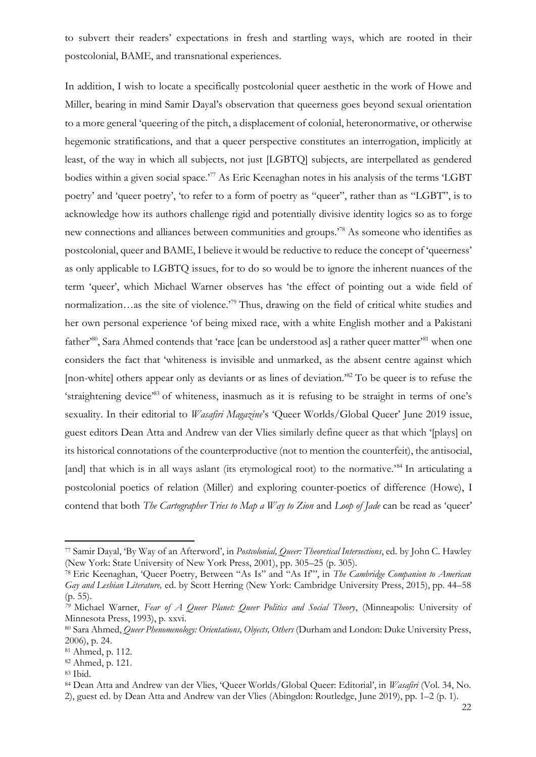to subvert their readers' expectations in fresh and startling ways, which are rooted in their postcolonial, BAME, and transnational experiences.

In addition, I wish to locate a specifically postcolonial queer aesthetic in the work of Howe and Miller, bearing in mind Samir Dayal's observation that queerness goes beyond sexual orientation to a more general 'queering of the pitch, a displacement of colonial, heteronormative, or otherwise hegemonic stratifications, and that a queer perspective constitutes an interrogation, implicitly at least, of the way in which all subjects, not just [LGBTQ] subjects, are interpellated as gendered bodies within a given social space.<sup>77</sup> As Eric Keenaghan notes in his analysis of the terms 'LGBT' poetry' and 'queer poetry', 'to refer to a form of poetry as "queer", rather than as "LGBT", is to acknowledge how its authors challenge rigid and potentially divisive identity logics so as to forge new connections and alliances between communities and groups.'<sup>78</sup> As someone who identifies as postcolonial, queer and BAME, I believe it would be reductive to reduce the concept of 'queerness' as only applicable to LGBTQ issues, for to do so would be to ignore the inherent nuances of the term 'queer', which Michael Warner observes has 'the effect of pointing out a wide field of normalization…as the site of violence.<sup>79</sup> Thus, drawing on the field of critical white studies and her own personal experience 'of being mixed race, with a white English mother and a Pakistani father<sup>80</sup>, Sara Ahmed contends that 'race [can be understood as] a rather queer matter<sup>81</sup> when one considers the fact that 'whiteness is invisible and unmarked, as the absent centre against which [non-white] others appear only as deviants or as lines of deviation.<sup>82</sup> To be queer is to refuse the 'straightening device'<sup>83</sup> of whiteness, inasmuch as it is refusing to be straight in terms of one's sexuality. In their editorial to *Wasafiri Magazine*'s 'Queer Worlds/Global Queer' June 2019 issue, guest editors Dean Atta and Andrew van der Vlies similarly define queer as that which '[plays] on its historical connotations of the counterproductive (not to mention the counterfeit), the antisocial, [and] that which is in all ways aslant (its etymological root) to the normative.<sup>84</sup> In articulating a postcolonial poetics of relation (Miller) and exploring counter-poetics of difference (Howe), I contend that both *The Cartographer Tries to Map a Way to Zion* and *Loop of Jade* can be read as 'queer'

<sup>77</sup> Samir Dayal, 'By Way of an Afterword', in *Postcolonial, Queer: Theoretical Intersections*, ed. by John C. Hawley (New York: State University of New York Press, 2001), pp. 305–25 (p. 305).

<sup>78</sup> Eric Keenaghan, 'Queer Poetry, Between "As Is" and "As If"', in *The Cambridge Companion to American Gay and Lesbian Literature,* ed. by Scott Herring (New York: Cambridge University Press, 2015), pp. 44–58 (p. 55).

*<sup>79</sup>* Michael Warner, *Fear of A Queer Planet: Queer Politics and Social Theory*, (Minneapolis: University of Minnesota Press, 1993), p. xxvi.

<sup>80</sup> Sara Ahmed, *Queer Phenomenology: Orientations, Objects, Others* (Durham and London: Duke University Press, 2006), p. 24.

<sup>81</sup> Ahmed, p. 112.

<sup>82</sup> Ahmed, p. 121.

<sup>83</sup> Ibid.

<sup>84</sup> Dean Atta and Andrew van der Vlies, 'Queer Worlds/Global Queer: Editorial', in *Wasafiri* (Vol. 34, No. 2), guest ed. by Dean Atta and Andrew van der Vlies (Abingdon: Routledge, June 2019), pp. 1–2 (p. 1).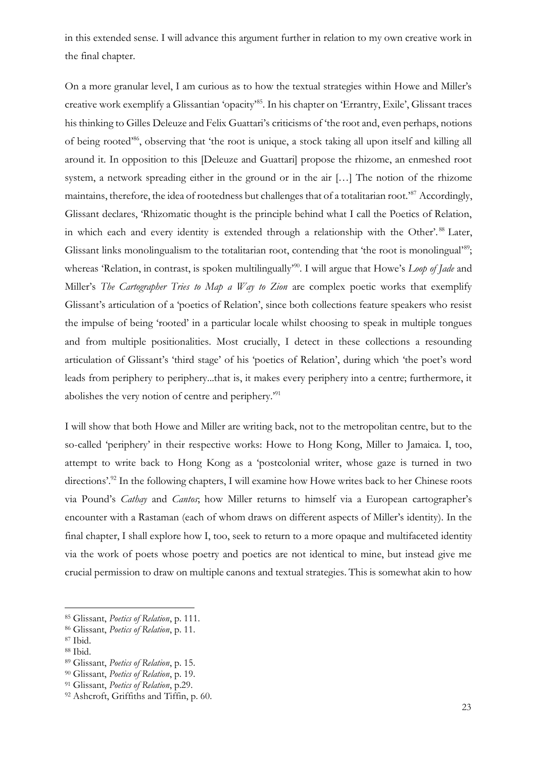in this extended sense. I will advance this argument further in relation to my own creative work in the final chapter.

On a more granular level, I am curious as to how the textual strategies within Howe and Miller's creative work exemplify a Glissantian 'opacity'<sup>85</sup>. In his chapter on 'Errantry, Exile', Glissant traces his thinking to Gilles Deleuze and Felix Guattari's criticisms of 'the root and, even perhaps, notions of being rooted'<sup>86</sup>, observing that 'the root is unique, a stock taking all upon itself and killing all around it. In opposition to this [Deleuze and Guattari] propose the rhizome, an enmeshed root system, a network spreading either in the ground or in the air […] The notion of the rhizome maintains, therefore, the idea of rootedness but challenges that of a totalitarian root.<sup>87</sup> Accordingly, Glissant declares, 'Rhizomatic thought is the principle behind what I call the Poetics of Relation, in which each and every identity is extended through a relationship with the Other'.<sup>88</sup> Later, Glissant links monolingualism to the totalitarian root, contending that 'the root is monolingual'<sup>89</sup>; whereas 'Relation, in contrast, is spoken multilingually<sup>90</sup>. I will argue that Howe's *Loop of Jade* and Miller's *The Cartographer Tries to Map a Way to Zion* are complex poetic works that exemplify Glissant's articulation of a 'poetics of Relation', since both collections feature speakers who resist the impulse of being 'rooted' in a particular locale whilst choosing to speak in multiple tongues and from multiple positionalities. Most crucially, I detect in these collections a resounding articulation of Glissant's 'third stage' of his 'poetics of Relation', during which 'the poet's word leads from periphery to periphery...that is, it makes every periphery into a centre; furthermore, it abolishes the very notion of centre and periphery.'<sup>91</sup>

I will show that both Howe and Miller are writing back, not to the metropolitan centre, but to the so-called 'periphery' in their respective works: Howe to Hong Kong, Miller to Jamaica. I, too, attempt to write back to Hong Kong as a 'postcolonial writer, whose gaze is turned in two directions'.<sup>92</sup> In the following chapters, I will examine how Howe writes back to her Chinese roots via Pound's *Cathay* and *Cantos*; how Miller returns to himself via a European cartographer's encounter with a Rastaman (each of whom draws on different aspects of Miller's identity). In the final chapter, I shall explore how I, too, seek to return to a more opaque and multifaceted identity via the work of poets whose poetry and poetics are not identical to mine, but instead give me crucial permission to draw on multiple canons and textual strategies. This is somewhat akin to how

<sup>85</sup> Glissant, *Poetics of Relation*, p. 111.

<sup>86</sup> Glissant, *Poetics of Relation*, p. 11.

<sup>87</sup> Ibid.

<sup>88</sup> Ibid.

<sup>89</sup> Glissant, *Poetics of Relation*, p. 15.

<sup>90</sup> Glissant, *Poetics of Relation*, p. 19.

<sup>91</sup> Glissant, *Poetics of Relation*, p.29.

<sup>92</sup> Ashcroft, Griffiths and Tiffin, p. 60.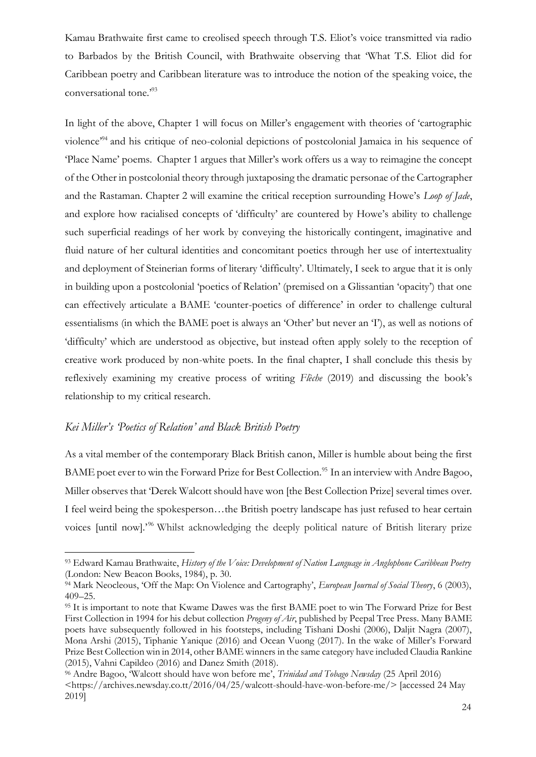Kamau Brathwaite first came to creolised speech through T.S. Eliot's voice transmitted via radio to Barbados by the British Council, with Brathwaite observing that 'What T.S. Eliot did for Caribbean poetry and Caribbean literature was to introduce the notion of the speaking voice, the conversational tone."<sup>93</sup>

In light of the above, Chapter 1 will focus on Miller's engagement with theories of 'cartographic violence'<sup>94</sup> and his critique of neo-colonial depictions of postcolonial Jamaica in his sequence of 'Place Name' poems. Chapter 1 argues that Miller's work offers us a way to reimagine the concept of the Other in postcolonial theory through juxtaposing the dramatic personae of the Cartographer and the Rastaman. Chapter 2 will examine the critical reception surrounding Howe's *Loop of Jade*, and explore how racialised concepts of 'difficulty' are countered by Howe's ability to challenge such superficial readings of her work by conveying the historically contingent, imaginative and fluid nature of her cultural identities and concomitant poetics through her use of intertextuality and deployment of Steinerian forms of literary 'difficulty'. Ultimately, I seek to argue that it is only in building upon a postcolonial 'poetics of Relation' (premised on a Glissantian 'opacity') that one can effectively articulate a BAME 'counter-poetics of difference' in order to challenge cultural essentialisms (in which the BAME poet is always an 'Other' but never an 'I'), as well as notions of 'difficulty' which are understood as objective, but instead often apply solely to the reception of creative work produced by non-white poets. In the final chapter, I shall conclude this thesis by reflexively examining my creative process of writing *Flèche* (2019) and discussing the book's relationship to my critical research.

#### *Kei Miller's 'Poetics of Relation' and Black British Poetry*

As a vital member of the contemporary Black British canon, Miller is humble about being the first BAME poet ever to win the Forward Prize for Best Collection.<sup>95</sup> In an interview with Andre Bagoo, Miller observes that 'Derek Walcott should have won [the Best Collection Prize] several times over. I feel weird being the spokesperson…the British poetry landscape has just refused to hear certain voices [until now].'<sup>96</sup> Whilst acknowledging the deeply political nature of British literary prize

<sup>93</sup> Edward Kamau Brathwaite, *History of the Voice: Development of Nation Language in Anglophone Caribbean Poetry* (London: New Beacon Books, 1984), p. 30.

<sup>94</sup> Mark Neocleous, 'Off the Map: On Violence and Cartography', *European Journal of Social Theory*, 6 (2003), 409–25.

<sup>&</sup>lt;sup>95</sup> It is important to note that Kwame Dawes was the first BAME poet to win The Forward Prize for Best First Collection in 1994 for his debut collection *Progeny of Air*, published by Peepal Tree Press. Many BAME poets have subsequently followed in his footsteps, including Tishani Doshi (2006), Daljit Nagra (2007), Mona Arshi (2015), Tiphanie Yanique (2016) and Ocean Vuong (2017). In the wake of Miller's Forward Prize Best Collection win in 2014, other BAME winners in the same category have included Claudia Rankine (2015), Vahni Capildeo (2016) and Danez Smith (2018).

<sup>96</sup> Andre Bagoo, 'Walcott should have won before me', *Trinidad and Tobago Newsday* (25 April 2016) <https://archives.newsday.co.tt/2016/04/25/walcott-should-have-won-before-me/> [accessed 24 May 2019]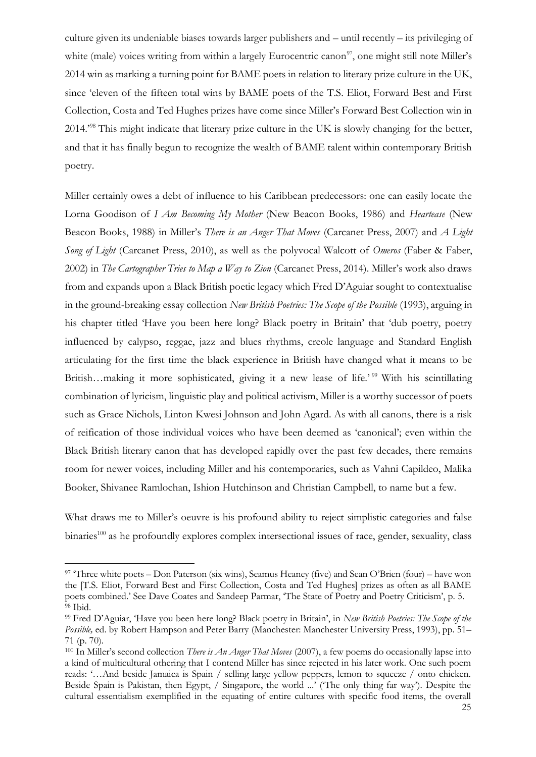culture given its undeniable biases towards larger publishers and – until recently – its privileging of white (male) voices writing from within a largely Eurocentric canon<sup>97</sup>, one might still note Miller's 2014 win as marking a turning point for BAME poets in relation to literary prize culture in the UK, since 'eleven of the fifteen total wins by BAME poets of the T.S. Eliot, Forward Best and First Collection, Costa and Ted Hughes prizes have come since Miller's Forward Best Collection win in 2014.'<sup>98</sup> This might indicate that literary prize culture in the UK is slowly changing for the better, and that it has finally begun to recognize the wealth of BAME talent within contemporary British poetry.

Miller certainly owes a debt of influence to his Caribbean predecessors: one can easily locate the Lorna Goodison of *I Am Becoming My Mother* (New Beacon Books, 1986) and *Heartease* (New Beacon Books, 1988) in Miller's *There is an Anger That Moves* (Carcanet Press, 2007) and *A Light Song of Light* (Carcanet Press, 2010), as well as the polyvocal Walcott of *Omeros* (Faber & Faber, 2002) in *The Cartographer Tries to Map a Way to Zion* (Carcanet Press, 2014). Miller's work also draws from and expands upon a Black British poetic legacy which Fred D'Aguiar sought to contextualise in the ground-breaking essay collection *New British Poetries: The Scope of the Possible* (1993), arguing in his chapter titled 'Have you been here long? Black poetry in Britain' that 'dub poetry, poetry influenced by calypso, reggae, jazz and blues rhythms, creole language and Standard English articulating for the first time the black experience in British have changed what it means to be British…making it more sophisticated, giving it a new lease of life.'<sup>99</sup> With his scintillating combination of lyricism, linguistic play and political activism, Miller is a worthy successor of poets such as Grace Nichols, Linton Kwesi Johnson and John Agard. As with all canons, there is a risk of reification of those individual voices who have been deemed as 'canonical'; even within the Black British literary canon that has developed rapidly over the past few decades, there remains room for newer voices, including Miller and his contemporaries, such as Vahni Capildeo, Malika Booker, Shivanee Ramlochan, Ishion Hutchinson and Christian Campbell, to name but a few.

What draws me to Miller's oeuvre is his profound ability to reject simplistic categories and false binaries<sup>100</sup> as he profoundly explores complex intersectional issues of race, gender, sexuality, class

<sup>97</sup> 'Three white poets – Don Paterson (six wins), Seamus Heaney (five) and Sean O'Brien (four) – have won the [T.S. Eliot, Forward Best and First Collection, Costa and Ted Hughes] prizes as often as all BAME poets combined.' See Dave Coates and Sandeep Parmar, 'The State of Poetry and Poetry Criticism', p. 5. <sup>98</sup> Ibid.

<sup>99</sup> Fred D'Aguiar, 'Have you been here long? Black poetry in Britain', in *New British Poetries: The Scope of the Possible,* ed. by Robert Hampson and Peter Barry (Manchester: Manchester University Press, 1993), pp. 51– 71 (p. 70).

<sup>100</sup> In Miller's second collection *There is An Anger That Moves* (2007), a few poems do occasionally lapse into a kind of multicultural othering that I contend Miller has since rejected in his later work. One such poem reads: '…And beside Jamaica is Spain / selling large yellow peppers, lemon to squeeze / onto chicken. Beside Spain is Pakistan, then Egypt, / Singapore, the world ...' ('The only thing far way'). Despite the cultural essentialism exemplified in the equating of entire cultures with specific food items, the overall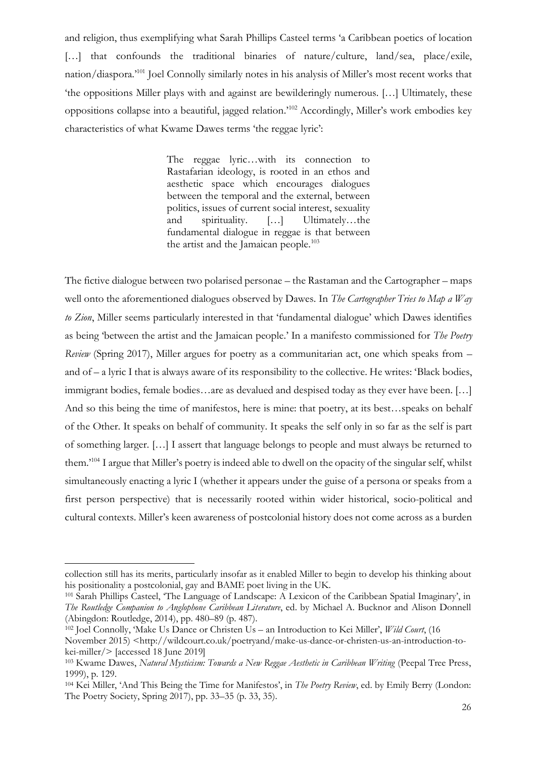and religion, thus exemplifying what Sarah Phillips Casteel terms 'a Caribbean poetics of location [...] that confounds the traditional binaries of nature/culture, land/sea, place/exile, nation/diaspora.'<sup>101</sup> Joel Connolly similarly notes in his analysis of Miller's most recent works that 'the oppositions Miller plays with and against are bewilderingly numerous. […] Ultimately, these oppositions collapse into a beautiful, jagged relation.'<sup>102</sup> Accordingly, Miller's work embodies key characteristics of what Kwame Dawes terms 'the reggae lyric':

> The reggae lyric…with its connection to Rastafarian ideology, is rooted in an ethos and aesthetic space which encourages dialogues between the temporal and the external, between politics, issues of current social interest, sexuality and spirituality. […] Ultimately…the fundamental dialogue in reggae is that between the artist and the Jamaican people.<sup>103</sup>

The fictive dialogue between two polarised personae – the Rastaman and the Cartographer – maps well onto the aforementioned dialogues observed by Dawes. In *The Cartographer Tries to Map a Way to Zion*, Miller seems particularly interested in that 'fundamental dialogue' which Dawes identifies as being 'between the artist and the Jamaican people.' In a manifesto commissioned for *The Poetry Review* (Spring 2017), Miller argues for poetry as a communitarian act, one which speaks from – and of – a lyric I that is always aware of its responsibility to the collective. He writes: 'Black bodies, immigrant bodies, female bodies…are as devalued and despised today as they ever have been. […] And so this being the time of manifestos, here is mine: that poetry, at its best…speaks on behalf of the Other. It speaks on behalf of community. It speaks the self only in so far as the self is part of something larger. […] I assert that language belongs to people and must always be returned to them.'<sup>104</sup> I argue that Miller's poetry is indeed able to dwell on the opacity of the singular self, whilst simultaneously enacting a lyric I (whether it appears under the guise of a persona or speaks from a first person perspective) that is necessarily rooted within wider historical, socio-political and cultural contexts. Miller's keen awareness of postcolonial history does not come across as a burden

collection still has its merits, particularly insofar as it enabled Miller to begin to develop his thinking about his positionality a postcolonial, gay and BAME poet living in the UK.

<sup>101</sup> Sarah Phillips Casteel, 'The Language of Landscape: A Lexicon of the Caribbean Spatial Imaginary', in *The Routledge Companion to Anglophone Caribbean Literature*, ed. by Michael A. Bucknor and Alison Donnell (Abingdon: Routledge, 2014), pp. 480–89 (p. 487).

<sup>102</sup> Joel Connolly, 'Make Us Dance or Christen Us – an Introduction to Kei Miller', *Wild Court*, (16

November 2015) <http://wildcourt.co.uk/poetryand/make-us-dance-or-christen-us-an-introduction-tokei-miller/> [accessed 18 June 2019]

<sup>103</sup> Kwame Dawes, *Natural Mysticism: Towards a New Reggae Aesthetic in Caribbean Writing* (Peepal Tree Press, 1999), p. 129.

<sup>104</sup> Kei Miller, 'And This Being the Time for Manifestos', in *The Poetry Review*, ed. by Emily Berry (London: The Poetry Society, Spring 2017), pp. 33–35 (p. 33, 35).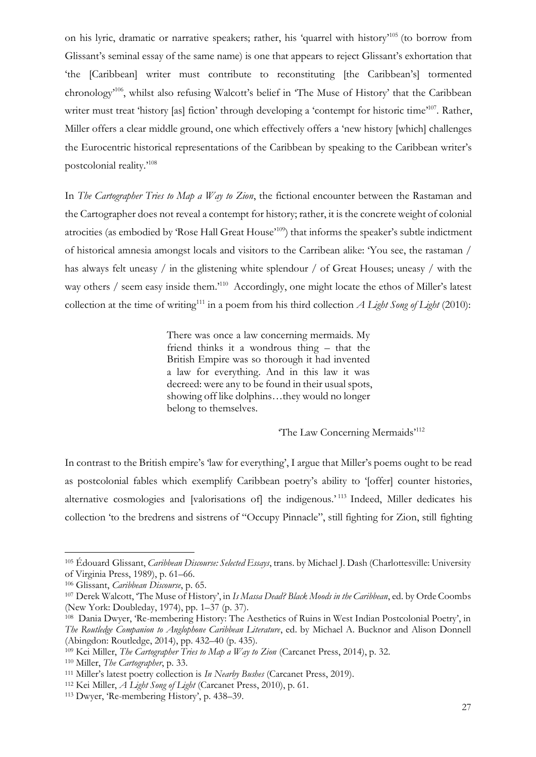on his lyric, dramatic or narrative speakers; rather, his 'quarrel with history'<sup>105</sup> (to borrow from Glissant's seminal essay of the same name) is one that appears to reject Glissant's exhortation that 'the [Caribbean] writer must contribute to reconstituting [the Caribbean's] tormented chronology'<sup>106</sup>, whilst also refusing Walcott's belief in 'The Muse of History' that the Caribbean writer must treat 'history [as] fiction' through developing a 'contempt for historic time'<sup>107</sup>. Rather, Miller offers a clear middle ground, one which effectively offers a 'new history [which] challenges the Eurocentric historical representations of the Caribbean by speaking to the Caribbean writer's postcolonial reality.'<sup>108</sup>

In *The Cartographer Tries to Map a Way to Zion*, the fictional encounter between the Rastaman and the Cartographer does not reveal a contempt for history; rather, it is the concrete weight of colonial atrocities (as embodied by 'Rose Hall Great House'<sup>109</sup>) that informs the speaker's subtle indictment of historical amnesia amongst locals and visitors to the Carribean alike: 'You see, the rastaman / has always felt uneasy / in the glistening white splendour / of Great Houses; uneasy / with the way others / seem easy inside them.<sup>110</sup> Accordingly, one might locate the ethos of Miller's latest collection at the time of writing<sup>111</sup> in a poem from his third collection *A Light Song of Light* (2010):

> There was once a law concerning mermaids. My friend thinks it a wondrous thing – that the British Empire was so thorough it had invented a law for everything. And in this law it was decreed: were any to be found in their usual spots, showing off like dolphins…they would no longer belong to themselves.

> > 'The Law Concerning Mermaids'<sup>112</sup>

In contrast to the British empire's 'law for everything', I argue that Miller's poems ought to be read as postcolonial fables which exemplify Caribbean poetry's ability to '[offer] counter histories, alternative cosmologies and [valorisations of] the indigenous.<sup>'113</sup> Indeed, Miller dedicates his collection 'to the bredrens and sistrens of "Occupy Pinnacle", still fighting for Zion, still fighting

<sup>105</sup> Édouard Glissant, *Caribbean Discourse: Selected Essays*, trans. by Michael J. Dash (Charlottesville: University of Virginia Press, 1989), p. 61–66.

<sup>106</sup> Glissant, *Caribbean Discourse*, p. 65.

<sup>107</sup> Derek Walcott, 'The Muse of History', in *Is Massa Dead? Black Moods in the Caribbean*, ed. by Orde Coombs (New York: Doubleday, 1974), pp. 1–37 (p. 37).

<sup>108</sup> Dania Dwyer, 'Re-membering History: The Aesthetics of Ruins in West Indian Postcolonial Poetry', in *The Routledge Companion to Anglophone Caribbean Literature*, ed. by Michael A. Bucknor and Alison Donnell (Abingdon: Routledge, 2014), pp. 432–40 (p. 435).

<sup>109</sup> Kei Miller, *The Cartographer Tries to Map a Way to Zion* (Carcanet Press, 2014), p. 32.

<sup>110</sup> Miller, *The Cartographer*, p. 33.

<sup>111</sup> Miller's latest poetry collection is *In Nearby Bushes* (Carcanet Press, 2019).

<sup>112</sup> Kei Miller, *A Light Song of Light* (Carcanet Press, 2010), p. 61.

<sup>113</sup> Dwyer, 'Re-membering History', p. 438–39.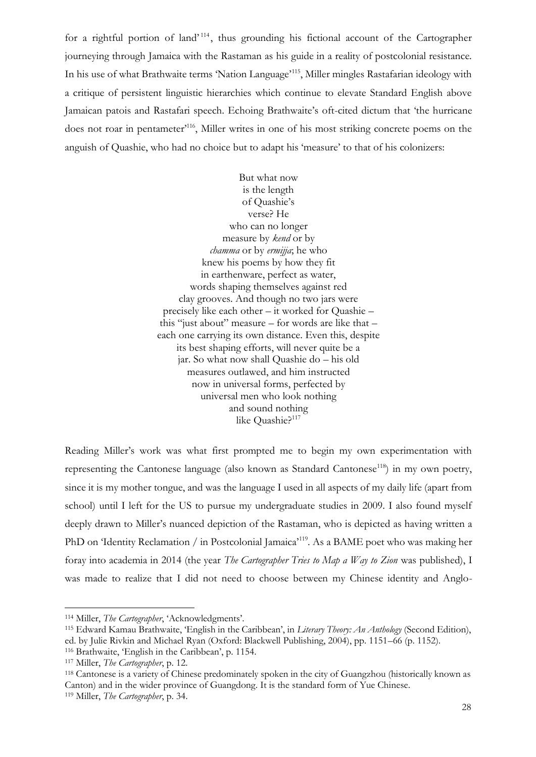for a rightful portion of land'<sup>114</sup>, thus grounding his fictional account of the Cartographer journeying through Jamaica with the Rastaman as his guide in a reality of postcolonial resistance. In his use of what Brathwaite terms 'Nation Language'<sup>115</sup>, Miller mingles Rastafarian ideology with a critique of persistent linguistic hierarchies which continue to elevate Standard English above Jamaican patois and Rastafari speech. Echoing Brathwaite's oft-cited dictum that 'the hurricane does not roar in pentameter<sup>'116</sup>, Miller writes in one of his most striking concrete poems on the anguish of Quashie, who had no choice but to adapt his 'measure' to that of his colonizers:

> But what now is the length of Quashie's verse? He who can no longer measure by *kend* or by *chamma* or by *ermijja*; he who knew his poems by how they fit in earthenware, perfect as water, words shaping themselves against red clay grooves. And though no two jars were precisely like each other – it worked for Quashie – this "just about" measure – for words are like that – each one carrying its own distance. Even this, despite its best shaping efforts, will never quite be a jar. So what now shall Quashie do – his old measures outlawed, and him instructed now in universal forms, perfected by universal men who look nothing and sound nothing like Quashie?<sup>117</sup>

Reading Miller's work was what first prompted me to begin my own experimentation with representing the Cantonese language (also known as Standard Cantonese<sup>118</sup>) in my own poetry, since it is my mother tongue, and was the language I used in all aspects of my daily life (apart from school) until I left for the US to pursue my undergraduate studies in 2009. I also found myself deeply drawn to Miller's nuanced depiction of the Rastaman, who is depicted as having written a PhD on 'Identity Reclamation / in Postcolonial Jamaica'<sup>119</sup>. As a BAME poet who was making her foray into academia in 2014 (the year *The Cartographer Tries to Map a Way to Zion* was published), I was made to realize that I did not need to choose between my Chinese identity and Anglo-

<sup>118</sup> Cantonese is a variety of Chinese predominately spoken in the city of Guangzhou (historically known as Canton) and in the wider province of Guangdong. It is the standard form of Yue Chinese. <sup>119</sup> Miller, *The Cartographer*, p. 34.

<sup>114</sup> Miller, *The Cartographer*, 'Acknowledgments'.

<sup>115</sup> Edward Kamau Brathwaite, 'English in the Caribbean', in *Literary Theory: An Anthology* (Second Edition), ed. by Julie Rivkin and Michael Ryan (Oxford: Blackwell Publishing, 2004), pp. 1151–66 (p. 1152).

<sup>116</sup> Brathwaite, 'English in the Caribbean', p. 1154.

<sup>117</sup> Miller, *The Cartographer*, p. 12.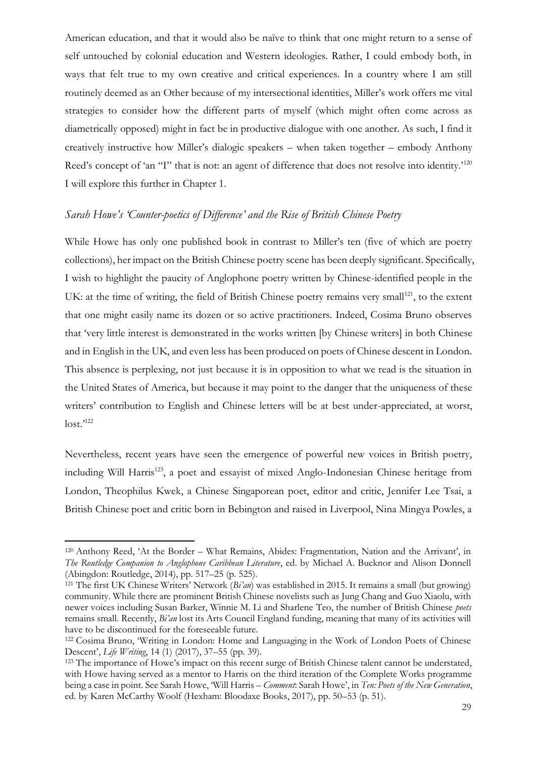American education, and that it would also be naïve to think that one might return to a sense of self untouched by colonial education and Western ideologies. Rather, I could embody both, in ways that felt true to my own creative and critical experiences. In a country where I am still routinely deemed as an Other because of my intersectional identities, Miller's work offers me vital strategies to consider how the different parts of myself (which might often come across as diametrically opposed) might in fact be in productive dialogue with one another. As such, I find it creatively instructive how Miller's dialogic speakers – when taken together – embody Anthony Reed's concept of 'an "I" that is not: an agent of difference that does not resolve into identity.<sup>'120</sup> I will explore this further in Chapter 1.

### *Sarah Howe's 'Counter-poetics of Difference' and the Rise of British Chinese Poetry*

While Howe has only one published book in contrast to Miller's ten (five of which are poetry collections), her impact on the British Chinese poetry scene has been deeply significant. Specifically, I wish to highlight the paucity of Anglophone poetry written by Chinese-identified people in the UK: at the time of writing, the field of British Chinese poetry remains very small<sup>121</sup>, to the extent that one might easily name its dozen or so active practitioners. Indeed, Cosima Bruno observes that 'very little interest is demonstrated in the works written [by Chinese writers] in both Chinese and in English in the UK, and even less has been produced on poets of Chinese descent in London. This absence is perplexing, not just because it is in opposition to what we read is the situation in the United States of America, but because it may point to the danger that the uniqueness of these writers' contribution to English and Chinese letters will be at best under-appreciated, at worst, lost.'<sup>122</sup>

Nevertheless, recent years have seen the emergence of powerful new voices in British poetry, including Will Harris<sup>123</sup>, a poet and essayist of mixed Anglo-Indonesian Chinese heritage from London, Theophilus Kwek, a Chinese Singaporean poet, editor and critic, Jennifer Lee Tsai, a British Chinese poet and critic born in Bebington and raised in Liverpool, Nina Mingya Powles, a

<sup>120</sup> Anthony Reed, 'At the Border – What Remains, Abides: Fragmentation, Nation and the Arrivant', in *The Routledge Companion to Anglophone Caribbean Literature*, ed. by Michael A. Bucknor and Alison Donnell (Abingdon: Routledge, 2014), pp. 517–25 (p. 525).

<sup>121</sup> The first UK Chinese Writers' Network (*Bi'an*) was established in 2015. It remains a small (but growing) community. While there are prominent British Chinese novelists such as Jung Chang and Guo Xiaolu, with newer voices including Susan Barker, Winnie M. Li and Sharlene Teo, the number of British Chinese *poets* remains small. Recently, *Bi'an* lost its Arts Council England funding, meaning that many of its activities will have to be discontinued for the foreseeable future.

<sup>122</sup> Cosima Bruno, 'Writing in London: Home and Languaging in the Work of London Poets of Chinese Descent', *Life Writing*, 14 (1) (2017), 37–55 (pp. 39).

<sup>&</sup>lt;sup>123</sup> The importance of Howe's impact on this recent surge of British Chinese talent cannot be understated, with Howe having served as a mentor to Harris on the third iteration of the Complete Works programme being a case in point. See Sarah Howe, 'Will Harris – *Comment*: Sarah Howe', in *Ten: Poets of the New Generation*, ed. by Karen McCarthy Woolf (Hexham: Bloodaxe Books, 2017), pp. 50–53 (p. 51).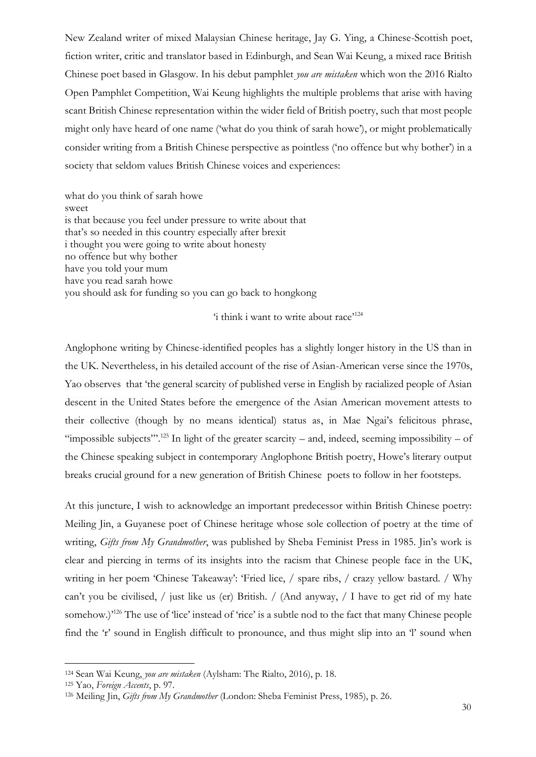New Zealand writer of mixed Malaysian Chinese heritage, Jay G. Ying, a Chinese-Scottish poet, fiction writer, critic and translator based in Edinburgh, and Sean Wai Keung, a mixed race British Chinese poet based in Glasgow. In his debut pamphlet *you are mistaken* which won the 2016 Rialto Open Pamphlet Competition, Wai Keung highlights the multiple problems that arise with having scant British Chinese representation within the wider field of British poetry, such that most people might only have heard of one name ('what do you think of sarah howe'), or might problematically consider writing from a British Chinese perspective as pointless ('no offence but why bother') in a society that seldom values British Chinese voices and experiences:

what do you think of sarah howe sweet is that because you feel under pressure to write about that that's so needed in this country especially after brexit i thought you were going to write about honesty no offence but why bother have you told your mum have you read sarah howe you should ask for funding so you can go back to hongkong

'i think i want to write about race'<sup>124</sup>

Anglophone writing by Chinese-identified peoples has a slightly longer history in the US than in the UK. Nevertheless, in his detailed account of the rise of Asian-American verse since the 1970s, Yao observes that 'the general scarcity of published verse in English by racialized people of Asian descent in the United States before the emergence of the Asian American movement attests to their collective (though by no means identical) status as, in Mae Ngai's felicitous phrase, "impossible subjects".<sup>125</sup> In light of the greater scarcity – and, indeed, seeming impossibility – of the Chinese speaking subject in contemporary Anglophone British poetry, Howe's literary output breaks crucial ground for a new generation of British Chinese poets to follow in her footsteps.

At this juncture, I wish to acknowledge an important predecessor within British Chinese poetry: Meiling Jin, a Guyanese poet of Chinese heritage whose sole collection of poetry at the time of writing, *Gifts from My Grandmother*, was published by Sheba Feminist Press in 1985. Jin's work is clear and piercing in terms of its insights into the racism that Chinese people face in the UK, writing in her poem 'Chinese Takeaway': 'Fried lice, / spare ribs, / crazy yellow bastard. / Why can't you be civilised, / just like us (er) British. / (And anyway, / I have to get rid of my hate somehow.)<sup>126</sup> The use of 'lice' instead of 'rice' is a subtle nod to the fact that many Chinese people find the 'r' sound in English difficult to pronounce, and thus might slip into an 'l' sound when

<sup>124</sup> Sean Wai Keung, *you are mistaken* (Aylsham: The Rialto, 2016), p. 18.

<sup>125</sup> Yao, *Foreign Accents*, p. 97.

<sup>126</sup> Meiling Jin, *Gifts from My Grandmother* (London: Sheba Feminist Press, 1985), p. 26.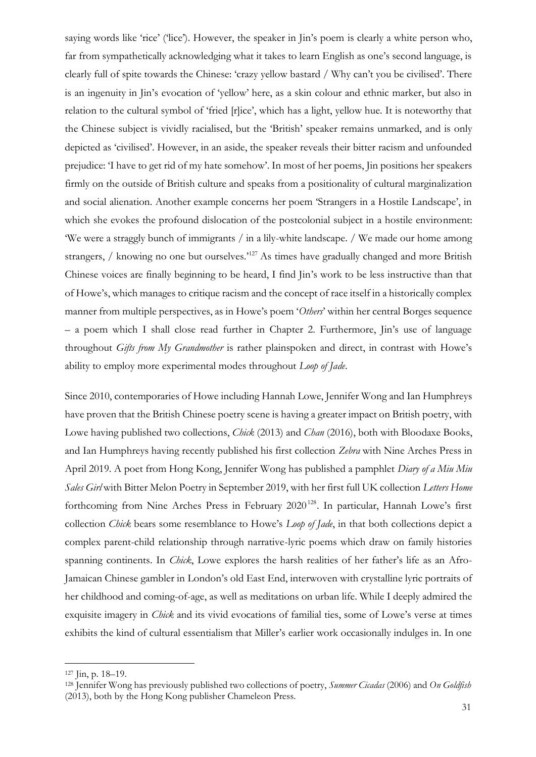saying words like 'rice' ('lice'). However, the speaker in Jin's poem is clearly a white person who, far from sympathetically acknowledging what it takes to learn English as one's second language, is clearly full of spite towards the Chinese: 'crazy yellow bastard / Why can't you be civilised'. There is an ingenuity in Jin's evocation of 'yellow' here, as a skin colour and ethnic marker, but also in relation to the cultural symbol of 'fried [r]ice', which has a light, yellow hue. It is noteworthy that the Chinese subject is vividly racialised, but the 'British' speaker remains unmarked, and is only depicted as 'civilised'. However, in an aside, the speaker reveals their bitter racism and unfounded prejudice: 'I have to get rid of my hate somehow'. In most of her poems, Jin positions her speakers firmly on the outside of British culture and speaks from a positionality of cultural marginalization and social alienation. Another example concerns her poem 'Strangers in a Hostile Landscape', in which she evokes the profound dislocation of the postcolonial subject in a hostile environment: 'We were a straggly bunch of immigrants / in a lily-white landscape. / We made our home among strangers, / knowing no one but ourselves.<sup>127</sup> As times have gradually changed and more British Chinese voices are finally beginning to be heard, I find Jin's work to be less instructive than that of Howe's, which manages to critique racism and the concept of race itself in a historically complex manner from multiple perspectives, as in Howe's poem '*Others*' within her central Borges sequence – a poem which I shall close read further in Chapter 2. Furthermore, Jin's use of language throughout *Gifts from My Grandmother* is rather plainspoken and direct, in contrast with Howe's ability to employ more experimental modes throughout *Loop of Jade*.

Since 2010, contemporaries of Howe including Hannah Lowe, Jennifer Wong and Ian Humphreys have proven that the British Chinese poetry scene is having a greater impact on British poetry, with Lowe having published two collections, *Chick* (2013) and *Chan* (2016), both with Bloodaxe Books, and Ian Humphreys having recently published his first collection *Zebra* with Nine Arches Press in April 2019. A poet from Hong Kong, Jennifer Wong has published a pamphlet *Diary of a Miu Miu Sales Girl* with Bitter Melon Poetry in September 2019, with her first full UK collection *Letters Home* forthcoming from Nine Arches Press in February 2020<sup>128</sup>. In particular, Hannah Lowe's first collection *Chick* bears some resemblance to Howe's *Loop of Jade*, in that both collections depict a complex parent-child relationship through narrative-lyric poems which draw on family histories spanning continents. In *Chick*, Lowe explores the harsh realities of her father's life as an Afro-Jamaican Chinese gambler in London's old East End, interwoven with crystalline lyric portraits of her childhood and coming-of-age, as well as meditations on urban life. While I deeply admired the exquisite imagery in *Chick* and its vivid evocations of familial ties, some of Lowe's verse at times exhibits the kind of cultural essentialism that Miller's earlier work occasionally indulges in. In one

<sup>127</sup> Jin, p. 18–19.

<sup>128</sup> Jennifer Wong has previously published two collections of poetry, *Summer Cicadas* (2006) and *On Goldfish* (2013), both by the Hong Kong publisher Chameleon Press.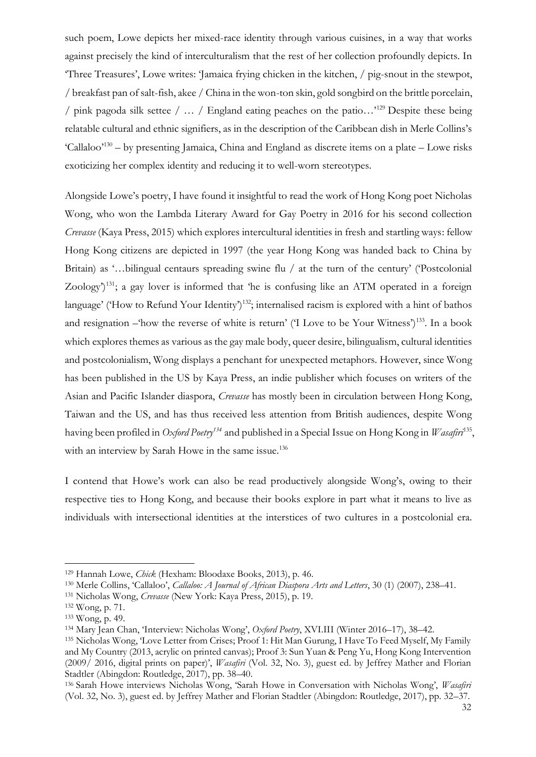such poem, Lowe depicts her mixed-race identity through various cuisines, in a way that works against precisely the kind of interculturalism that the rest of her collection profoundly depicts. In 'Three Treasures', Lowe writes: 'Jamaica frying chicken in the kitchen, / pig-snout in the stewpot, / breakfast pan of salt-fish, akee / China in the won-ton skin, gold songbird on the brittle porcelain, / pink pagoda silk settee / … / England eating peaches on the patio…'<sup>129</sup> Despite these being relatable cultural and ethnic signifiers, as in the description of the Caribbean dish in Merle Collins's 'Callaloo'<sup>130</sup> – by presenting Jamaica, China and England as discrete items on a plate – Lowe risks exoticizing her complex identity and reducing it to well-worn stereotypes.

Alongside Lowe's poetry, I have found it insightful to read the work of Hong Kong poet Nicholas Wong, who won the Lambda Literary Award for Gay Poetry in 2016 for his second collection *Crevasse* (Kaya Press, 2015) which explores intercultural identities in fresh and startling ways: fellow Hong Kong citizens are depicted in 1997 (the year Hong Kong was handed back to China by Britain) as '...bilingual centaurs spreading swine flu / at the turn of the century' ('Postcolonial Zoology $\gamma^{131}$ ; a gay lover is informed that 'he is confusing like an ATM operated in a foreign language' ('How to Refund Your Identity')<sup>132</sup>; internalised racism is explored with a hint of bathos and resignation –'how the reverse of white is return' ('I Love to be Your Witness')<sup>133</sup>. In a book which explores themes as various as the gay male body, queer desire, bilingualism, cultural identities and postcolonialism, Wong displays a penchant for unexpected metaphors. However, since Wong has been published in the US by Kaya Press, an indie publisher which focuses on writers of the Asian and Pacific Islander diaspora, *Crevasse* has mostly been in circulation between Hong Kong, Taiwan and the US, and has thus received less attention from British audiences, despite Wong having been profiled in *Oxford Poetry<sup>134</sup>* and published in a Special Issue on Hong Kong in *Wasafiri*<sup>135</sup> , with an interview by Sarah Howe in the same issue.<sup>136</sup>

I contend that Howe's work can also be read productively alongside Wong's, owing to their respective ties to Hong Kong, and because their books explore in part what it means to live as individuals with intersectional identities at the interstices of two cultures in a postcolonial era.

<sup>129</sup> Hannah Lowe, *Chick* (Hexham: Bloodaxe Books, 2013), p. 46.

<sup>130</sup> Merle Collins, 'Callaloo', *Callaloo: A Journal of African Diaspora Arts and Letters*, 30 (1) (2007), 238–41.

<sup>131</sup> Nicholas Wong, *Crevasse* (New York: Kaya Press, 2015), p. 19.

<sup>132</sup> Wong, p. 71.

<sup>133</sup> Wong, p. 49.

<sup>134</sup> Mary Jean Chan, 'Interview: Nicholas Wong', *Oxford Poetry*, XVI.III (Winter 2016–17), 38–42.

<sup>135</sup> Nicholas Wong, 'Love Letter from Crises; Proof 1: Hit Man Gurung, I Have To Feed Myself, My Family and My Country (2013, acrylic on printed canvas); Proof 3: Sun Yuan & Peng Yu, Hong Kong Intervention (2009/ 2016, digital prints on paper)', *Wasafiri* (Vol. 32, No. 3), guest ed. by Jeffrey Mather and Florian Stadtler (Abingdon: Routledge, 2017), pp. 38–40.

<sup>136</sup> Sarah Howe interviews Nicholas Wong, 'Sarah Howe in Conversation with Nicholas Wong', *Wasafiri* (Vol. 32, No. 3), guest ed. by Jeffrey Mather and Florian Stadtler (Abingdon: Routledge, 2017), pp. 32–37.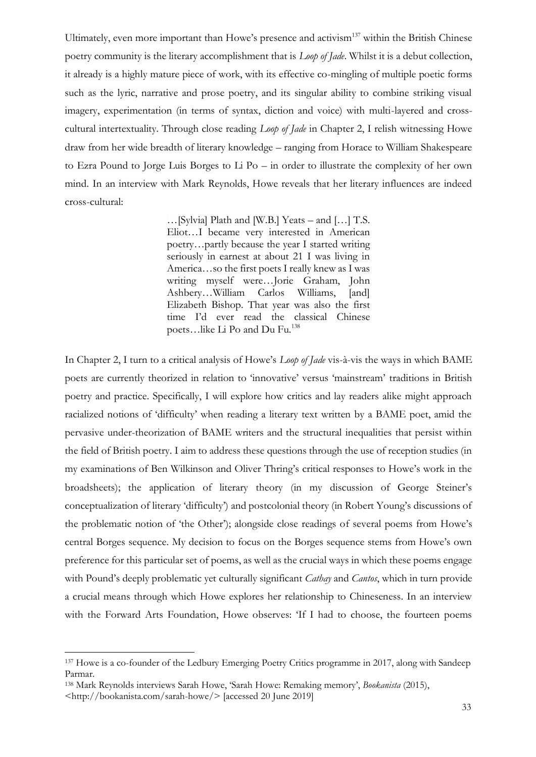Ultimately, even more important than Howe's presence and activism<sup>137</sup> within the British Chinese poetry community is the literary accomplishment that is *Loop of Jade*. Whilst it is a debut collection, it already is a highly mature piece of work, with its effective co-mingling of multiple poetic forms such as the lyric, narrative and prose poetry, and its singular ability to combine striking visual imagery, experimentation (in terms of syntax, diction and voice) with multi-layered and crosscultural intertextuality. Through close reading *Loop of Jade* in Chapter 2, I relish witnessing Howe draw from her wide breadth of literary knowledge – ranging from Horace to William Shakespeare to Ezra Pound to Jorge Luis Borges to Li Po – in order to illustrate the complexity of her own mind. In an interview with Mark Reynolds, Howe reveals that her literary influences are indeed cross-cultural:

> …[Sylvia] Plath and [W.B.] Yeats – and […] T.S. Eliot…I became very interested in American poetry…partly because the year I started writing seriously in earnest at about 21 I was living in America…so the first poets I really knew as I was writing myself were…Jorie Graham, John Ashbery…William Carlos Williams, [and] Elizabeth Bishop. That year was also the first time I'd ever read the classical Chinese poets…like Li Po and Du Fu.<sup>138</sup>

In Chapter 2, I turn to a critical analysis of Howe's *Loop of Jade* vis-à-vis the ways in which BAME poets are currently theorized in relation to 'innovative' versus 'mainstream' traditions in British poetry and practice. Specifically, I will explore how critics and lay readers alike might approach racialized notions of 'difficulty' when reading a literary text written by a BAME poet, amid the pervasive under-theorization of BAME writers and the structural inequalities that persist within the field of British poetry. I aim to address these questions through the use of reception studies (in my examinations of Ben Wilkinson and Oliver Thring's critical responses to Howe's work in the broadsheets); the application of literary theory (in my discussion of George Steiner's conceptualization of literary 'difficulty') and postcolonial theory (in Robert Young's discussions of the problematic notion of 'the Other'); alongside close readings of several poems from Howe's central Borges sequence. My decision to focus on the Borges sequence stems from Howe's own preference for this particular set of poems, as well as the crucial ways in which these poems engage with Pound's deeply problematic yet culturally significant *Cathay* and *Cantos*, which in turn provide a crucial means through which Howe explores her relationship to Chineseness. In an interview with the Forward Arts Foundation, Howe observes: 'If I had to choose, the fourteen poems

<sup>137</sup> Howe is a co-founder of the Ledbury Emerging Poetry Critics programme in 2017, along with Sandeep Parmar.

<sup>138</sup> Mark Reynolds interviews Sarah Howe, 'Sarah Howe: Remaking memory', *Bookanista* (2015),

<sup>&</sup>lt;http://bookanista.com/sarah-howe/> [accessed 20 June 2019]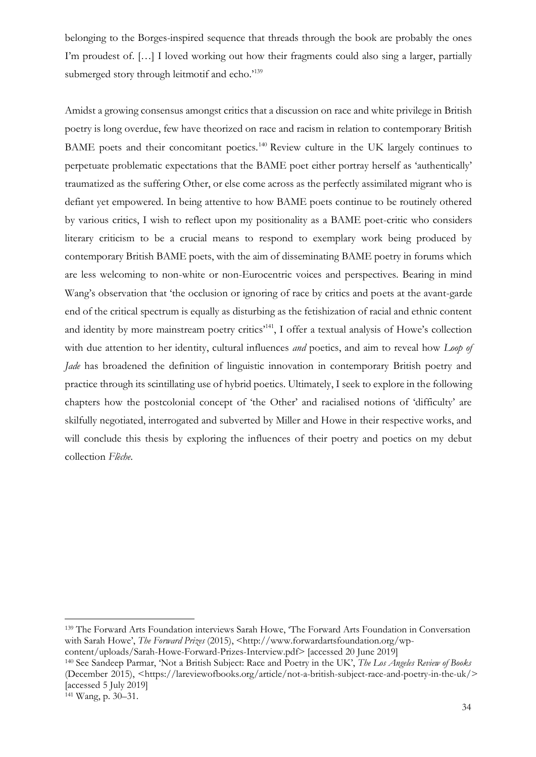belonging to the Borges-inspired sequence that threads through the book are probably the ones I'm proudest of. […] I loved working out how their fragments could also sing a larger, partially submerged story through leitmotif and echo.<sup>139</sup>

Amidst a growing consensus amongst critics that a discussion on race and white privilege in British poetry is long overdue, few have theorized on race and racism in relation to contemporary British BAME poets and their concomitant poetics.<sup>140</sup> Review culture in the UK largely continues to perpetuate problematic expectations that the BAME poet either portray herself as 'authentically' traumatized as the suffering Other, or else come across as the perfectly assimilated migrant who is defiant yet empowered. In being attentive to how BAME poets continue to be routinely othered by various critics, I wish to reflect upon my positionality as a BAME poet-critic who considers literary criticism to be a crucial means to respond to exemplary work being produced by contemporary British BAME poets, with the aim of disseminating BAME poetry in forums which are less welcoming to non-white or non-Eurocentric voices and perspectives. Bearing in mind Wang's observation that 'the occlusion or ignoring of race by critics and poets at the avant-garde end of the critical spectrum is equally as disturbing as the fetishization of racial and ethnic content and identity by more mainstream poetry critics<sup>141</sup>, I offer a textual analysis of Howe's collection with due attention to her identity, cultural influences *and* poetics, and aim to reveal how *Loop of Jade* has broadened the definition of linguistic innovation in contemporary British poetry and practice through its scintillating use of hybrid poetics. Ultimately, I seek to explore in the following chapters how the postcolonial concept of 'the Other' and racialised notions of 'difficulty' are skilfully negotiated, interrogated and subverted by Miller and Howe in their respective works, and will conclude this thesis by exploring the influences of their poetry and poetics on my debut collection *Flèche*.

<sup>139</sup> The Forward Arts Foundation interviews Sarah Howe, 'The Forward Arts Foundation in Conversation with Sarah Howe', *The Forward Prizes* (2015), <http://www.forwardartsfoundation.org/wpcontent/uploads/Sarah-Howe-Forward-Prizes-Interview.pdf> [accessed 20 June 2019]

<sup>140</sup> See Sandeep Parmar, 'Not a British Subject: Race and Poetry in the UK', *The Los Angeles Review of Books* (December 2015), [<https://lareviewofbooks.org/article/not-a-british-subject-race-and-poetry-in-the-uk/>](https://lareviewofbooks.org/article/not-a-british-subject-race-and-poetry-in-the-uk/) [accessed 5 July 2019]

<sup>141</sup> Wang, p. 30–31.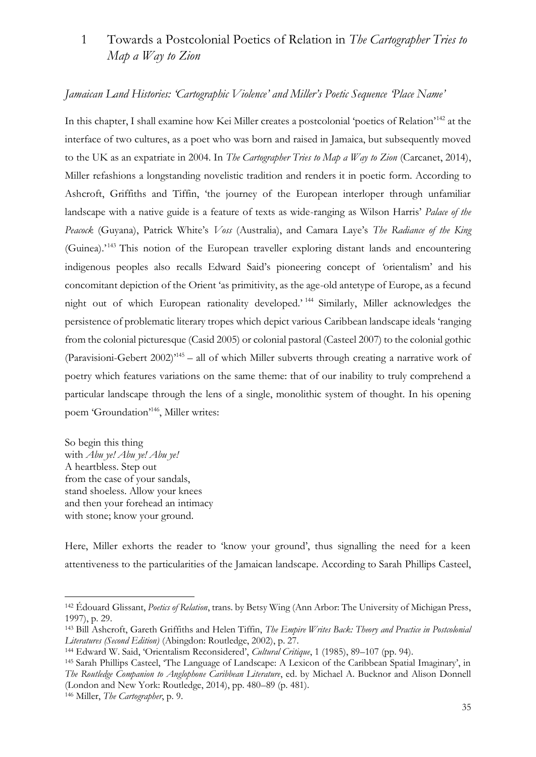## 1 Towards a Postcolonial Poetics of Relation in *The Cartographer Tries to Map a Way to Zion*

### *Jamaican Land Histories: 'Cartographic Violence' and Miller's Poetic Sequence 'Place Name'*

In this chapter, I shall examine how Kei Miller creates a postcolonial 'poetics of Relation'<sup>142</sup> at the interface of two cultures, as a poet who was born and raised in Jamaica, but subsequently moved to the UK as an expatriate in 2004. In *The Cartographer Tries to Map a Way to Zion* (Carcanet, 2014), Miller refashions a longstanding novelistic tradition and renders it in poetic form. According to Ashcroft, Griffiths and Tiffin, 'the journey of the European interloper through unfamiliar landscape with a native guide is a feature of texts as wide-ranging as Wilson Harris' *Palace of the Peacock* (Guyana), Patrick White's *Voss* (Australia), and Camara Laye's *The Radiance of the King* (Guinea).<sup>'143</sup> This notion of the European traveller exploring distant lands and encountering indigenous peoples also recalls Edward Said's pioneering concept of *'*orientalism' and his concomitant depiction of the Orient 'as primitivity, as the age-old antetype of Europe, as a fecund night out of which European rationality developed.' <sup>144</sup> Similarly, Miller acknowledges the persistence of problematic literary tropes which depict various Caribbean landscape ideals 'ranging from the colonial picturesque (Casid 2005) or colonial pastoral (Casteel 2007) to the colonial gothic (Paravisioni-Gebert 2002)'<sup>145</sup> – all of which Miller subverts through creating a narrative work of poetry which features variations on the same theme: that of our inability to truly comprehend a particular landscape through the lens of a single, monolithic system of thought. In his opening poem 'Groundation'<sup>146</sup>, Miller writes:

So begin this thing with *Abu ye! Abu ye! Abu ye!* A heartbless. Step out from the case of your sandals, stand shoeless. Allow your knees and then your forehead an intimacy with stone; know your ground.

Here, Miller exhorts the reader to 'know your ground', thus signalling the need for a keen attentiveness to the particularities of the Jamaican landscape. According to Sarah Phillips Casteel,

<sup>146</sup> Miller, *The Cartographer*, p. 9.

<sup>142</sup> Édouard Glissant, *Poetics of Relation*, trans. by Betsy Wing (Ann Arbor: The University of Michigan Press, 1997), p. 29.

<sup>143</sup> Bill Ashcroft, Gareth Griffiths and Helen Tiffin, *The Empire Writes Back: Theory and Practice in Postcolonial Literatures (Second Edition)* (Abingdon: Routledge, 2002), p. 27.

<sup>144</sup> Edward W. Said, 'Orientalism Reconsidered', *Cultural Critique*, 1 (1985), 89–107 (pp. 94).

<sup>145</sup> Sarah Phillips Casteel, 'The Language of Landscape: A Lexicon of the Caribbean Spatial Imaginary', in *The Routledge Companion to Anglophone Caribbean Literature*, ed. by Michael A. Bucknor and Alison Donnell (London and New York: Routledge, 2014), pp. 480–89 (p. 481).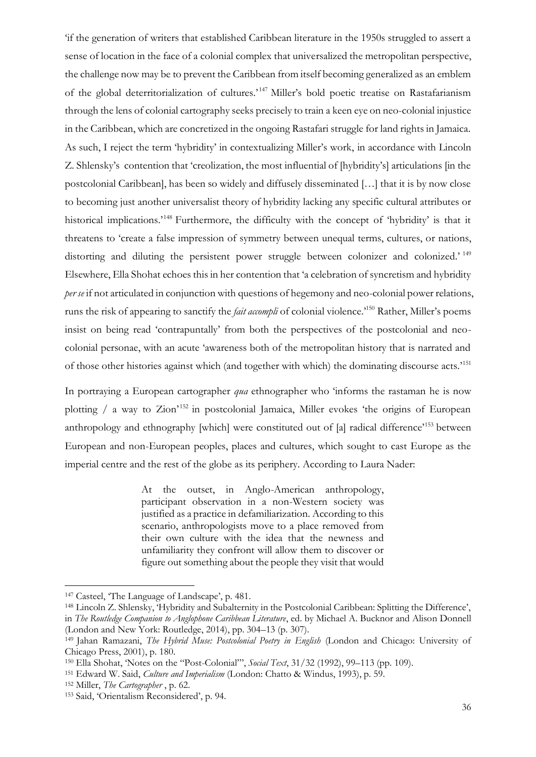'if the generation of writers that established Caribbean literature in the 1950s struggled to assert a sense of location in the face of a colonial complex that universalized the metropolitan perspective, the challenge now may be to prevent the Caribbean from itself becoming generalized as an emblem of the global deterritorialization of cultures.'<sup>147</sup> Miller's bold poetic treatise on Rastafarianism through the lens of colonial cartography seeks precisely to train a keen eye on neo-colonial injustice in the Caribbean, which are concretized in the ongoing Rastafari struggle for land rights in Jamaica. As such, I reject the term 'hybridity' in contextualizing Miller's work, in accordance with Lincoln Z. Shlensky's contention that 'creolization, the most influential of [hybridity's] articulations [in the postcolonial Caribbean], has been so widely and diffusely disseminated […] that it is by now close to becoming just another universalist theory of hybridity lacking any specific cultural attributes or historical implications.<sup>148</sup> Furthermore, the difficulty with the concept of 'hybridity' is that it threatens to 'create a false impression of symmetry between unequal terms, cultures, or nations, distorting and diluting the persistent power struggle between colonizer and colonized.<sup>' 149</sup> Elsewhere, Ella Shohat echoes this in her contention that 'a celebration of syncretism and hybridity *per se* if not articulated in conjunction with questions of hegemony and neo-colonial power relations, runs the risk of appearing to sanctify the *fait accompli* of colonial violence.'<sup>150</sup> Rather, Miller's poems insist on being read 'contrapuntally' from both the perspectives of the postcolonial and neocolonial personae, with an acute 'awareness both of the metropolitan history that is narrated and of those other histories against which (and together with which) the dominating discourse acts.'<sup>151</sup>

In portraying a European cartographer *qua* ethnographer who 'informs the rastaman he is now plotting  $/$  a way to Zion<sup>'152</sup> in postcolonial Jamaica, Miller evokes 'the origins of European anthropology and ethnography [which] were constituted out of [a] radical difference'<sup>153</sup> between European and non-European peoples, places and cultures, which sought to cast Europe as the imperial centre and the rest of the globe as its periphery. According to Laura Nader:

> At the outset, in Anglo-American anthropology, participant observation in a non-Western society was justified as a practice in defamiliarization. According to this scenario, anthropologists move to a place removed from their own culture with the idea that the newness and unfamiliarity they confront will allow them to discover or figure out something about the people they visit that would

<sup>147</sup> Casteel, 'The Language of Landscape', p. 481.

<sup>148</sup> Lincoln Z. Shlensky, 'Hybridity and Subalternity in the Postcolonial Caribbean: Splitting the Difference', in *The Routledge Companion to Anglophone Caribbean Literature*, ed. by Michael A. Bucknor and Alison Donnell (London and New York: Routledge, 2014), pp. 304–13 (p. 307).

<sup>149</sup> Jahan Ramazani, *The Hybrid Muse: Postcolonial Poetry in English* (London and Chicago: University of Chicago Press, 2001), p. 180.

<sup>150</sup> Ella Shohat, 'Notes on the "Post-Colonial"', *Social Text*, 31/32 (1992), 99–113 (pp. 109).

<sup>151</sup> Edward W. Said, *Culture and Imperialism* (London: Chatto & Windus, 1993), p. 59.

<sup>152</sup> Miller, *The Cartographer* , p. 62.

<sup>153</sup> Said, 'Orientalism Reconsidered', p. 94.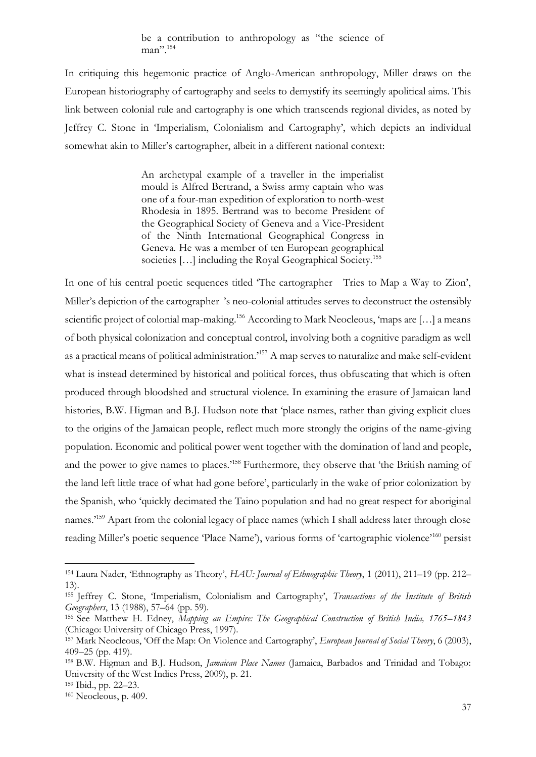be a contribution to anthropology as "the science of man".<sup>154</sup>

In critiquing this hegemonic practice of Anglo-American anthropology, Miller draws on the European historiography of cartography and seeks to demystify its seemingly apolitical aims. This link between colonial rule and cartography is one which transcends regional divides, as noted by Jeffrey C. Stone in 'Imperialism, Colonialism and Cartography', which depicts an individual somewhat akin to Miller's cartographer, albeit in a different national context:

> An archetypal example of a traveller in the imperialist mould is Alfred Bertrand, a Swiss army captain who was one of a four-man expedition of exploration to north-west Rhodesia in 1895. Bertrand was to become President of the Geographical Society of Geneva and a Vice-President of the Ninth International Geographical Congress in Geneva. He was a member of ten European geographical societies [...] including the Royal Geographical Society.<sup>155</sup>

In one of his central poetic sequences titled 'The cartographer Tries to Map a Way to Zion', Miller's depiction of the cartographer 's neo-colonial attitudes serves to deconstruct the ostensibly scientific project of colonial map-making.<sup>156</sup> According to Mark Neocleous, 'maps are [...] a means of both physical colonization and conceptual control, involving both a cognitive paradigm as well as a practical means of political administration.'<sup>157</sup> A map serves to naturalize and make self-evident what is instead determined by historical and political forces, thus obfuscating that which is often produced through bloodshed and structural violence. In examining the erasure of Jamaican land histories, B.W. Higman and B.J. Hudson note that 'place names, rather than giving explicit clues to the origins of the Jamaican people, reflect much more strongly the origins of the name-giving population. Economic and political power went together with the domination of land and people, and the power to give names to places.<sup>158</sup> Furthermore, they observe that 'the British naming of the land left little trace of what had gone before', particularly in the wake of prior colonization by the Spanish, who 'quickly decimated the Taino population and had no great respect for aboriginal names.<sup>159</sup> Apart from the colonial legacy of place names (which I shall address later through close reading Miller's poetic sequence 'Place Name'), various forms of 'cartographic violence'<sup>160</sup> persist

<sup>154</sup> Laura Nader, 'Ethnography as Theory', *HAU: Journal of Ethnographic Theory*, 1 (2011), 211–19 (pp. 212– 13).

<sup>155</sup> Jeffrey C. Stone, 'Imperialism, Colonialism and Cartography', *Transactions of the Institute of British Geographers*, 13 (1988), 57–64 (pp. 59).

<sup>156</sup> See Matthew H. Edney, *Mapping an Empire: The Geographical Construction of British India, 1765–1843* (Chicago: University of Chicago Press, 1997).

<sup>157</sup> Mark Neocleous, 'Off the Map: On Violence and Cartography', *European Journal of Social Theory*, 6 (2003), 409–25 (pp. 419).

<sup>158</sup> B.W. Higman and B.J. Hudson, *Jamaican Place Names* (Jamaica, Barbados and Trinidad and Tobago: University of the West Indies Press, 2009), p. 21.

<sup>159</sup> Ibid., pp. 22–23.

<sup>160</sup> Neocleous, p. 409.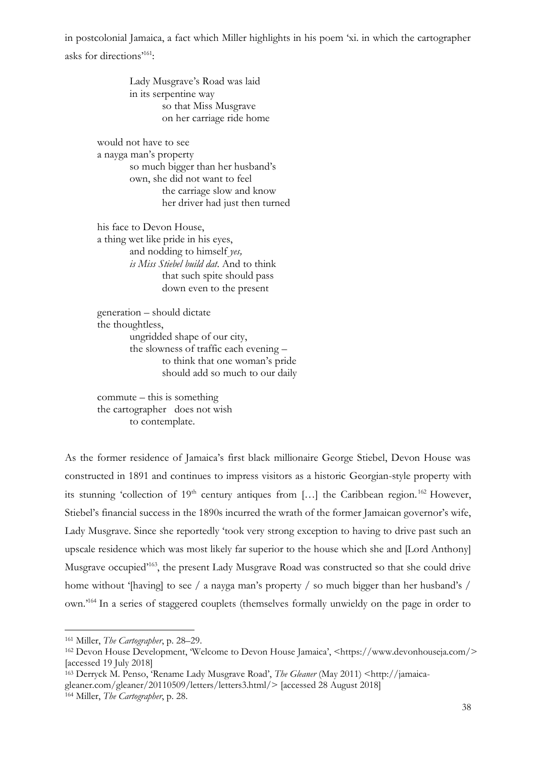in postcolonial Jamaica, a fact which Miller highlights in his poem 'xi. in which the cartographer asks for directions'<sup>161</sup>:

> Lady Musgrave's Road was laid in its serpentine way so that Miss Musgrave on her carriage ride home

would not have to see a nayga man's property so much bigger than her husband's own, she did not want to feel the carriage slow and know her driver had just then turned

his face to Devon House, a thing wet like pride in his eyes, and nodding to himself *yes, is Miss Stiebel build dat*. And to think that such spite should pass down even to the present

generation – should dictate the thoughtless, ungridded shape of our city, the slowness of traffic each evening – to think that one woman's pride should add so much to our daily

commute – this is something the cartographer does not wish to contemplate.

As the former residence of Jamaica's first black millionaire George Stiebel, Devon House was constructed in 1891 and continues to impress visitors as a historic Georgian-style property with its stunning 'collection of 19<sup>th</sup> century antiques from [...] the Caribbean region.<sup>162</sup> However, Stiebel's financial success in the 1890s incurred the wrath of the former Jamaican governor's wife, Lady Musgrave. Since she reportedly 'took very strong exception to having to drive past such an upscale residence which was most likely far superior to the house which she and [Lord Anthony] Musgrave occupied<sup>163</sup>, the present Lady Musgrave Road was constructed so that she could drive home without '[having] to see / a nayga man's property / so much bigger than her husband's / own.'<sup>164</sup> In a series of staggered couplets (themselves formally unwieldy on the page in order to

<sup>161</sup> Miller, *The Cartographer*, p. 28–29.

<sup>162</sup> Devon House Development, 'Welcome to Devon House Jamaica', <https://www.devonhouseja.com/> [accessed 19 July 2018]

<sup>163</sup> Derryck M. Penso, 'Rename Lady Musgrave Road', *The Gleaner* (May 2011) <http://jamaicagleaner.com/gleaner/20110509/letters/letters3.html/> [accessed 28 August 2018] <sup>164</sup> Miller, *The Cartographer*, p. 28.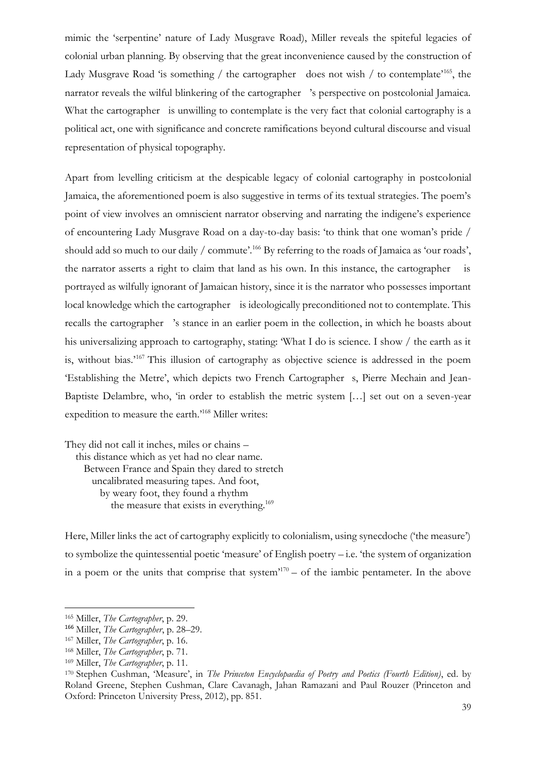mimic the 'serpentine' nature of Lady Musgrave Road), Miller reveals the spiteful legacies of colonial urban planning. By observing that the great inconvenience caused by the construction of Lady Musgrave Road 'is something / the cartographer does not wish / to contemplate<sup>'165</sup>, the narrator reveals the wilful blinkering of the cartographer 's perspective on postcolonial Jamaica. What the cartographer is unwilling to contemplate is the very fact that colonial cartography is a political act, one with significance and concrete ramifications beyond cultural discourse and visual representation of physical topography.

Apart from levelling criticism at the despicable legacy of colonial cartography in postcolonial Jamaica, the aforementioned poem is also suggestive in terms of its textual strategies. The poem's point of view involves an omniscient narrator observing and narrating the indigene's experience of encountering Lady Musgrave Road on a day-to-day basis: 'to think that one woman's pride / should add so much to our daily / commute'.<sup>166</sup> By referring to the roads of Jamaica as 'our roads', the narrator asserts a right to claim that land as his own. In this instance, the cartographer is portrayed as wilfully ignorant of Jamaican history, since it is the narrator who possesses important local knowledge which the cartographer is ideologically preconditioned not to contemplate. This recalls the cartographer 's stance in an earlier poem in the collection, in which he boasts about his universalizing approach to cartography, stating: 'What I do is science. I show / the earth as it is, without bias.'<sup>167</sup> This illusion of cartography as objective science is addressed in the poem 'Establishing the Metre', which depicts two French Cartographer s, Pierre Mechain and Jean-Baptiste Delambre, who, 'in order to establish the metric system […] set out on a seven-year expedition to measure the earth.'<sup>168</sup> Miller writes:

They did not call it inches, miles or chains – this distance which as yet had no clear name. Between France and Spain they dared to stretch uncalibrated measuring tapes. And foot, by weary foot, they found a rhythm the measure that exists in everything.<sup>169</sup>

Here, Miller links the act of cartography explicitly to colonialism, using synecdoche ('the measure') to symbolize the quintessential poetic 'measure' of English poetry – i.e. 'the system of organization in a poem or the units that comprise that system $170 -$  of the iambic pentameter. In the above

<sup>165</sup> Miller, *The Cartographer*, p. 29.

<sup>166</sup> Miller, *The Cartographer*, p. 28–29.

<sup>167</sup> Miller, *The Cartographer*, p. 16.

<sup>168</sup> Miller, *The Cartographer*, p. 71.

<sup>169</sup> Miller, *The Cartographer*, p. 11.

<sup>170</sup> Stephen Cushman, 'Measure', in *The Princeton Encyclopaedia of Poetry and Poetics (Fourth Edition)*, ed. by Roland Greene, Stephen Cushman, Clare Cavanagh, Jahan Ramazani and Paul Rouzer (Princeton and Oxford: Princeton University Press, 2012), pp. 851.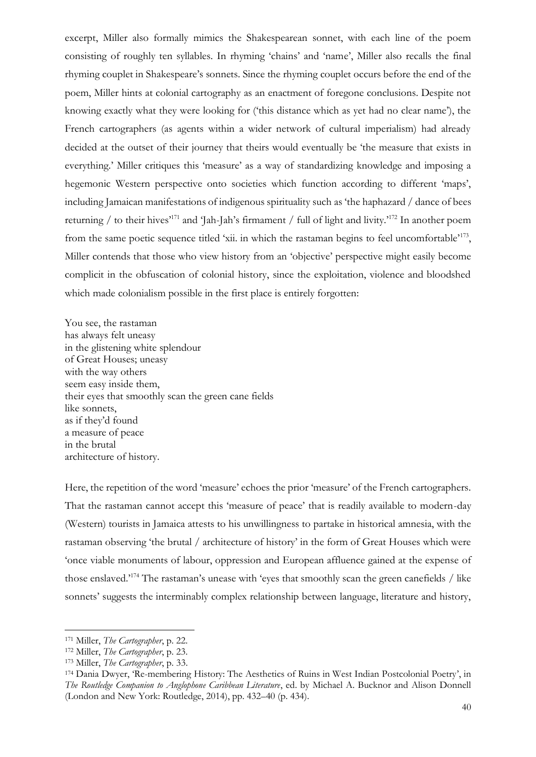excerpt, Miller also formally mimics the Shakespearean sonnet, with each line of the poem consisting of roughly ten syllables. In rhyming 'chains' and 'name', Miller also recalls the final rhyming couplet in Shakespeare's sonnets. Since the rhyming couplet occurs before the end of the poem, Miller hints at colonial cartography as an enactment of foregone conclusions. Despite not knowing exactly what they were looking for ('this distance which as yet had no clear name'), the French cartographers (as agents within a wider network of cultural imperialism) had already decided at the outset of their journey that theirs would eventually be 'the measure that exists in everything.' Miller critiques this 'measure' as a way of standardizing knowledge and imposing a hegemonic Western perspective onto societies which function according to different 'maps', including Jamaican manifestations of indigenous spirituality such as 'the haphazard / dance of bees returning / to their hives'<sup>171</sup> and 'Jah-Jah's firmament / full of light and livity.'<sup>172</sup> In another poem from the same poetic sequence titled 'xii. in which the rastaman begins to feel uncomfortable<sup>173</sup>, Miller contends that those who view history from an 'objective' perspective might easily become complicit in the obfuscation of colonial history, since the exploitation, violence and bloodshed which made colonialism possible in the first place is entirely forgotten:

You see, the rastaman has always felt uneasy in the glistening white splendour of Great Houses; uneasy with the way others seem easy inside them, their eyes that smoothly scan the green cane fields like sonnets, as if they'd found a measure of peace in the brutal architecture of history.

Here, the repetition of the word 'measure' echoes the prior 'measure' of the French cartographers. That the rastaman cannot accept this 'measure of peace' that is readily available to modern-day (Western) tourists in Jamaica attests to his unwillingness to partake in historical amnesia, with the rastaman observing 'the brutal / architecture of history' in the form of Great Houses which were 'once viable monuments of labour, oppression and European affluence gained at the expense of those enslaved.'<sup>174</sup> The rastaman's unease with 'eyes that smoothly scan the green canefields / like sonnets' suggests the interminably complex relationship between language, literature and history,

<sup>171</sup> Miller, *The Cartographer*, p. 22.

<sup>172</sup> Miller, *The Cartographer*, p. 23.

<sup>173</sup> Miller, *The Cartographer*, p. 33.

<sup>174</sup> Dania Dwyer, 'Re-membering History: The Aesthetics of Ruins in West Indian Postcolonial Poetry', in *The Routledge Companion to Anglophone Caribbean Literature*, ed. by Michael A. Bucknor and Alison Donnell (London and New York: Routledge, 2014), pp. 432–40 (p. 434).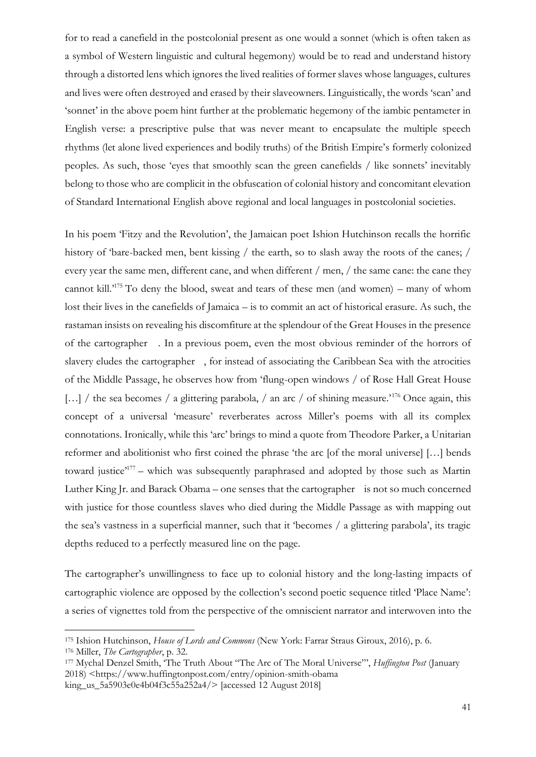for to read a canefield in the postcolonial present as one would a sonnet (which is often taken as a symbol of Western linguistic and cultural hegemony) would be to read and understand history through a distorted lens which ignores the lived realities of former slaves whose languages, cultures and lives were often destroyed and erased by their slaveowners. Linguistically, the words 'scan' and 'sonnet' in the above poem hint further at the problematic hegemony of the iambic pentameter in English verse: a prescriptive pulse that was never meant to encapsulate the multiple speech rhythms (let alone lived experiences and bodily truths) of the British Empire's formerly colonized peoples. As such, those 'eyes that smoothly scan the green canefields / like sonnets' inevitably belong to those who are complicit in the obfuscation of colonial history and concomitant elevation of Standard International English above regional and local languages in postcolonial societies.

In his poem 'Fitzy and the Revolution', the Jamaican poet Ishion Hutchinson recalls the horrific history of 'bare-backed men, bent kissing / the earth, so to slash away the roots of the canes; / every year the same men, different cane, and when different / men, / the same cane: the cane they cannot kill.'<sup>175</sup> To deny the blood, sweat and tears of these men (and women) – many of whom lost their lives in the canefields of Jamaica – is to commit an act of historical erasure. As such, the rastaman insists on revealing his discomfiture at the splendour of the Great Houses in the presence of the cartographer . In a previous poem, even the most obvious reminder of the horrors of slavery eludes the cartographer , for instead of associating the Caribbean Sea with the atrocities of the Middle Passage, he observes how from 'flung-open windows / of Rose Hall Great House […] / the sea becomes / a glittering parabola, / an arc / of shining measure.<sup>176</sup> Once again, this concept of a universal 'measure' reverberates across Miller's poems with all its complex connotations. Ironically, while this 'arc' brings to mind a quote from Theodore Parker, a Unitarian reformer and abolitionist who first coined the phrase 'the arc [of the moral universe] […] bends toward justice<sup>177</sup> - which was subsequently paraphrased and adopted by those such as Martin Luther King Jr. and Barack Obama – one senses that the cartographer is not so much concerned with justice for those countless slaves who died during the Middle Passage as with mapping out the sea's vastness in a superficial manner, such that it 'becomes / a glittering parabola', its tragic depths reduced to a perfectly measured line on the page.

The cartographer's unwillingness to face up to colonial history and the long-lasting impacts of cartographic violence are opposed by the collection's second poetic sequence titled 'Place Name': a series of vignettes told from the perspective of the omniscient narrator and interwoven into the

<sup>175</sup> Ishion Hutchinson, *House of Lords and Commons* (New York: Farrar Straus Giroux, 2016), p. 6.

<sup>176</sup> Miller, *The Cartographer*, p. 32.

<sup>177</sup> Mychal Denzel Smith, 'The Truth About "The Arc of The Moral Universe"', *Huffington Post* (January 2018) <https://www.huffingtonpost.com/entry/opinion-smith-obama king\_us\_5a5903e0e4b04f3c55a252a4/> [accessed 12 August 2018]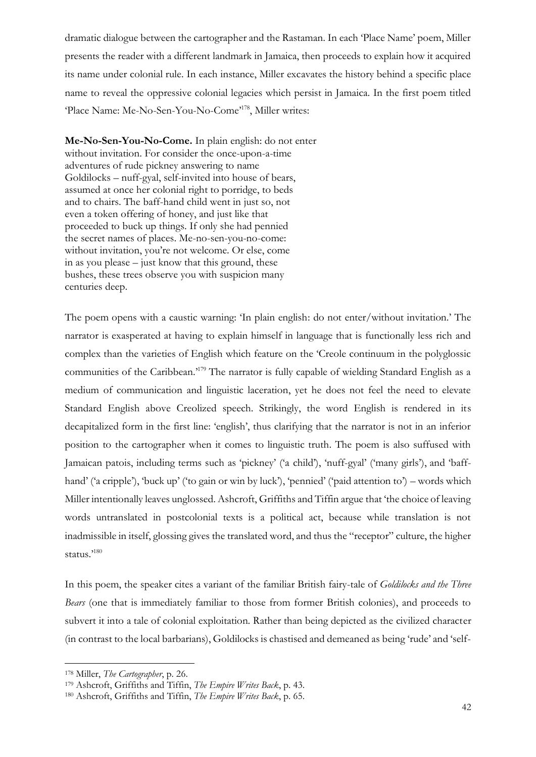dramatic dialogue between the cartographer and the Rastaman. In each 'Place Name' poem, Miller presents the reader with a different landmark in Jamaica, then proceeds to explain how it acquired its name under colonial rule. In each instance, Miller excavates the history behind a specific place name to reveal the oppressive colonial legacies which persist in Jamaica. In the first poem titled 'Place Name: Me-No-Sen-You-No-Come'<sup>178</sup>, Miller writes:

**Me-No-Sen-You-No-Come.** In plain english: do not enter without invitation. For consider the once-upon-a-time adventures of rude pickney answering to name Goldilocks – nuff-gyal, self-invited into house of bears, assumed at once her colonial right to porridge, to beds and to chairs. The baff-hand child went in just so, not even a token offering of honey, and just like that proceeded to buck up things. If only she had pennied the secret names of places. Me-no-sen-you-no-come: without invitation, you're not welcome. Or else, come in as you please – just know that this ground, these bushes, these trees observe you with suspicion many centuries deep.

The poem opens with a caustic warning: 'In plain english: do not enter/without invitation.' The narrator is exasperated at having to explain himself in language that is functionally less rich and complex than the varieties of English which feature on the 'Creole continuum in the polyglossic communities of the Caribbean.'<sup>179</sup> The narrator is fully capable of wielding Standard English as a medium of communication and linguistic laceration, yet he does not feel the need to elevate Standard English above Creolized speech. Strikingly, the word English is rendered in its decapitalized form in the first line: 'english', thus clarifying that the narrator is not in an inferior position to the cartographer when it comes to linguistic truth. The poem is also suffused with Jamaican patois, including terms such as 'pickney' ('a child'), 'nuff-gyal' ('many girls'), and 'baffhand' ('a cripple'), 'buck up' ('to gain or win by luck'), 'pennied' ('paid attention to') – words which Miller intentionally leaves unglossed. Ashcroft, Griffiths and Tiffin argue that 'the choice of leaving words untranslated in postcolonial texts is a political act, because while translation is not inadmissible in itself, glossing gives the translated word, and thus the "receptor" culture, the higher status."180

In this poem, the speaker cites a variant of the familiar British fairy-tale of *Goldilocks and the Three Bears* (one that is immediately familiar to those from former British colonies), and proceeds to subvert it into a tale of colonial exploitation. Rather than being depicted as the civilized character (in contrast to the local barbarians), Goldilocks is chastised and demeaned as being 'rude' and 'self-

<sup>178</sup> Miller, *The Cartographer*, p. 26.

<sup>179</sup> Ashcroft, Griffiths and Tiffin, *The Empire Writes Back*, p. 43.

<sup>180</sup> Ashcroft, Griffiths and Tiffin, *The Empire Writes Back*, p. 65.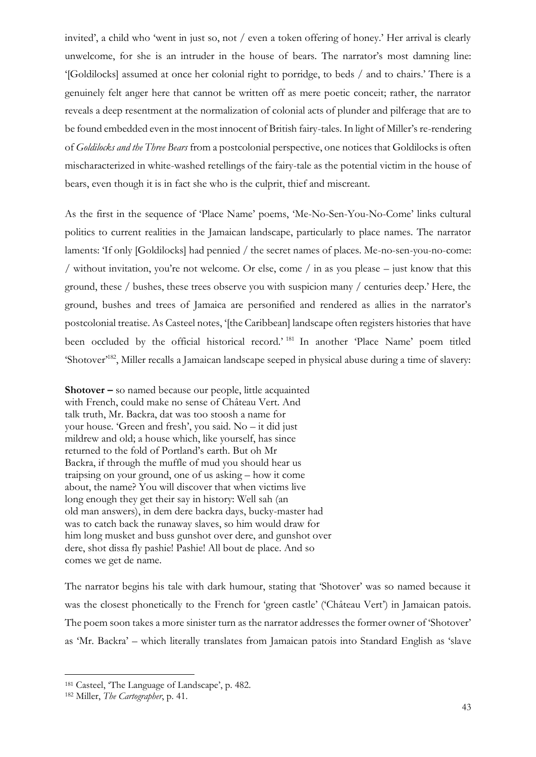invited', a child who 'went in just so, not / even a token offering of honey.' Her arrival is clearly unwelcome, for she is an intruder in the house of bears. The narrator's most damning line: '[Goldilocks] assumed at once her colonial right to porridge, to beds / and to chairs.' There is a genuinely felt anger here that cannot be written off as mere poetic conceit; rather, the narrator reveals a deep resentment at the normalization of colonial acts of plunder and pilferage that are to be found embedded even in the most innocent of British fairy-tales. In light of Miller's re-rendering of *Goldilocks and the Three Bears* from a postcolonial perspective, one notices that Goldilocks is often mischaracterized in white-washed retellings of the fairy-tale as the potential victim in the house of bears, even though it is in fact she who is the culprit, thief and miscreant.

As the first in the sequence of 'Place Name' poems, 'Me-No-Sen-You-No-Come' links cultural politics to current realities in the Jamaican landscape, particularly to place names. The narrator laments: 'If only [Goldilocks] had pennied / the secret names of places. Me-no-sen-you-no-come: / without invitation, you're not welcome. Or else, come / in as you please  $-$  just know that this ground, these / bushes, these trees observe you with suspicion many / centuries deep.' Here, the ground, bushes and trees of Jamaica are personified and rendered as allies in the narrator's postcolonial treatise. As Casteel notes, '[the Caribbean] landscape often registers histories that have been occluded by the official historical record.' <sup>181</sup> In another 'Place Name' poem titled 'Shotover'<sup>182</sup>, Miller recalls a Jamaican landscape seeped in physical abuse during a time of slavery:

**Shotover –** so named because our people, little acquainted with French, could make no sense of Château Vert. And talk truth, Mr. Backra, dat was too stoosh a name for your house. 'Green and fresh', you said. No – it did just mildrew and old; a house which, like yourself, has since returned to the fold of Portland's earth. But oh Mr Backra, if through the muffle of mud you should hear us traipsing on your ground, one of us asking – how it come about, the name? You will discover that when victims live long enough they get their say in history: Well sah (an old man answers), in dem dere backra days, bucky-master had was to catch back the runaway slaves, so him would draw for him long musket and buss gunshot over dere, and gunshot over dere, shot dissa fly pashie! Pashie! All bout de place. And so comes we get de name.

The narrator begins his tale with dark humour, stating that 'Shotover' was so named because it was the closest phonetically to the French for 'green castle' ('Château Vert') in Jamaican patois. The poem soon takes a more sinister turn as the narrator addresses the former owner of 'Shotover' as 'Mr. Backra' – which literally translates from Jamaican patois into Standard English as 'slave

<sup>181</sup> Casteel, 'The Language of Landscape', p. 482.

<sup>182</sup> Miller, *The Cartographer*, p. 41.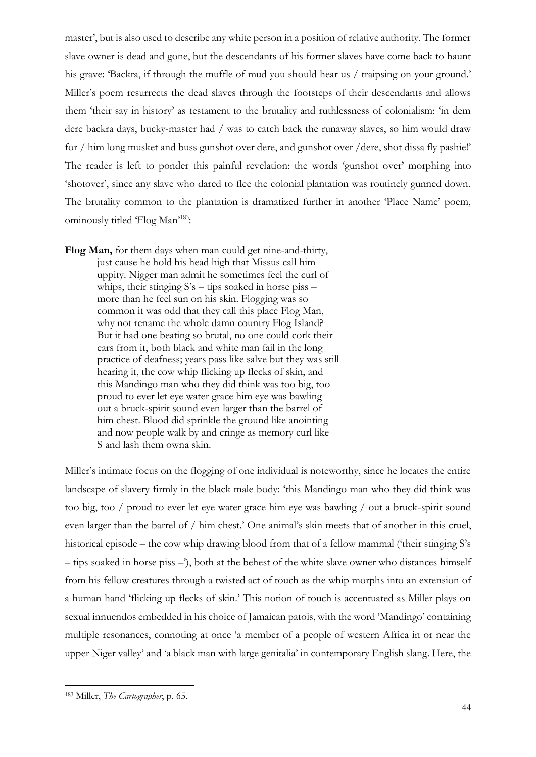master', but is also used to describe any white person in a position of relative authority. The former slave owner is dead and gone, but the descendants of his former slaves have come back to haunt his grave: 'Backra, if through the muffle of mud you should hear us / traipsing on your ground.' Miller's poem resurrects the dead slaves through the footsteps of their descendants and allows them 'their say in history' as testament to the brutality and ruthlessness of colonialism: 'in dem dere backra days, bucky-master had / was to catch back the runaway slaves, so him would draw for / him long musket and buss gunshot over dere, and gunshot over /dere, shot dissa fly pashie!' The reader is left to ponder this painful revelation: the words 'gunshot over' morphing into 'shotover', since any slave who dared to flee the colonial plantation was routinely gunned down. The brutality common to the plantation is dramatized further in another 'Place Name' poem, ominously titled 'Flog Man'<sup>183</sup>:

**Flog Man,** for them days when man could get nine-and-thirty, just cause he hold his head high that Missus call him uppity. Nigger man admit he sometimes feel the curl of whips, their stinging  $S's - tips$  soaked in horse piss – more than he feel sun on his skin. Flogging was so common it was odd that they call this place Flog Man, why not rename the whole damn country Flog Island? But it had one beating so brutal, no one could cork their ears from it, both black and white man fail in the long practice of deafness; years pass like salve but they was still hearing it, the cow whip flicking up flecks of skin, and this Mandingo man who they did think was too big, too proud to ever let eye water grace him eye was bawling out a bruck-spirit sound even larger than the barrel of him chest. Blood did sprinkle the ground like anointing and now people walk by and cringe as memory curl like S and lash them owna skin.

Miller's intimate focus on the flogging of one individual is noteworthy, since he locates the entire landscape of slavery firmly in the black male body: 'this Mandingo man who they did think was too big, too / proud to ever let eye water grace him eye was bawling / out a bruck-spirit sound even larger than the barrel of / him chest.' One animal's skin meets that of another in this cruel, historical episode – the cow whip drawing blood from that of a fellow mammal ('their stinging S's – tips soaked in horse piss –'), both at the behest of the white slave owner who distances himself from his fellow creatures through a twisted act of touch as the whip morphs into an extension of a human hand 'flicking up flecks of skin.' This notion of touch is accentuated as Miller plays on sexual innuendos embedded in his choice of Jamaican patois, with the word 'Mandingo' containing multiple resonances, connoting at once 'a member of a people of western Africa in or near the upper Niger valley' and 'a black man with large genitalia' in contemporary English slang. Here, the

<sup>183</sup> Miller, *The Cartographer*, p. 65.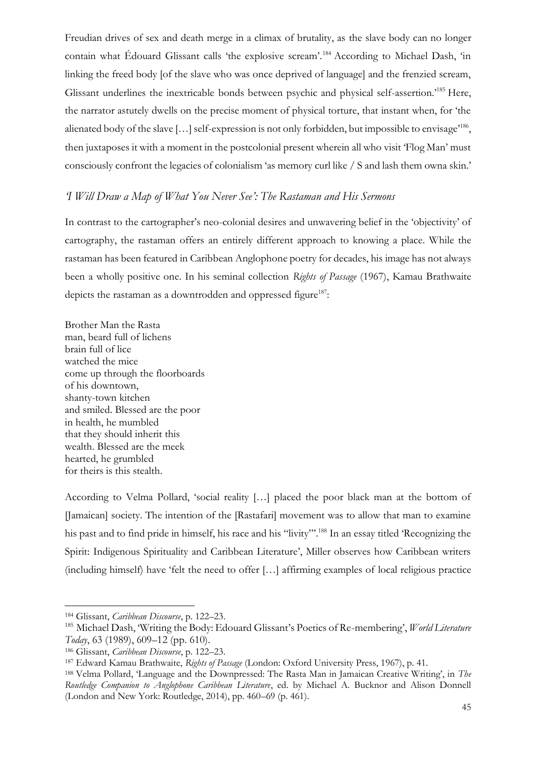Freudian drives of sex and death merge in a climax of brutality, as the slave body can no longer contain what Édouard Glissant calls 'the explosive scream'.<sup>184</sup> According to Michael Dash, 'in linking the freed body [of the slave who was once deprived of language] and the frenzied scream, Glissant underlines the inextricable bonds between psychic and physical self-assertion.'<sup>185</sup> Here, the narrator astutely dwells on the precise moment of physical torture, that instant when, for 'the alienated body of the slave [...] self-expression is not only forbidden, but impossible to envisage<sup>186</sup>, then juxtaposes it with a moment in the postcolonial present wherein all who visit 'Flog Man' must consciously confront the legacies of colonialism 'as memory curl like / S and lash them owna skin.'

#### *'I Will Draw a Map of What You Never See': The Rastaman and His Sermons*

In contrast to the cartographer's neo-colonial desires and unwavering belief in the 'objectivity' of cartography, the rastaman offers an entirely different approach to knowing a place. While the rastaman has been featured in Caribbean Anglophone poetry for decades, his image has not always been a wholly positive one. In his seminal collection *Rights of Passage* (1967), Kamau Brathwaite depicts the rastaman as a downtrodden and oppressed figure<sup>187</sup>:

Brother Man the Rasta man, beard full of lichens brain full of lice watched the mice come up through the floorboards of his downtown, shanty-town kitchen and smiled. Blessed are the poor in health, he mumbled that they should inherit this wealth. Blessed are the meek hearted, he grumbled for theirs is this stealth.

According to Velma Pollard, 'social reality […] placed the poor black man at the bottom of [Jamaican] society. The intention of the [Rastafari] movement was to allow that man to examine his past and to find pride in himself, his race and his "livity".<sup>188</sup> In an essay titled 'Recognizing the Spirit: Indigenous Spirituality and Caribbean Literature', Miller observes how Caribbean writers (including himself) have 'felt the need to offer […] affirming examples of local religious practice

<sup>184</sup> Glissant, *Caribbean Discourse*, p. 122–23.

<sup>185</sup> Michael Dash, 'Writing the Body: Edouard Glissant's Poetics of Re-membering', *World Literature Today*, 63 (1989), 609–12 (pp. 610).

<sup>186</sup> Glissant, *Caribbean Discourse*, p. 122–23.

<sup>187</sup> Edward Kamau Brathwaite, *Rights of Passage* (London: Oxford University Press, 1967), p. 41.

<sup>188</sup> Velma Pollard, 'Language and the Downpressed: The Rasta Man in Jamaican Creative Writing', in *The Routledge Companion to Anglophone Caribbean Literature*, ed. by Michael A. Bucknor and Alison Donnell (London and New York: Routledge, 2014), pp. 460–69 (p. 461).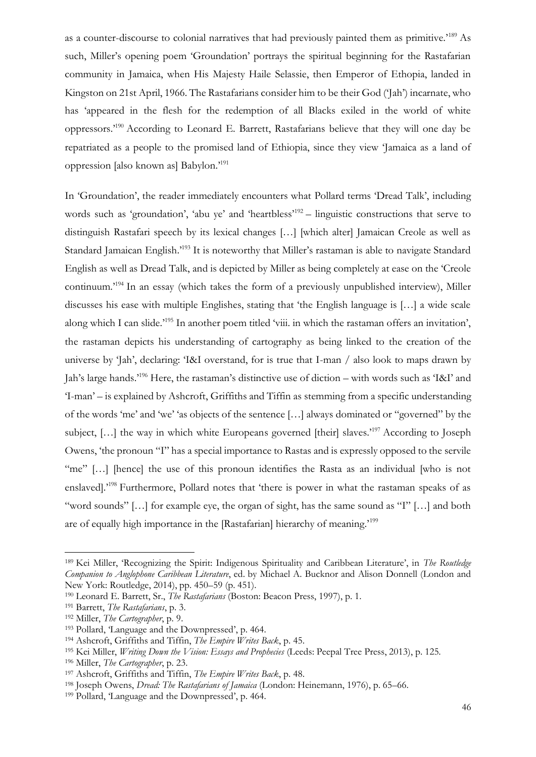as a counter-discourse to colonial narratives that had previously painted them as primitive.'<sup>189</sup> As such, Miller's opening poem 'Groundation' portrays the spiritual beginning for the Rastafarian community in Jamaica, when His Majesty Haile Selassie, then Emperor of Ethopia, landed in Kingston on 21st April, 1966. The Rastafarians consider him to be their God ('Jah') incarnate, who has 'appeared in the flesh for the redemption of all Blacks exiled in the world of white oppressors.'<sup>190</sup> According to Leonard E. Barrett, Rastafarians believe that they will one day be repatriated as a people to the promised land of Ethiopia, since they view 'Jamaica as a land of oppression [also known as] Babylon.'<sup>191</sup>

In 'Groundation', the reader immediately encounters what Pollard terms 'Dread Talk', including words such as 'groundation', 'abu ye' and 'heartbless'<sup>192</sup> - linguistic constructions that serve to distinguish Rastafari speech by its lexical changes […] [which alter] Jamaican Creole as well as Standard Jamaican English.'<sup>193</sup> It is noteworthy that Miller's rastaman is able to navigate Standard English as well as Dread Talk, and is depicted by Miller as being completely at ease on the 'Creole continuum.'<sup>194</sup> In an essay (which takes the form of a previously unpublished interview), Miller discusses his ease with multiple Englishes, stating that 'the English language is […] a wide scale along which I can slide.'<sup>195</sup> In another poem titled 'viii. in which the rastaman offers an invitation', the rastaman depicts his understanding of cartography as being linked to the creation of the universe by 'Jah', declaring: 'I&I overstand, for is true that I-man / also look to maps drawn by Jah's large hands.'<sup>196</sup> Here, the rastaman's distinctive use of diction – with words such as 'I&I' and 'I-man' – is explained by Ashcroft, Griffiths and Tiffin as stemming from a specific understanding of the words 'me' and 'we' 'as objects of the sentence […] always dominated or "governed" by the subject, [...] the way in which white Europeans governed [their] slaves.<sup>197</sup> According to Joseph Owens, 'the pronoun "I" has a special importance to Rastas and is expressly opposed to the servile "me" [...] [hence] the use of this pronoun identifies the Rasta as an individual [who is not enslaved].'<sup>198</sup> Furthermore, Pollard notes that 'there is power in what the rastaman speaks of as "word sounds" […] for example eye, the organ of sight, has the same sound as "I" […] and both are of equally high importance in the [Rastafarian] hierarchy of meaning.'<sup>199</sup>

<sup>189</sup> Kei Miller, 'Recognizing the Spirit: Indigenous Spirituality and Caribbean Literature', in *The Routledge Companion to Anglophone Caribbean Literature*, ed. by Michael A. Bucknor and Alison Donnell (London and New York: Routledge, 2014), pp. 450–59 (p. 451).

<sup>190</sup> Leonard E. Barrett, Sr., *The Rastafarians* (Boston: Beacon Press, 1997), p. 1.

<sup>191</sup> Barrett, *The Rastafarians*, p. 3.

<sup>192</sup> Miller, *The Cartographer*, p. 9.

<sup>193</sup> Pollard, 'Language and the Downpressed', p. 464.

<sup>194</sup> Ashcroft, Griffiths and Tiffin, *The Empire Writes Back*, p. 45.

<sup>195</sup> Kei Miller, *Writing Down the Vision: Essays and Prophecies* (Leeds: Peepal Tree Press, 2013), p. 125.

<sup>196</sup> Miller, *The Cartographer*, p. 23.

<sup>197</sup> Ashcroft, Griffiths and Tiffin, *The Empire Writes Back*, p. 48.

<sup>198</sup> Joseph Owens, *Dread: The Rastafarians of Jamaica* (London: Heinemann, 1976), p. 65–66.

<sup>199</sup> Pollard, 'Language and the Downpressed', p. 464.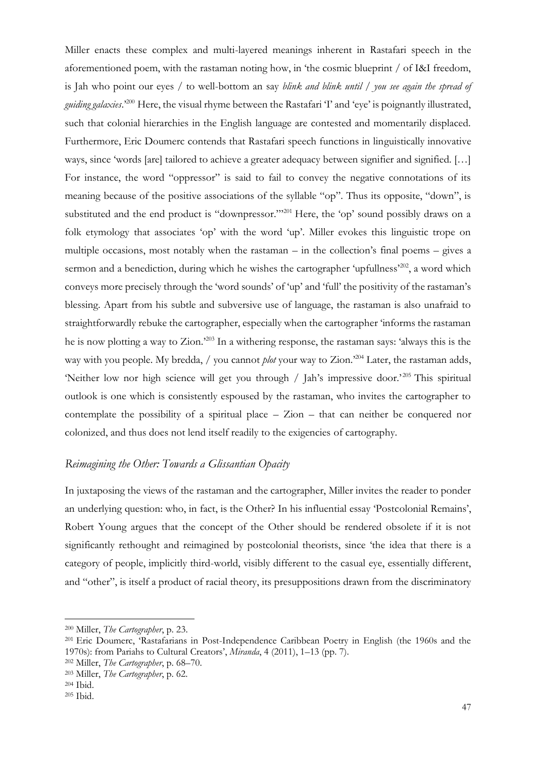Miller enacts these complex and multi-layered meanings inherent in Rastafari speech in the aforementioned poem, with the rastaman noting how, in 'the cosmic blueprint / of I&I freedom, is Jah who point our eyes / to well-bottom an say *blink and blink until* / *you see again the spread of guiding galaxies*.'<sup>200</sup> Here, the visual rhyme between the Rastafari 'I' and 'eye' is poignantly illustrated, such that colonial hierarchies in the English language are contested and momentarily displaced. Furthermore, Eric Doumerc contends that Rastafari speech functions in linguistically innovative ways, since 'words [are] tailored to achieve a greater adequacy between signifier and signified. […] For instance, the word "oppressor" is said to fail to convey the negative connotations of its meaning because of the positive associations of the syllable "op". Thus its opposite, "down", is substituted and the end product is "downpressor."<sup>201</sup> Here, the 'op' sound possibly draws on a folk etymology that associates 'op' with the word 'up'. Miller evokes this linguistic trope on multiple occasions, most notably when the rastaman – in the collection's final poems – gives a sermon and a benediction, during which he wishes the cartographer 'upfullness'<sup>202</sup>, a word which conveys more precisely through the 'word sounds' of 'up' and 'full' the positivity of the rastaman's blessing. Apart from his subtle and subversive use of language, the rastaman is also unafraid to straightforwardly rebuke the cartographer, especially when the cartographer 'informs the rastaman he is now plotting a way to Zion.'<sup>203</sup> In a withering response, the rastaman says: 'always this is the way with you people. My bredda, / you cannot *plot* your way to Zion.<sup>204</sup> Later, the rastaman adds, 'Neither low nor high science will get you through / Jah's impressive door.<sup>205</sup> This spiritual outlook is one which is consistently espoused by the rastaman, who invites the cartographer to contemplate the possibility of a spiritual place – Zion – that can neither be conquered nor colonized, and thus does not lend itself readily to the exigencies of cartography.

## *Reimagining the Other: Towards a Glissantian Opacity*

In juxtaposing the views of the rastaman and the cartographer, Miller invites the reader to ponder an underlying question: who, in fact, is the Other? In his influential essay 'Postcolonial Remains', Robert Young argues that the concept of the Other should be rendered obsolete if it is not significantly rethought and reimagined by postcolonial theorists, since 'the idea that there is a category of people, implicitly third-world, visibly different to the casual eye, essentially different, and "other", is itself a product of racial theory, its presuppositions drawn from the discriminatory

<sup>200</sup> Miller, *The Cartographer*, p. 23.

<sup>201</sup> Eric Doumerc, 'Rastafarians in Post-Independence Caribbean Poetry in English (the 1960s and the 1970s): from Pariahs to Cultural Creators', *Miranda*, 4 (2011), 1–13 (pp. 7).

<sup>202</sup> Miller, *The Cartographer*, p. 68–70.

<sup>203</sup> Miller, *The Cartographer*, p. 62.

<sup>204</sup> Ibid.

<sup>205</sup> Ibid.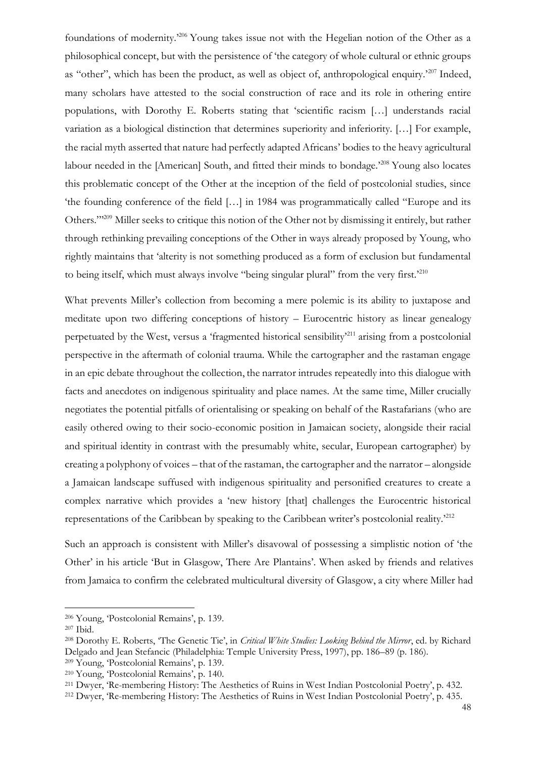foundations of modernity.'<sup>206</sup> Young takes issue not with the Hegelian notion of the Other as a philosophical concept, but with the persistence of 'the category of whole cultural or ethnic groups as "other", which has been the product, as well as object of, anthropological enquiry.'<sup>207</sup> Indeed, many scholars have attested to the social construction of race and its role in othering entire populations, with Dorothy E. Roberts stating that 'scientific racism […] understands racial variation as a biological distinction that determines superiority and inferiority. […] For example, the racial myth asserted that nature had perfectly adapted Africans' bodies to the heavy agricultural labour needed in the [American] South, and fitted their minds to bondage.<sup>208</sup> Young also locates this problematic concept of the Other at the inception of the field of postcolonial studies, since 'the founding conference of the field […] in 1984 was programmatically called "Europe and its Others."'<sup>209</sup> Miller seeks to critique this notion of the Other not by dismissing it entirely, but rather through rethinking prevailing conceptions of the Other in ways already proposed by Young, who rightly maintains that 'alterity is not something produced as a form of exclusion but fundamental to being itself, which must always involve "being singular plural" from the very first.'210

What prevents Miller's collection from becoming a mere polemic is its ability to juxtapose and meditate upon two differing conceptions of history – Eurocentric history as linear genealogy perpetuated by the West, versus a 'fragmented historical sensibility'<sup>211</sup> arising from a postcolonial perspective in the aftermath of colonial trauma. While the cartographer and the rastaman engage in an epic debate throughout the collection, the narrator intrudes repeatedly into this dialogue with facts and anecdotes on indigenous spirituality and place names. At the same time, Miller crucially negotiates the potential pitfalls of orientalising or speaking on behalf of the Rastafarians (who are easily othered owing to their socio-economic position in Jamaican society, alongside their racial and spiritual identity in contrast with the presumably white, secular, European cartographer) by creating a polyphony of voices – that of the rastaman, the cartographer and the narrator – alongside a Jamaican landscape suffused with indigenous spirituality and personified creatures to create a complex narrative which provides a 'new history [that] challenges the Eurocentric historical representations of the Caribbean by speaking to the Caribbean writer's postcolonial reality.'<sup>212</sup>

Such an approach is consistent with Miller's disavowal of possessing a simplistic notion of 'the Other' in his article 'But in Glasgow, There Are Plantains'. When asked by friends and relatives from Jamaica to confirm the celebrated multicultural diversity of Glasgow, a city where Miller had

<sup>206</sup> Young, 'Postcolonial Remains', p. 139.

<sup>207</sup> Ibid.

<sup>208</sup> Dorothy E. Roberts, 'The Genetic Tie', in *Critical White Studies: Looking Behind the Mirror*, ed. by Richard Delgado and Jean Stefancic (Philadelphia: Temple University Press, 1997), pp. 186–89 (p. 186).

<sup>209</sup> Young, 'Postcolonial Remains', p. 139.

<sup>210</sup> Young, 'Postcolonial Remains', p. 140.

<sup>211</sup> Dwyer, 'Re-membering History: The Aesthetics of Ruins in West Indian Postcolonial Poetry', p. 432.

<sup>212</sup> Dwyer, 'Re-membering History: The Aesthetics of Ruins in West Indian Postcolonial Poetry', p. 435.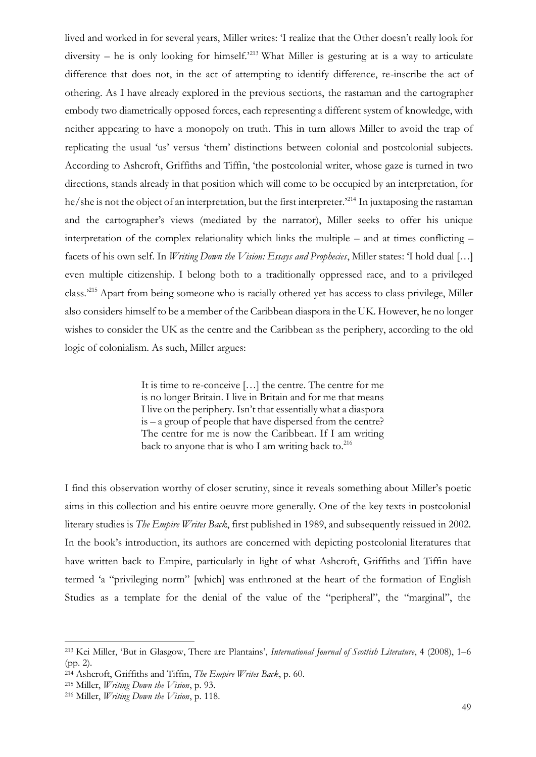lived and worked in for several years, Miller writes: 'I realize that the Other doesn't really look for diversity – he is only looking for himself.<sup>213</sup> What Miller is gesturing at is a way to articulate difference that does not, in the act of attempting to identify difference, re-inscribe the act of othering. As I have already explored in the previous sections, the rastaman and the cartographer embody two diametrically opposed forces, each representing a different system of knowledge, with neither appearing to have a monopoly on truth. This in turn allows Miller to avoid the trap of replicating the usual 'us' versus 'them' distinctions between colonial and postcolonial subjects. According to Ashcroft, Griffiths and Tiffin, 'the postcolonial writer, whose gaze is turned in two directions, stands already in that position which will come to be occupied by an interpretation, for he/she is not the object of an interpretation, but the first interpreter.<sup>214</sup> In juxtaposing the rastaman and the cartographer's views (mediated by the narrator), Miller seeks to offer his unique interpretation of the complex relationality which links the multiple – and at times conflicting – facets of his own self. In *Writing Down the Vision: Essays and Prophecies*, Miller states: 'I hold dual […] even multiple citizenship. I belong both to a traditionally oppressed race, and to a privileged class.'<sup>215</sup> Apart from being someone who is racially othered yet has access to class privilege, Miller also considers himself to be a member of the Caribbean diaspora in the UK. However, he no longer wishes to consider the UK as the centre and the Caribbean as the periphery, according to the old logic of colonialism. As such, Miller argues:

> It is time to re-conceive […] the centre. The centre for me is no longer Britain. I live in Britain and for me that means I live on the periphery. Isn't that essentially what a diaspora is – a group of people that have dispersed from the centre? The centre for me is now the Caribbean. If I am writing back to anyone that is who I am writing back to. $216$

I find this observation worthy of closer scrutiny, since it reveals something about Miller's poetic aims in this collection and his entire oeuvre more generally. One of the key texts in postcolonial literary studies is *The Empire Writes Back*, first published in 1989, and subsequently reissued in 2002. In the book's introduction, its authors are concerned with depicting postcolonial literatures that have written back to Empire, particularly in light of what Ashcroft, Griffiths and Tiffin have termed 'a "privileging norm" [which] was enthroned at the heart of the formation of English Studies as a template for the denial of the value of the "peripheral", the "marginal", the

<sup>213</sup> Kei Miller, 'But in Glasgow, There are Plantains', *International Journal of Scottish Literature*, 4 (2008), 1–6 (pp. 2).

<sup>214</sup> Ashcroft, Griffiths and Tiffin, *The Empire Writes Back*, p. 60.

<sup>215</sup> Miller, *Writing Down the Vision*, p. 93.

<sup>216</sup> Miller, *Writing Down the Vision*, p. 118.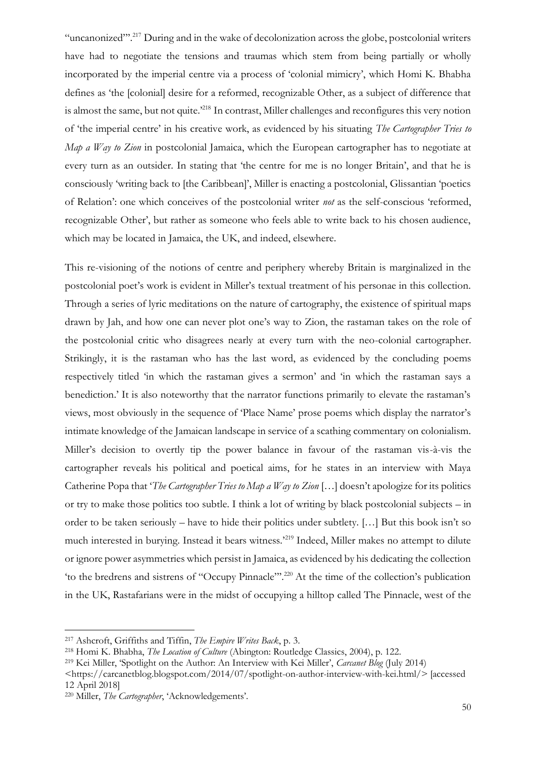"uncanonized"'.<sup>217</sup> During and in the wake of decolonization across the globe, postcolonial writers have had to negotiate the tensions and traumas which stem from being partially or wholly incorporated by the imperial centre via a process of 'colonial mimicry', which Homi K. Bhabha defines as 'the [colonial] desire for a reformed, recognizable Other, as a subject of difference that is almost the same, but not quite.<sup>2218</sup> In contrast, Miller challenges and reconfigures this very notion of 'the imperial centre' in his creative work, as evidenced by his situating *The Cartographer Tries to Map a Way to Zion* in postcolonial Jamaica, which the European cartographer has to negotiate at every turn as an outsider. In stating that 'the centre for me is no longer Britain', and that he is consciously 'writing back to [the Caribbean]', Miller is enacting a postcolonial, Glissantian 'poetics of Relation': one which conceives of the postcolonial writer *not* as the self-conscious 'reformed, recognizable Other', but rather as someone who feels able to write back to his chosen audience, which may be located in Jamaica, the UK, and indeed, elsewhere.

This re-visioning of the notions of centre and periphery whereby Britain is marginalized in the postcolonial poet's work is evident in Miller's textual treatment of his personae in this collection. Through a series of lyric meditations on the nature of cartography, the existence of spiritual maps drawn by Jah, and how one can never plot one's way to Zion, the rastaman takes on the role of the postcolonial critic who disagrees nearly at every turn with the neo-colonial cartographer. Strikingly, it is the rastaman who has the last word, as evidenced by the concluding poems respectively titled 'in which the rastaman gives a sermon' and 'in which the rastaman says a benediction.' It is also noteworthy that the narrator functions primarily to elevate the rastaman's views, most obviously in the sequence of 'Place Name' prose poems which display the narrator's intimate knowledge of the Jamaican landscape in service of a scathing commentary on colonialism. Miller's decision to overtly tip the power balance in favour of the rastaman vis-à-vis the cartographer reveals his political and poetical aims, for he states in an interview with Maya Catherine Popa that '*The Cartographer Tries to Map a Way to Zion* […] doesn't apologize for its politics or try to make those politics too subtle. I think a lot of writing by black postcolonial subjects – in order to be taken seriously – have to hide their politics under subtlety. […] But this book isn't so much interested in burying. Instead it bears witness.<sup>219</sup> Indeed, Miller makes no attempt to dilute or ignore power asymmetries which persist in Jamaica, as evidenced by his dedicating the collection 'to the bredrens and sistrens of "Occupy Pinnacle"'.<sup>220</sup> At the time of the collection's publication in the UK, Rastafarians were in the midst of occupying a hilltop called The Pinnacle, west of the

<sup>217</sup> Ashcroft, Griffiths and Tiffin, *The Empire Writes Back*, p. 3.

<sup>218</sup> Homi K. Bhabha, *The Location of Culture* (Abington: Routledge Classics, 2004), p. 122.

<sup>219</sup> Kei Miller, 'Spotlight on the Author: An Interview with Kei Miller', *Carcanet Blog* (July 2014)

[<sup>&</sup>lt;https://carcanetblog.blogspot.com/2014/07/spotlight-on-author-interview-with-kei.html/](https://carcanetblog.blogspot.com/2014/07/spotlight-on-author-interview-with-kei.html)> [accessed 12 April 2018]

<sup>220</sup> Miller, *The Cartographer*, 'Acknowledgements'.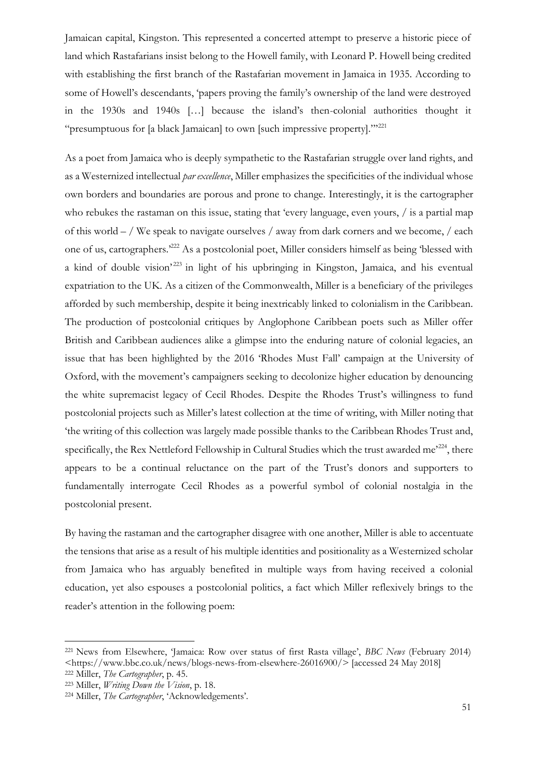Jamaican capital, Kingston. This represented a concerted attempt to preserve a historic piece of land which Rastafarians insist belong to the Howell family, with Leonard P. Howell being credited with establishing the first branch of the Rastafarian movement in Jamaica in 1935. According to some of Howell's descendants, 'papers proving the family's ownership of the land were destroyed in the 1930s and 1940s […] because the island's then-colonial authorities thought it "presumptuous for [a black Jamaican] to own [such impressive property]."'<sup>221</sup>

As a poet from Jamaica who is deeply sympathetic to the Rastafarian struggle over land rights, and as a Westernized intellectual *par excellence*, Miller emphasizes the specificities of the individual whose own borders and boundaries are porous and prone to change. Interestingly, it is the cartographer who rebukes the rastaman on this issue, stating that 'every language, even yours, / is a partial map of this world – / We speak to navigate ourselves / away from dark corners and we become, / each one of us, cartographers.'<sup>222</sup> As a postcolonial poet, Miller considers himself as being 'blessed with a kind of double vision<sup>223</sup> in light of his upbringing in Kingston, Jamaica, and his eventual expatriation to the UK. As a citizen of the Commonwealth, Miller is a beneficiary of the privileges afforded by such membership, despite it being inextricably linked to colonialism in the Caribbean. The production of postcolonial critiques by Anglophone Caribbean poets such as Miller offer British and Caribbean audiences alike a glimpse into the enduring nature of colonial legacies, an issue that has been highlighted by the 2016 'Rhodes Must Fall' campaign at the University of Oxford, with the movement's campaigners seeking to decolonize higher education by denouncing the white supremacist legacy of Cecil Rhodes. Despite the Rhodes Trust's willingness to fund postcolonial projects such as Miller's latest collection at the time of writing, with Miller noting that 'the writing of this collection was largely made possible thanks to the Caribbean Rhodes Trust and, specifically, the Rex Nettleford Fellowship in Cultural Studies which the trust awarded me'<sup>224</sup>, there appears to be a continual reluctance on the part of the Trust's donors and supporters to fundamentally interrogate Cecil Rhodes as a powerful symbol of colonial nostalgia in the postcolonial present.

By having the rastaman and the cartographer disagree with one another, Miller is able to accentuate the tensions that arise as a result of his multiple identities and positionality as a Westernized scholar from Jamaica who has arguably benefited in multiple ways from having received a colonial education, yet also espouses a postcolonial politics, a fact which Miller reflexively brings to the reader's attention in the following poem:

<sup>221</sup> News from Elsewhere, 'Jamaica: Row over status of first Rasta village', *BBC News* (February 2014) <https://www.bbc.co.uk/news/blogs-news-from-elsewhere-26016900/> [accessed 24 May 2018]

<sup>222</sup> Miller, *The Cartographer*, p. 45.

<sup>223</sup> Miller, *Writing Down the Vision*, p. 18.

<sup>224</sup> Miller, *The Cartographer*, 'Acknowledgements'.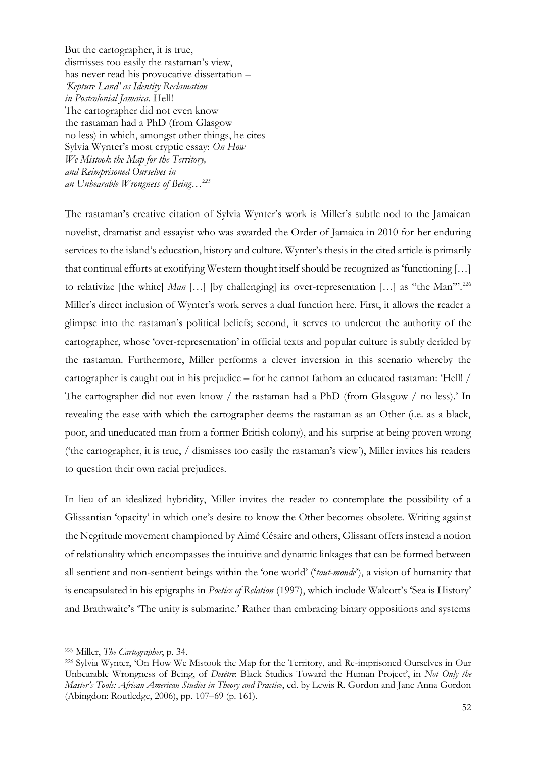But the cartographer, it is true, dismisses too easily the rastaman's view, has never read his provocative dissertation – *'Kepture Land' as Identity Reclamation in Postcolonial Jamaica.* Hell! The cartographer did not even know the rastaman had a PhD (from Glasgow no less) in which, amongst other things, he cites Sylvia Wynter's most cryptic essay: *On How We Mistook the Map for the Territory, and Reimprisoned Ourselves in an Unbearable Wrongness of Being…<sup>225</sup>*

The rastaman's creative citation of Sylvia Wynter's work is Miller's subtle nod to the Jamaican novelist, dramatist and essayist who was awarded the Order of Jamaica in 2010 for her enduring services to the island's education, history and culture. Wynter's thesis in the cited article is primarily that continual efforts at exotifying Western thought itself should be recognized as 'functioning […] to relativize [the white] *Man* [...] [by challenging] its over-representation [...] as "the Man"<sup>226</sup> Miller's direct inclusion of Wynter's work serves a dual function here. First, it allows the reader a glimpse into the rastaman's political beliefs; second, it serves to undercut the authority of the cartographer, whose 'over-representation' in official texts and popular culture is subtly derided by the rastaman. Furthermore, Miller performs a clever inversion in this scenario whereby the cartographer is caught out in his prejudice – for he cannot fathom an educated rastaman: 'Hell! / The cartographer did not even know / the rastaman had a PhD (from Glasgow / no less).' In revealing the ease with which the cartographer deems the rastaman as an Other (i.e. as a black, poor, and uneducated man from a former British colony), and his surprise at being proven wrong ('the cartographer, it is true, / dismisses too easily the rastaman's view'), Miller invites his readers to question their own racial prejudices.

In lieu of an idealized hybridity, Miller invites the reader to contemplate the possibility of a Glissantian 'opacity' in which one's desire to know the Other becomes obsolete. Writing against the Negritude movement championed by Aimé Césaire and others, Glissant offers instead a notion of relationality which encompasses the intuitive and dynamic linkages that can be formed between all sentient and non-sentient beings within the 'one world' ('*tout-monde*'), a vision of humanity that is encapsulated in his epigraphs in *Poetics of Relation* (1997), which include Walcott's 'Sea is History' and Brathwaite's 'The unity is submarine.' Rather than embracing binary oppositions and systems

<sup>225</sup> Miller, *The Cartographer*, p. 34.

<sup>226</sup> Sylvia Wynter, 'On How We Mistook the Map for the Territory, and Re-imprisoned Ourselves in Our Unbearable Wrongness of Being, of *Desêtre*: Black Studies Toward the Human Project', in *Not Only the Master's Tools: African American Studies in Theory and Practice*, ed. by Lewis R. Gordon and Jane Anna Gordon (Abingdon: Routledge, 2006), pp. 107–69 (p. 161).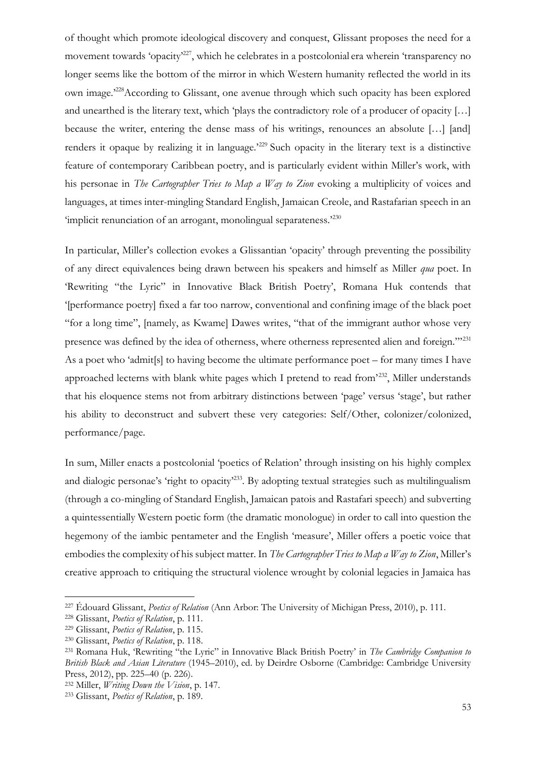of thought which promote ideological discovery and conquest, Glissant proposes the need for a movement towards 'opacity'<sup>227</sup>, which he celebrates in a postcolonial era wherein 'transparency no longer seems like the bottom of the mirror in which Western humanity reflected the world in its own image.'<sup>228</sup>According to Glissant, one avenue through which such opacity has been explored and unearthed is the literary text, which 'plays the contradictory role of a producer of opacity […] because the writer, entering the dense mass of his writings, renounces an absolute […] [and] renders it opaque by realizing it in language.'<sup>229</sup> Such opacity in the literary text is a distinctive feature of contemporary Caribbean poetry, and is particularly evident within Miller's work, with his personae in *The Cartographer Tries to Map a Way to Zion* evoking a multiplicity of voices and languages, at times inter-mingling Standard English, Jamaican Creole, and Rastafarian speech in an 'implicit renunciation of an arrogant, monolingual separateness.<sup>2230</sup>

In particular, Miller's collection evokes a Glissantian 'opacity' through preventing the possibility of any direct equivalences being drawn between his speakers and himself as Miller *qua* poet. In 'Rewriting "the Lyric" in Innovative Black British Poetry', Romana Huk contends that '[performance poetry] fixed a far too narrow, conventional and confining image of the black poet "for a long time", [namely, as Kwame] Dawes writes, "that of the immigrant author whose very presence was defined by the idea of otherness, where otherness represented alien and foreign."<sup>231</sup> As a poet who 'admit[s] to having become the ultimate performance poet – for many times I have approached lecterns with blank white pages which I pretend to read from<sup>2232</sup>, Miller understands that his eloquence stems not from arbitrary distinctions between 'page' versus 'stage', but rather his ability to deconstruct and subvert these very categories: Self/Other, colonizer/colonized, performance/page.

In sum, Miller enacts a postcolonial 'poetics of Relation' through insisting on his highly complex and dialogic personae's 'right to opacity'<sup>233</sup>. By adopting textual strategies such as multilingualism (through a co-mingling of Standard English, Jamaican patois and Rastafari speech) and subverting a quintessentially Western poetic form (the dramatic monologue) in order to call into question the hegemony of the iambic pentameter and the English 'measure', Miller offers a poetic voice that embodies the complexity of his subject matter. In *The Cartographer Tries to Map a Way to Zion*, Miller's creative approach to critiquing the structural violence wrought by colonial legacies in Jamaica has

<sup>227</sup> Édouard Glissant, *Poetics of Relation* (Ann Arbor: The University of Michigan Press, 2010), p. 111.

<sup>228</sup> Glissant, *Poetics of Relation*, p. 111.

<sup>229</sup> Glissant, *Poetics of Relation*, p. 115.

<sup>230</sup> Glissant, *Poetics of Relation*, p. 118.

<sup>231</sup> Romana Huk, 'Rewriting "the Lyric" in Innovative Black British Poetry' in *The Cambridge Companion to British Black and Asian Literature* (1945–2010), ed. by Deirdre Osborne (Cambridge: Cambridge University Press, 2012), pp. 225–40 (p. 226).

<sup>232</sup> Miller, *Writing Down the Vision*, p. 147.

<sup>233</sup> Glissant, *Poetics of Relation*, p. 189.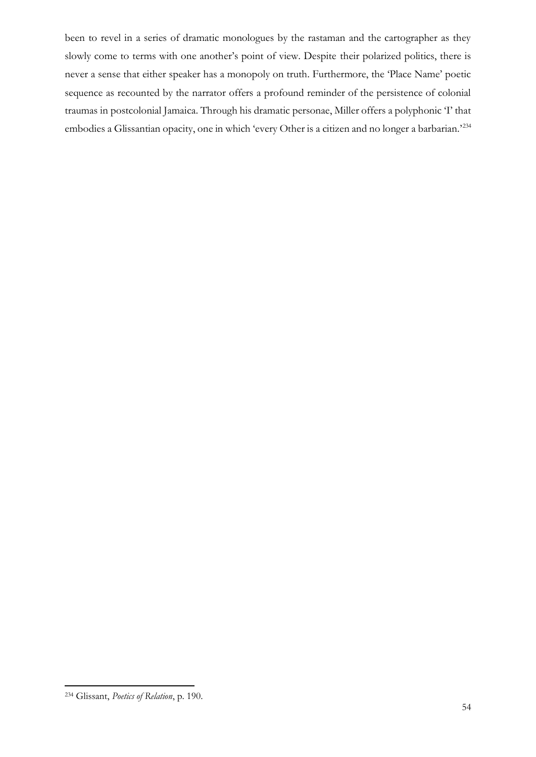been to revel in a series of dramatic monologues by the rastaman and the cartographer as they slowly come to terms with one another's point of view. Despite their polarized politics, there is never a sense that either speaker has a monopoly on truth. Furthermore, the 'Place Name' poetic sequence as recounted by the narrator offers a profound reminder of the persistence of colonial traumas in postcolonial Jamaica. Through his dramatic personae, Miller offers a polyphonic 'I' that embodies a Glissantian opacity, one in which 'every Other is a citizen and no longer a barbarian.'<sup>234</sup>

<sup>234</sup> Glissant, *Poetics of Relation*, p. 190.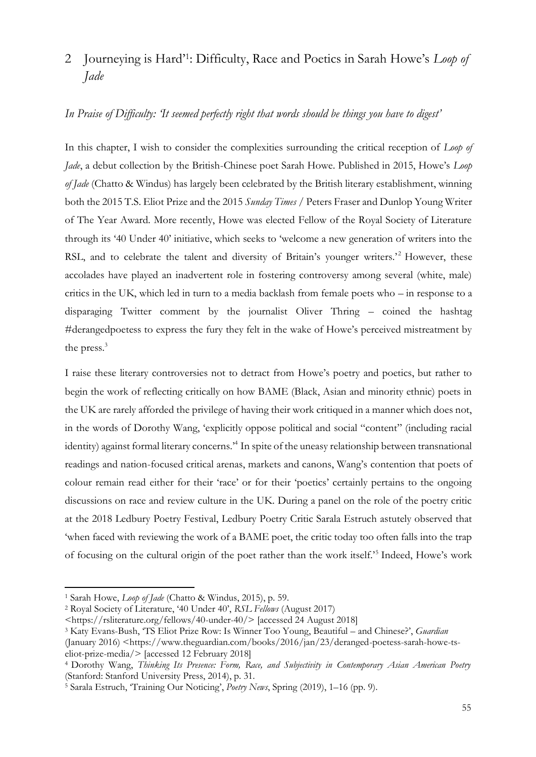# 2 Journeying is Hard'<sup>1</sup> : Difficulty, Race and Poetics in Sarah Howe's *Loop of Jade*

#### *In Praise of Difficulty: 'It seemed perfectly right that words should be things you have to digest'*

In this chapter, I wish to consider the complexities surrounding the critical reception of *Loop of Jade*, a debut collection by the British-Chinese poet Sarah Howe. Published in 2015, Howe's *Loop of Jade* (Chatto & Windus) has largely been celebrated by the British literary establishment, winning both the 2015 T.S. Eliot Prize and the 2015 *Sunday Times* / Peters Fraser and Dunlop Young Writer of The Year Award. More recently, Howe was elected Fellow of the Royal Society of Literature through its '40 Under 40' initiative, which seeks to 'welcome a new generation of writers into the RSL, and to celebrate the talent and diversity of Britain's younger writers.<sup>22</sup> However, these accolades have played an inadvertent role in fostering controversy among several (white, male) critics in the UK, which led in turn to a media backlash from female poets who – in response to a disparaging Twitter comment by the journalist Oliver Thring – coined the hashtag #derangedpoetess to express the fury they felt in the wake of Howe's perceived mistreatment by the press.<sup>3</sup>

I raise these literary controversies not to detract from Howe's poetry and poetics, but rather to begin the work of reflecting critically on how BAME (Black, Asian and minority ethnic) poets in the UK are rarely afforded the privilege of having their work critiqued in a manner which does not, in the words of Dorothy Wang, 'explicitly oppose political and social "content" (including racial identity) against formal literary concerns.'<sup>4</sup> In spite of the uneasy relationship between transnational readings and nation-focused critical arenas, markets and canons, Wang's contention that poets of colour remain read either for their 'race' or for their 'poetics' certainly pertains to the ongoing discussions on race and review culture in the UK. During a panel on the role of the poetry critic at the 2018 Ledbury Poetry Festival, Ledbury Poetry Critic Sarala Estruch astutely observed that 'when faced with reviewing the work of a BAME poet, the critic today too often falls into the trap of focusing on the cultural origin of the poet rather than the work itself.'<sup>5</sup> Indeed, Howe's work

<sup>1</sup> Sarah Howe, *Loop of Jade* (Chatto & Windus, 2015), p. 59.

<sup>2</sup> Royal Society of Literature, '40 Under 40', *RSL Fellows* (August 2017)

[<sup>&</sup>lt;https://rsliterature.org/fellows/40-under-40/>](https://rsliterature.org/fellows/40-under-40/) [accessed 24 August 2018]

<sup>3</sup> Katy Evans-Bush, 'TS Eliot Prize Row: Is Winner Too Young, Beautiful – and Chinese?', *Guardian*

<sup>(</sup>January 2016) <https://www.theguardian.com/books/2016/jan/23/deranged-poetess-sarah-howe-tseliot-prize-media/> [accessed 12 February 2018]

<sup>4</sup> Dorothy Wang, *Thinking Its Presence: Form, Race, and Subjectivity in Contemporary Asian American Poetry*  (Stanford: Stanford University Press, 2014), p. 31.

<sup>5</sup> Sarala Estruch, 'Training Our Noticing', *Poetry News*, Spring (2019), 1–16 (pp. 9).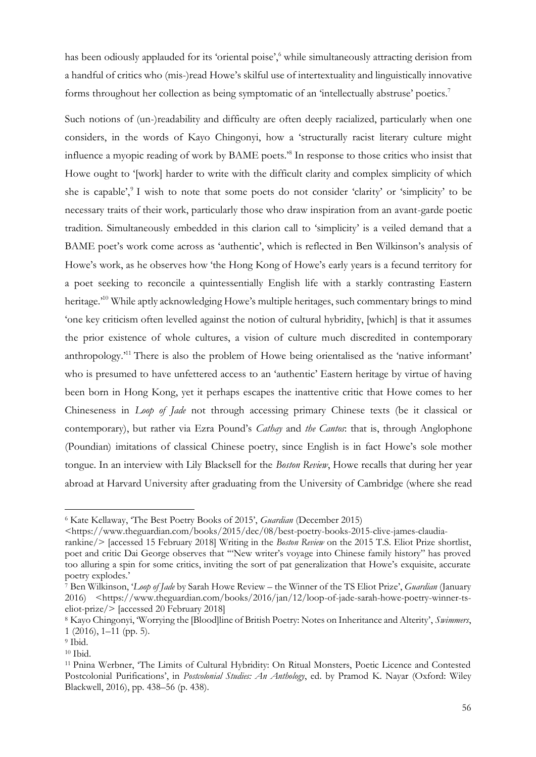has been odiously applauded for its 'oriental poise',<sup>6</sup> while simultaneously attracting derision from a handful of critics who (mis-)read Howe's skilful use of intertextuality and linguistically innovative forms throughout her collection as being symptomatic of an 'intellectually abstruse' poetics.<sup>7</sup>

Such notions of (un-)readability and difficulty are often deeply racialized, particularly when one considers, in the words of Kayo Chingonyi, how a 'structurally racist literary culture might influence a myopic reading of work by BAME poets.'<sup>8</sup> In response to those critics who insist that Howe ought to '[work] harder to write with the difficult clarity and complex simplicity of which she is capable',<sup>9</sup> I wish to note that some poets do not consider 'clarity' or 'simplicity' to be necessary traits of their work, particularly those who draw inspiration from an avant-garde poetic tradition. Simultaneously embedded in this clarion call to 'simplicity' is a veiled demand that a BAME poet's work come across as 'authentic', which is reflected in Ben Wilkinson's analysis of Howe's work, as he observes how 'the Hong Kong of Howe's early years is a fecund territory for a poet seeking to reconcile a quintessentially English life with a starkly contrasting Eastern heritage.<sup>10</sup> While aptly acknowledging Howe's multiple heritages, such commentary brings to mind 'one key criticism often levelled against the notion of cultural hybridity, [which] is that it assumes the prior existence of whole cultures, a vision of culture much discredited in contemporary anthropology.'<sup>11</sup> There is also the problem of Howe being orientalised as the 'native informant' who is presumed to have unfettered access to an 'authentic' Eastern heritage by virtue of having been born in Hong Kong, yet it perhaps escapes the inattentive critic that Howe comes to her Chineseness in *Loop of Jade* not through accessing primary Chinese texts (be it classical or contemporary), but rather via Ezra Pound's *Cathay* and *the Cantos*: that is, through Anglophone (Poundian) imitations of classical Chinese poetry, since English is in fact Howe's sole mother tongue. In an interview with Lily Blacksell for the *Boston Review*, Howe recalls that during her year abroad at Harvard University after graduating from the University of Cambridge (where she read

<sup>6</sup> Kate Kellaway, 'The Best Poetry Books of 2015', *Guardian* (December 2015)

<sup>&</sup>lt;https://www.theguardian.com/books/2015/dec/08/best-poetry-books-2015-clive-james-claudiarankine/> [accessed 15 February 2018] Writing in the *Boston Review* on the 2015 T.S. Eliot Prize shortlist,

poet and critic Dai George observes that '"New writer's voyage into Chinese family history" has proved too alluring a spin for some critics, inviting the sort of pat generalization that Howe's exquisite, accurate poetry explodes.'

<sup>7</sup> Ben Wilkinson, '*Loop of Jade* by Sarah Howe Review – the Winner of the TS Eliot Prize', *Guardian* (January 2016) <https://www.theguardian.com/books/2016/jan/12/loop-of-jade-sarah-howe-poetry-winner-tseliot-prize/> [accessed 20 February 2018]

<sup>8</sup> Kayo Chingonyi, 'Worrying the [Blood]line of British Poetry: Notes on Inheritance and Alterity', *Swimmers*, 1 (2016), 1–11 (pp. 5).

<sup>9</sup> Ibid.

<sup>10</sup> Ibid.

<sup>11</sup> Pnina Werbner, 'The Limits of Cultural Hybridity: On Ritual Monsters, Poetic Licence and Contested Postcolonial Purifications', in *Postcolonial Studies: An Anthology*, ed. by Pramod K. Nayar (Oxford: Wiley Blackwell, 2016), pp. 438–56 (p. 438).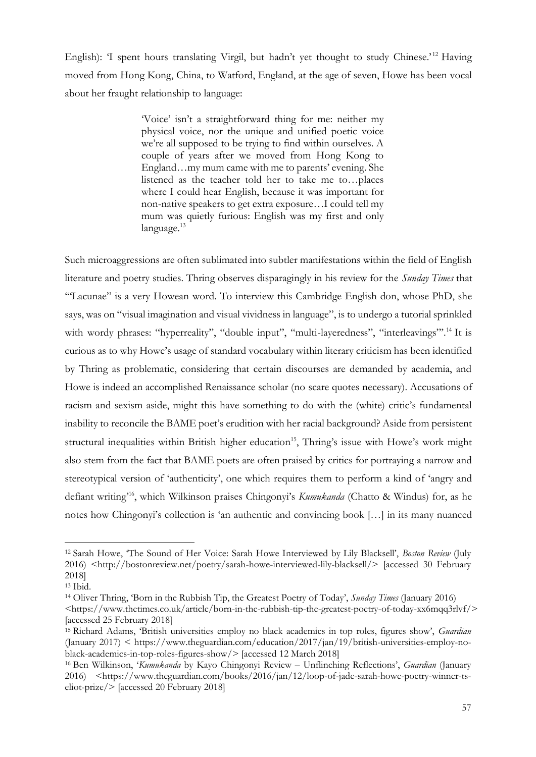English): 'I spent hours translating Virgil, but hadn't yet thought to study Chinese.'<sup>12</sup> Having moved from Hong Kong, China, to Watford, England, at the age of seven, Howe has been vocal about her fraught relationship to language:

> 'Voice' isn't a straightforward thing for me: neither my physical voice, nor the unique and unified poetic voice we're all supposed to be trying to find within ourselves. A couple of years after we moved from Hong Kong to England…my mum came with me to parents' evening. She listened as the teacher told her to take me to…places where I could hear English, because it was important for non-native speakers to get extra exposure…I could tell my mum was quietly furious: English was my first and only language.<sup>13</sup>

Such microaggressions are often sublimated into subtler manifestations within the field of English literature and poetry studies. Thring observes disparagingly in his review for the *Sunday Times* that '"Lacunae" is a very Howean word. To interview this Cambridge English don, whose PhD, she says, was on "visual imagination and visual vividness in language", is to undergo a tutorial sprinkled with wordy phrases: "hyperreality", "double input", "multi-layeredness", "interleavings".<sup>14</sup> It is curious as to why Howe's usage of standard vocabulary within literary criticism has been identified by Thring as problematic, considering that certain discourses are demanded by academia, and Howe is indeed an accomplished Renaissance scholar (no scare quotes necessary). Accusations of racism and sexism aside, might this have something to do with the (white) critic's fundamental inability to reconcile the BAME poet's erudition with her racial background? Aside from persistent structural inequalities within British higher education<sup>15</sup>, Thring's issue with Howe's work might also stem from the fact that BAME poets are often praised by critics for portraying a narrow and stereotypical version of 'authenticity', one which requires them to perform a kind of 'angry and defiant writing'<sup>16</sup>, which Wilkinson praises Chingonyi's *Kumukanda* (Chatto & Windus) for, as he notes how Chingonyi's collection is 'an authentic and convincing book […] in its many nuanced

<sup>12</sup> Sarah Howe, 'The Sound of Her Voice: Sarah Howe Interviewed by Lily Blacksell', *Boston Review* (July 2016) <http://bostonreview.net/poetry/sarah-howe-interviewed-lily-blacksell/> [accessed 30 February 2018]

<sup>13</sup> Ibid.

<sup>14</sup> Oliver Thring, 'Born in the Rubbish Tip, the Greatest Poetry of Today', *Sunday Times* (January 2016) <https://www.thetimes.co.uk/article/born-in-the-rubbish-tip-the-greatest-poetry-of-today-xx6mqq3rlvf/> [accessed 25 February 2018]

<sup>15</sup> Richard Adams, 'British universities employ no black academics in top roles, figures show', *Guardian* (January 2017) < https://www.theguardian.com/education/2017/jan/19/british-universities-employ-noblack-academics-in-top-roles-figures-show/> [accessed 12 March 2018]

<sup>16</sup> Ben Wilkinson, '*Kumukanda* by Kayo Chingonyi Review – Unflinching Reflections', *Guardian* (January 2016) <https://www.theguardian.com/books/2016/jan/12/loop-of-jade-sarah-howe-poetry-winner-tseliot-prize/> [accessed 20 February 2018]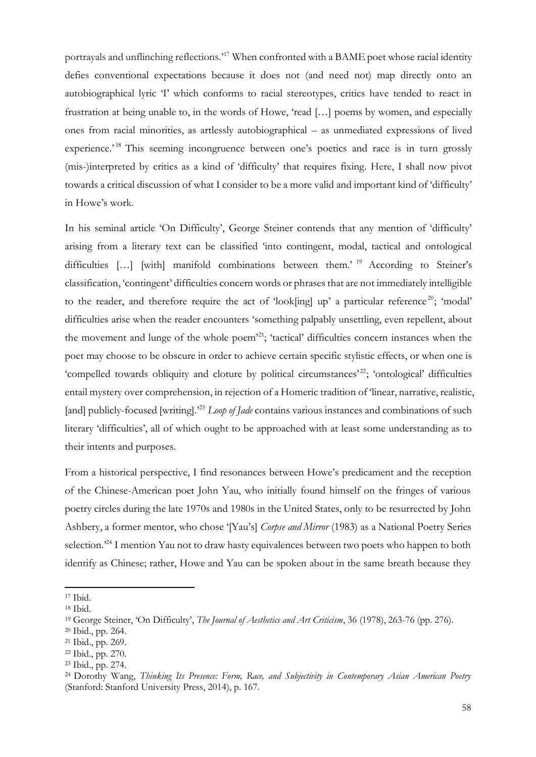portrayals and unflinching reflections.'<sup>17</sup> When confronted with a BAME poet whose racial identity defies conventional expectations because it does not (and need not) map directly onto an autobiographical lyric 'I' which conforms to racial stereotypes, critics have tended to react in frustration at being unable to, in the words of Howe, 'read […] poems by women, and especially ones from racial minorities, as artlessly autobiographical – as unmediated expressions of lived experience.<sup>18</sup> This seeming incongruence between one's poetics and race is in turn grossly (mis-)interpreted by critics as a kind of 'difficulty' that requires fixing. Here, I shall now pivot towards a critical discussion of what I consider to be a more valid and important kind of 'difficulty' in Howe's work.

In his seminal article 'On Difficulty', George Steiner contends that any mention of 'difficulty' arising from a literary text can be classified 'into contingent, modal, tactical and ontological difficulties [...] [with] manifold combinations between them.' <sup>19</sup> According to Steiner's classification, 'contingent' difficulties concern words or phrases that are not immediately intelligible to the reader, and therefore require the act of 'look[ing] up' a particular reference<sup>20</sup>; 'modal' difficulties arise when the reader encounters 'something palpably unsettling, even repellent, about the movement and lunge of the whole poem'<sup>21</sup>; 'tactical' difficulties concern instances when the poet may choose to be obscure in order to achieve certain specific stylistic effects, or when one is 'compelled towards obliquity and cloture by political circumstances'<sup>22</sup>; 'ontological' difficulties entail mystery over comprehension, in rejection of a Homeric tradition of 'linear, narrative, realistic, [and] publicly-focused [writing].<sup>23</sup> *Loop of Jade* contains various instances and combinations of such literary 'difficulties', all of which ought to be approached with at least some understanding as to their intents and purposes.

From a historical perspective, I find resonances between Howe's predicament and the reception of the Chinese-American poet John Yau, who initially found himself on the fringes of various poetry circles during the late 1970s and 1980s in the United States, only to be resurrected by John Ashbery, a former mentor, who chose '[Yau's] *Corpse and Mirror* (1983) as a National Poetry Series selection.<sup>24</sup> I mention Yau not to draw hasty equivalences between two poets who happen to both identify as Chinese; rather, Howe and Yau can be spoken about in the same breath because they

<sup>17</sup> Ibid.

<sup>18</sup> Ibid.

<sup>19</sup> George Steiner, 'On Difficulty', *The Journal of Aesthetics and Art Criticism*, 36 (1978), 263-76 (pp. 276).

<sup>20</sup> Ibid., pp. 264.

<sup>21</sup> Ibid., pp. 269.

<sup>22</sup> Ibid., pp. 270.

<sup>23</sup> Ibid., pp. 274.

<sup>24</sup> Dorothy Wang, *Thinking Its Presence: Form, Race, and Subjectivity in Contemporary Asian American Poetry*  (Stanford: Stanford University Press, 2014), p. 167.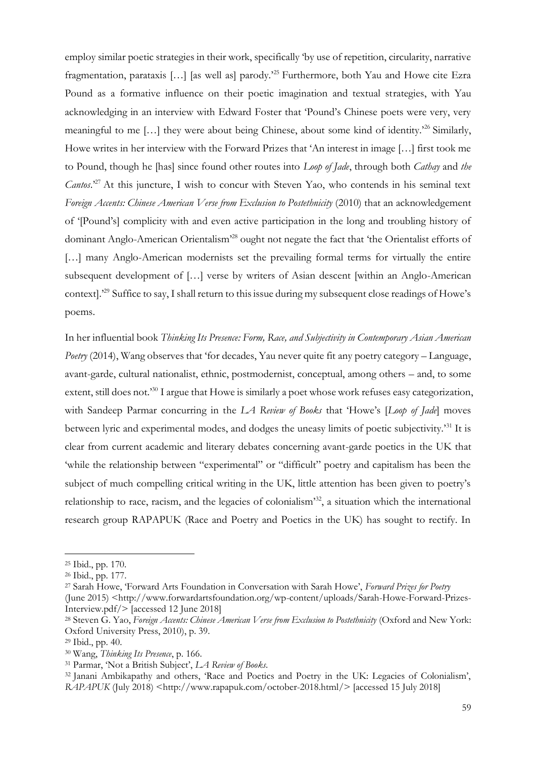employ similar poetic strategies in their work, specifically 'by use of repetition, circularity, narrative fragmentation, parataxis […] [as well as] parody.'<sup>25</sup> Furthermore, both Yau and Howe cite Ezra Pound as a formative influence on their poetic imagination and textual strategies, with Yau acknowledging in an interview with Edward Foster that 'Pound's Chinese poets were very, very meaningful to me […] they were about being Chinese, about some kind of identity.'<sup>26</sup> Similarly, Howe writes in her interview with the Forward Prizes that 'An interest in image […] first took me to Pound, though he [has] since found other routes into *Loop of Jade*, through both *Cathay* and *the Cantos*.'<sup>27</sup> At this juncture, I wish to concur with Steven Yao, who contends in his seminal text *Foreign Accents: Chinese American Verse from Exclusion to Postethnicity* (2010) that an acknowledgement of '[Pound's] complicity with and even active participation in the long and troubling history of dominant Anglo-American Orientalism'<sup>28</sup> ought not negate the fact that 'the Orientalist efforts of [...] many Anglo-American modernists set the prevailing formal terms for virtually the entire subsequent development of […] verse by writers of Asian descent [within an Anglo-American context].'<sup>29</sup> Suffice to say, I shall return to this issue during my subsequent close readings of Howe's poems.

In her influential book *Thinking Its Presence: Form, Race, and Subjectivity in Contemporary Asian American Poetry* (2014), Wang observes that 'for decades, Yau never quite fit any poetry category – Language, avant-garde, cultural nationalist, ethnic, postmodernist, conceptual, among others – and, to some extent, still does not.<sup>30</sup> I argue that Howe is similarly a poet whose work refuses easy categorization, with Sandeep Parmar concurring in the *LA Review of Books* that 'Howe's [*Loop of Jade*] moves between lyric and experimental modes, and dodges the uneasy limits of poetic subjectivity.'<sup>31</sup> It is clear from current academic and literary debates concerning avant-garde poetics in the UK that 'while the relationship between "experimental" or "difficult" poetry and capitalism has been the subject of much compelling critical writing in the UK, little attention has been given to poetry's relationship to race, racism, and the legacies of colonialism<sup>33</sup>, a situation which the international research group RAPAPUK (Race and Poetry and Poetics in the UK) has sought to rectify. In

<sup>25</sup> Ibid., pp. 170.

<sup>26</sup> Ibid., pp. 177.

<sup>27</sup> Sarah Howe, 'Forward Arts Foundation in Conversation with Sarah Howe', *Forward Prizes for Poetry* (June 2015) <http://www.forwardartsfoundation.org/wp-content/uploads/Sarah-Howe-Forward-Prizes-Interview.pdf/> [accessed 12 June 2018]

<sup>28</sup> Steven G. Yao, *Foreign Accents: Chinese American Verse from Exclusion to Postethnicity* (Oxford and New York: Oxford University Press, 2010), p. 39.

<sup>29</sup> Ibid., pp. 40.

<sup>30</sup> Wang, *Thinking Its Presence*, p. 166.

<sup>31</sup> Parmar, 'Not a British Subject', *LA Review of Books*.

<sup>&</sup>lt;sup>32</sup> Janani Ambikapathy and others, 'Race and Poetics and Poetry in the UK: Legacies of Colonialism', *RAPAPUK* (July 2018) <http://www.rapapuk.com/october-2018.html/> [accessed 15 July 2018]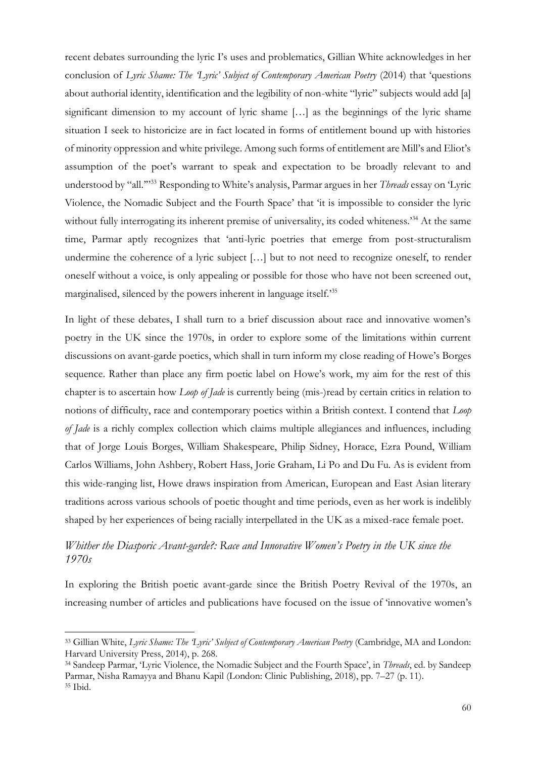recent debates surrounding the lyric I's uses and problematics, Gillian White acknowledges in her conclusion of *Lyric Shame: The 'Lyric' Subject of Contemporary American Poetry* (2014) that 'questions about authorial identity, identification and the legibility of non-white "lyric" subjects would add [a] significant dimension to my account of lyric shame […] as the beginnings of the lyric shame situation I seek to historicize are in fact located in forms of entitlement bound up with histories of minority oppression and white privilege. Among such forms of entitlement are Mill's and Eliot's assumption of the poet's warrant to speak and expectation to be broadly relevant to and understood by "all.'"<sup>33</sup> Responding to White's analysis, Parmar argues in her *Threads* essay on 'Lyric Violence, the Nomadic Subject and the Fourth Space' that 'it is impossible to consider the lyric without fully interrogating its inherent premise of universality, its coded whiteness.<sup>34</sup> At the same time, Parmar aptly recognizes that 'anti-lyric poetries that emerge from post-structuralism undermine the coherence of a lyric subject […] but to not need to recognize oneself, to render oneself without a voice, is only appealing or possible for those who have not been screened out, marginalised, silenced by the powers inherent in language itself.'<sup>35</sup>

In light of these debates, I shall turn to a brief discussion about race and innovative women's poetry in the UK since the 1970s, in order to explore some of the limitations within current discussions on avant-garde poetics, which shall in turn inform my close reading of Howe's Borges sequence. Rather than place any firm poetic label on Howe's work, my aim for the rest of this chapter is to ascertain how *Loop of Jade* is currently being (mis-)read by certain critics in relation to notions of difficulty, race and contemporary poetics within a British context. I contend that *Loop of Jade* is a richly complex collection which claims multiple allegiances and influences, including that of Jorge Louis Borges, William Shakespeare, Philip Sidney, Horace, Ezra Pound, William Carlos Williams, John Ashbery, Robert Hass, Jorie Graham, Li Po and Du Fu. As is evident from this wide-ranging list, Howe draws inspiration from American, European and East Asian literary traditions across various schools of poetic thought and time periods, even as her work is indelibly shaped by her experiences of being racially interpellated in the UK as a mixed-race female poet.

## *Whither the Diasporic Avant-garde?: Race and Innovative Women's Poetry in the UK since the 1970s*

In exploring the British poetic avant-garde since the British Poetry Revival of the 1970s, an increasing number of articles and publications have focused on the issue of 'innovative women's

<sup>33</sup> Gillian White, *Lyric Shame: The 'Lyric' Subject of Contemporary American Poetry* (Cambridge, MA and London: Harvard University Press, 2014), p. 268.

<sup>34</sup> Sandeep Parmar, 'Lyric Violence, the Nomadic Subject and the Fourth Space', in *Threads*, ed. by Sandeep Parmar, Nisha Ramayya and Bhanu Kapil (London: Clinic Publishing, 2018), pp. 7–27 (p. 11). <sup>35</sup> Ibid.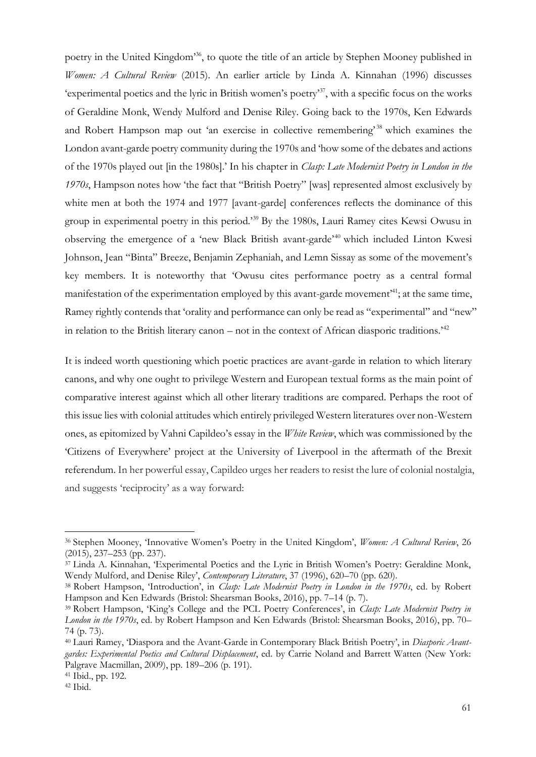poetry in the United Kingdom'<sup>36</sup>, to quote the title of an article by Stephen Mooney published in *Women: A Cultural Review* (2015). An earlier article by Linda A. Kinnahan (1996) discusses 'experimental poetics and the lyric in British women's poetry'<sup>37</sup>, with a specific focus on the works of Geraldine Monk, Wendy Mulford and Denise Riley. Going back to the 1970s, Ken Edwards and Robert Hampson map out 'an exercise in collective remembering'<sup>38</sup> which examines the London avant-garde poetry community during the 1970s and 'how some of the debates and actions of the 1970s played out [in the 1980s].' In his chapter in *Clasp: Late Modernist Poetry in London in the 1970s*, Hampson notes how 'the fact that "British Poetry" [was] represented almost exclusively by white men at both the 1974 and 1977 [avant-garde] conferences reflects the dominance of this group in experimental poetry in this period.'<sup>39</sup> By the 1980s, Lauri Ramey cites Kewsi Owusu in observing the emergence of a 'new Black British avant-garde'<sup>40</sup> which included Linton Kwesi Johnson, Jean "Binta" Breeze, Benjamin Zephaniah, and Lemn Sissay as some of the movement's key members. It is noteworthy that 'Owusu cites performance poetry as a central formal manifestation of the experimentation employed by this avant-garde movement<sup>41</sup>; at the same time, Ramey rightly contends that 'orality and performance can only be read as "experimental" and "new" in relation to the British literary canon – not in the context of African diasporic traditions.<sup>42</sup>

It is indeed worth questioning which poetic practices are avant-garde in relation to which literary canons, and why one ought to privilege Western and European textual forms as the main point of comparative interest against which all other literary traditions are compared. Perhaps the root of this issue lies with colonial attitudes which entirely privileged Western literatures over non-Western ones, as epitomized by Vahni Capildeo's essay in the *White Review*, which was commissioned by the 'Citizens of Everywhere' project at the University of Liverpool in the aftermath of the Brexit referendum. In her powerful essay, Capildeo urges her readers to resist the lure of colonial nostalgia, and suggests 'reciprocity' as a way forward:

<sup>36</sup> Stephen Mooney, 'Innovative Women's Poetry in the United Kingdom', *Women: A Cultural Review*, 26 (2015), 237–253 (pp. 237).

<sup>37</sup> Linda A. Kinnahan, 'Experimental Poetics and the Lyric in British Women's Poetry: Geraldine Monk, Wendy Mulford, and Denise Riley', *Contemporary Literature*, 37 (1996), 620–70 (pp. 620).

<sup>38</sup> Robert Hampson, 'Introduction', in *Clasp: Late Modernist Poetry in London in the 1970s*, ed. by Robert Hampson and Ken Edwards (Bristol: Shearsman Books, 2016), pp. 7–14 (p. 7).

<sup>39</sup> Robert Hampson, 'King's College and the PCL Poetry Conferences', in *Clasp: Late Modernist Poetry in London in the 1970s*, ed. by Robert Hampson and Ken Edwards (Bristol: Shearsman Books, 2016), pp. 70– 74 (p. 73).

<sup>40</sup> Lauri Ramey, 'Diaspora and the Avant-Garde in Contemporary Black British Poetry', in *Diasporic Avantgardes: Experimental Poetics and Cultural Displacement*, ed. by Carrie Noland and Barrett Watten (New York: Palgrave Macmillan, 2009), pp. 189–206 (p. 191).

<sup>41</sup> Ibid., pp. 192.

 $42$  Ibid.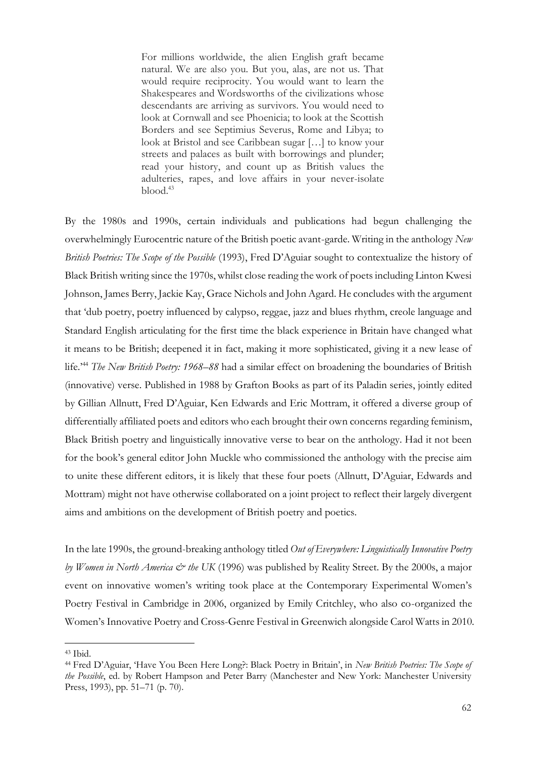For millions worldwide, the alien English graft became natural. We are also you. But you, alas, are not us. That would require reciprocity. You would want to learn the Shakespeares and Wordsworths of the civilizations whose descendants are arriving as survivors. You would need to look at Cornwall and see Phoenicia; to look at the Scottish Borders and see Septimius Severus, Rome and Libya; to look at Bristol and see Caribbean sugar […] to know your streets and palaces as built with borrowings and plunder; read your history, and count up as British values the adulteries, rapes, and love affairs in your never-isolate  $b$ lood. $43$ 

By the 1980s and 1990s, certain individuals and publications had begun challenging the overwhelmingly Eurocentric nature of the British poetic avant-garde. Writing in the anthology *New British Poetries: The Scope of the Possible* (1993), Fred D'Aguiar sought to contextualize the history of Black British writing since the 1970s, whilst close reading the work of poets including Linton Kwesi Johnson, James Berry, Jackie Kay, Grace Nichols and John Agard. He concludes with the argument that 'dub poetry, poetry influenced by calypso, reggae, jazz and blues rhythm, creole language and Standard English articulating for the first time the black experience in Britain have changed what it means to be British; deepened it in fact, making it more sophisticated, giving it a new lease of life.'<sup>44</sup> *The New British Poetry: 1968–88* had a similar effect on broadening the boundaries of British (innovative) verse. Published in 1988 by Grafton Books as part of its Paladin series, jointly edited by Gillian Allnutt, Fred D'Aguiar, Ken Edwards and Eric Mottram, it offered a diverse group of differentially affiliated poets and editors who each brought their own concerns regarding feminism, Black British poetry and linguistically innovative verse to bear on the anthology. Had it not been for the book's general editor John Muckle who commissioned the anthology with the precise aim to unite these different editors, it is likely that these four poets (Allnutt, D'Aguiar, Edwards and Mottram) might not have otherwise collaborated on a joint project to reflect their largely divergent aims and ambitions on the development of British poetry and poetics.

In the late 1990s, the ground-breaking anthology titled *Out of Everywhere: Linguistically Innovative Poetry by Women in North America & the UK* (1996) was published by Reality Street. By the 2000s, a major event on innovative women's writing took place at the Contemporary Experimental Women's Poetry Festival in Cambridge in 2006, organized by Emily Critchley, who also co-organized the Women's Innovative Poetry and Cross-Genre Festival in Greenwich alongside Carol Watts in 2010.

<sup>43</sup> Ibid.

<sup>44</sup> Fred D'Aguiar, 'Have You Been Here Long?: Black Poetry in Britain', in *New British Poetries: The Scope of the Possible*, ed. by Robert Hampson and Peter Barry (Manchester and New York: Manchester University Press, 1993), pp. 51–71 (p. 70).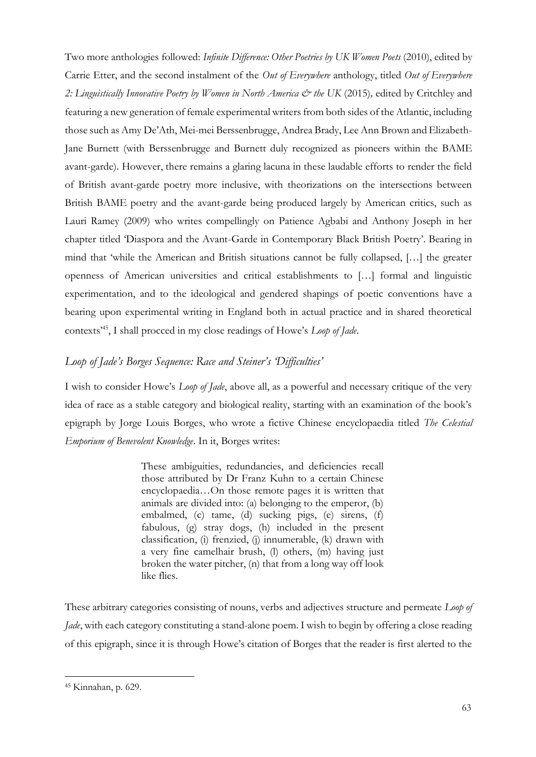Two more anthologies followed: *Infinite Difference: Other Poetries by UK Women Poets* (2010), edited by Carrie Etter, and the second instalment of the *Out of Everywhere* anthology, titled *Out of Everywhere*  2: Linguistically Innovative Poetry by Women in North America & the UK (2015), edited by Critchley and featuring a new generation of female experimental writers from both sides of the Atlantic, including those such as Amy De'Ath, Mei-mei Berssenbrugge, Andrea Brady, Lee Ann Brown and Elizabeth-Jane Burnett (with Berssenbrugge and Burnett duly recognized as pioneers within the BAME avant-garde). However, there remains a glaring lacuna in these laudable efforts to render the field of British avant-garde poetry more inclusive, with theorizations on the intersections between British BAME poetry and the avant-garde being produced largely by American critics, such as Lauri Ramey (2009) who writes compellingly on Patience Agbabi and Anthony Joseph in her chapter titled 'Diaspora and the Avant-Garde in Contemporary Black British Poetry'. Bearing in mind that 'while the American and British situations cannot be fully collapsed, […] the greater openness of American universities and critical establishments to […] formal and linguistic experimentation, and to the ideological and gendered shapings of poetic conventions have a bearing upon experimental writing in England both in actual practice and in shared theoretical contexts'<sup>45</sup>, I shall procced in my close readings of Howe's *Loop of Jade*.

# *Loop of Jade's Borges Sequence: Race and Steiner's 'Difficulties'*

I wish to consider Howe's *Loop of Jade*, above all, as a powerful and necessary critique of the very idea of race as a stable category and biological reality, starting with an examination of the book's epigraph by Jorge Louis Borges, who wrote a fictive Chinese encyclopaedia titled *The Celestial Emporium of Benevolent Knowledge*. In it, Borges writes:

> These ambiguities, redundancies, and deficiencies recall those attributed by Dr Franz Kuhn to a certain Chinese encyclopaedia…On those remote pages it is written that animals are divided into: (a) belonging to the emperor, (b) embalmed, (c) tame, (d) sucking pigs, (e) sirens, (f) fabulous, (g) stray dogs, (h) included in the present classification, (i) frenzied, (j) innumerable, (k) drawn with a very fine camelhair brush, (l) others, (m) having just broken the water pitcher, (n) that from a long way off look like flies.

These arbitrary categories consisting of nouns, verbs and adjectives structure and permeate *Loop of Jade*, with each category constituting a stand-alone poem. I wish to begin by offering a close reading of this epigraph, since it is through Howe's citation of Borges that the reader is first alerted to the

<sup>45</sup> Kinnahan, p. 629.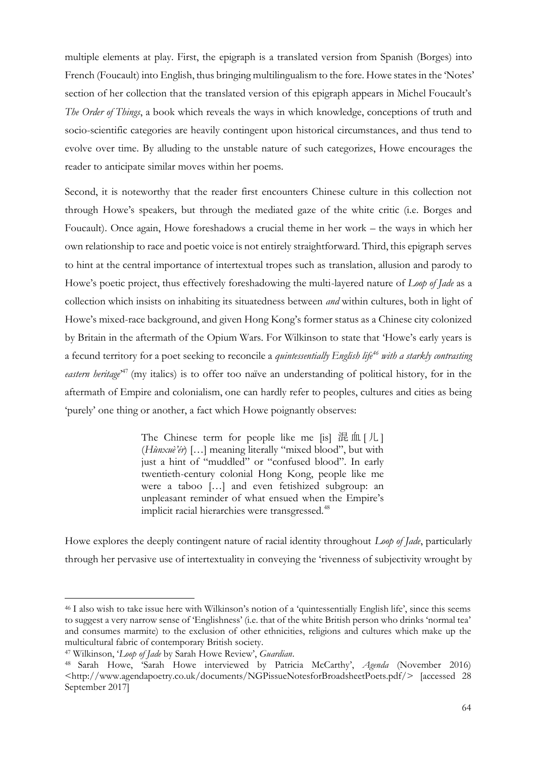multiple elements at play. First, the epigraph is a translated version from Spanish (Borges) into French (Foucault) into English, thus bringing multilingualism to the fore. Howe states in the 'Notes' section of her collection that the translated version of this epigraph appears in Michel Foucault's *The Order of Things*, a book which reveals the ways in which knowledge, conceptions of truth and socio-scientific categories are heavily contingent upon historical circumstances, and thus tend to evolve over time. By alluding to the unstable nature of such categorizes, Howe encourages the reader to anticipate similar moves within her poems.

Second, it is noteworthy that the reader first encounters Chinese culture in this collection not through Howe's speakers, but through the mediated gaze of the white critic (i.e. Borges and Foucault). Once again, Howe foreshadows a crucial theme in her work – the ways in which her own relationship to race and poetic voice is not entirely straightforward. Third, this epigraph serves to hint at the central importance of intertextual tropes such as translation, allusion and parody to Howe's poetic project, thus effectively foreshadowing the multi-layered nature of *Loop of Jade* as a collection which insists on inhabiting its situatedness between *and* within cultures, both in light of Howe's mixed-race background, and given Hong Kong's former status as a Chinese city colonized by Britain in the aftermath of the Opium Wars. For Wilkinson to state that 'Howe's early years is a fecund territory for a poet seeking to reconcile a *quintessentially English life<sup>46</sup> with a starkly contrasting*  eastern heritage<sup>247</sup> (my italics) is to offer too naïve an understanding of political history, for in the aftermath of Empire and colonialism, one can hardly refer to peoples, cultures and cities as being 'purely' one thing or another, a fact which Howe poignantly observes:

> The Chinese term for people like me  $[s]$  混血 $[/L]$ (*Hùnxuè'ér*) […] meaning literally "mixed blood", but with just a hint of "muddled" or "confused blood". In early twentieth-century colonial Hong Kong, people like me were a taboo […] and even fetishized subgroup: an unpleasant reminder of what ensued when the Empire's implicit racial hierarchies were transgressed.<sup>48</sup>

Howe explores the deeply contingent nature of racial identity throughout *Loop of Jade*, particularly through her pervasive use of intertextuality in conveying the 'rivenness of subjectivity wrought by

<sup>46</sup> I also wish to take issue here with Wilkinson's notion of a 'quintessentially English life', since this seems to suggest a very narrow sense of 'Englishness' (i.e. that of the white British person who drinks 'normal tea' and consumes marmite) to the exclusion of other ethnicities, religions and cultures which make up the multicultural fabric of contemporary British society.

<sup>47</sup> Wilkinson, '*Loop of Jade* by Sarah Howe Review', *Guardian*.

<sup>48</sup> Sarah Howe, 'Sarah Howe interviewed by Patricia McCarthy', *Agenda* (November 2016) <http://www.agendapoetry.co.uk/documents/NGPissueNotesforBroadsheetPoets.pdf/> [accessed 28 September 2017]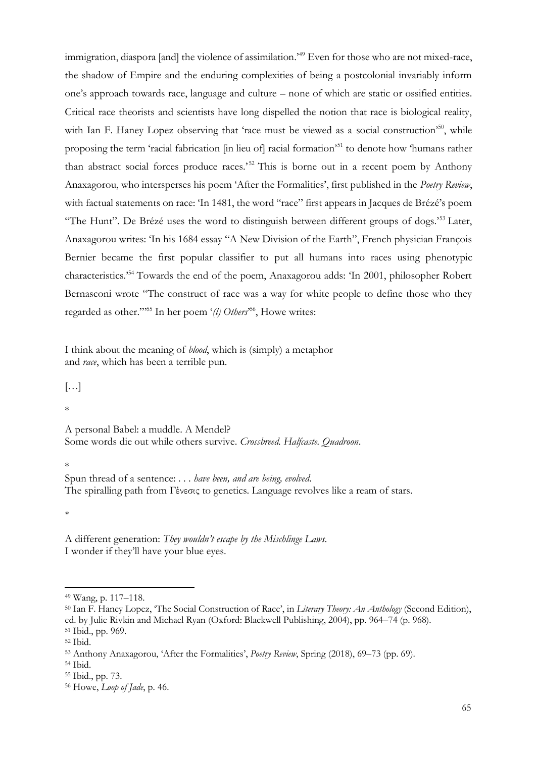immigration, diaspora [and] the violence of assimilation.<sup>'49</sup> Even for those who are not mixed-race, the shadow of Empire and the enduring complexities of being a postcolonial invariably inform one's approach towards race, language and culture – none of which are static or ossified entities. Critical race theorists and scientists have long dispelled the notion that race is biological reality, with Ian F. Haney Lopez observing that 'race must be viewed as a social construction'<sup>50</sup>, while proposing the term 'racial fabrication [in lieu of] racial formation'<sup>51</sup> to denote how 'humans rather than abstract social forces produce races.<sup>52</sup> This is borne out in a recent poem by Anthony Anaxagorou, who intersperses his poem 'After the Formalities', first published in the *Poetry Review*, with factual statements on race: 'In 1481, the word "race" first appears in Jacques de Brézé's poem "The Hunt". De Brézé uses the word to distinguish between different groups of dogs.<sup>553</sup> Later, Anaxagorou writes: 'In his 1684 essay "A New Division of the Earth", French physician François Bernier became the first popular classifier to put all humans into races using phenotypic characteristics.'<sup>54</sup> Towards the end of the poem, Anaxagorou adds: 'In 2001, philosopher Robert Bernasconi wrote "The construct of race was a way for white people to define those who they regarded as other."<sup>55</sup> In her poem '(l) Others<sup>556</sup>, Howe writes:

I think about the meaning of *blood*, which is (simply) a metaphor and *race*, which has been a terrible pun.

 $[\ldots]$ 

\*

A personal Babel: a muddle. A Mendel? Some words die out while others survive. *Crossbreed. Halfcaste. Quadroon*.

\*

Spun thread of a sentence: . . . *have been, and are being, evolved*. The spiralling path from Γένεσις to genetics. Language revolves like a ream of stars.

\*

A different generation: *They wouldn't escape by the Mischlinge Laws.* I wonder if they'll have your blue eyes.

<sup>54</sup> Ibid.

<sup>49</sup> Wang, p. 117–118.

<sup>50</sup> Ian F. Haney Lopez, 'The Social Construction of Race', in *Literary Theory: An Anthology* (Second Edition), ed. by Julie Rivkin and Michael Ryan (Oxford: Blackwell Publishing, 2004), pp. 964–74 (p. 968). <sup>51</sup> Ibid., pp. 969.

<sup>52</sup> Ibid.

<sup>53</sup> Anthony Anaxagorou, 'After the Formalities', *Poetry Review*, Spring (2018), 69–73 (pp. 69).

<sup>55</sup> Ibid., pp. 73.

<sup>56</sup> Howe, *Loop of Jade*, p. 46.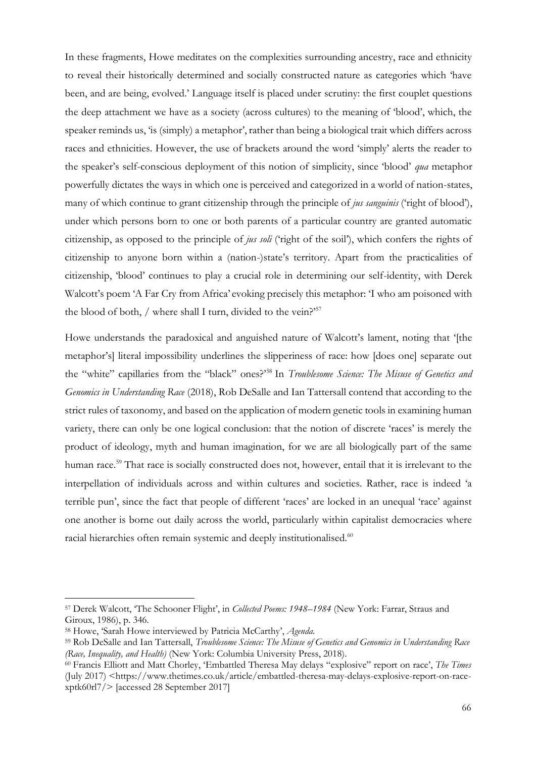In these fragments, Howe meditates on the complexities surrounding ancestry, race and ethnicity to reveal their historically determined and socially constructed nature as categories which 'have been, and are being, evolved.' Language itself is placed under scrutiny: the first couplet questions the deep attachment we have as a society (across cultures) to the meaning of 'blood', which, the speaker reminds us, 'is (simply) a metaphor', rather than being a biological trait which differs across races and ethnicities. However, the use of brackets around the word 'simply' alerts the reader to the speaker's self-conscious deployment of this notion of simplicity, since 'blood' *qua* metaphor powerfully dictates the ways in which one is perceived and categorized in a world of nation-states, many of which continue to grant citizenship through the principle of *jus sanguinis* ('right of blood'), under which persons born to one or both parents of a particular country are granted automatic citizenship, as opposed to the principle of *jus soli* ('right of the soil'), which confers the rights of citizenship to anyone born within a (nation-)state's territory. Apart from the practicalities of citizenship, 'blood' continues to play a crucial role in determining our self-identity, with Derek Walcott's poem 'A Far Cry from Africa' evoking precisely this metaphor: 'I who am poisoned with the blood of both, / where shall I turn, divided to the vein?'<sup>57</sup>

Howe understands the paradoxical and anguished nature of Walcott's lament, noting that '[the metaphor's] literal impossibility underlines the slipperiness of race: how [does one] separate out the "white" capillaries from the "black" ones?'<sup>58</sup> In *Troublesome Science: The Misuse of Genetics and Genomics in Understanding Race* (2018), Rob DeSalle and Ian Tattersall contend that according to the strict rules of taxonomy, and based on the application of modern genetic tools in examining human variety, there can only be one logical conclusion: that the notion of discrete 'races' is merely the product of ideology, myth and human imagination, for we are all biologically part of the same human race.<sup>59</sup> That race is socially constructed does not, however, entail that it is irrelevant to the interpellation of individuals across and within cultures and societies. Rather, race is indeed 'a terrible pun', since the fact that people of different 'races' are locked in an unequal 'race' against one another is borne out daily across the world, particularly within capitalist democracies where racial hierarchies often remain systemic and deeply institutionalised.<sup>60</sup>

<sup>57</sup> Derek Walcott, 'The Schooner Flight', in *Collected Poems: 1948–1984* (New York: Farrar, Straus and Giroux, 1986), p. 346.

<sup>58</sup> Howe, 'Sarah Howe interviewed by Patricia McCarthy', *Agenda*.

<sup>59</sup> Rob DeSalle and Ian Tattersall, *Troublesome Science: The Misuse of Genetics and Genomics in Understanding Race (Race, Inequality, and Health)* (New York: Columbia University Press, 2018).

<sup>60</sup> Francis Elliott and Matt Chorley, 'Embattled Theresa May delays "explosive" report on race', *The Times* (July 2017) <https://www.thetimes.co.uk/article/embattled-theresa-may-delays-explosive-report-on-racexptk60rl7/> [accessed 28 September 2017]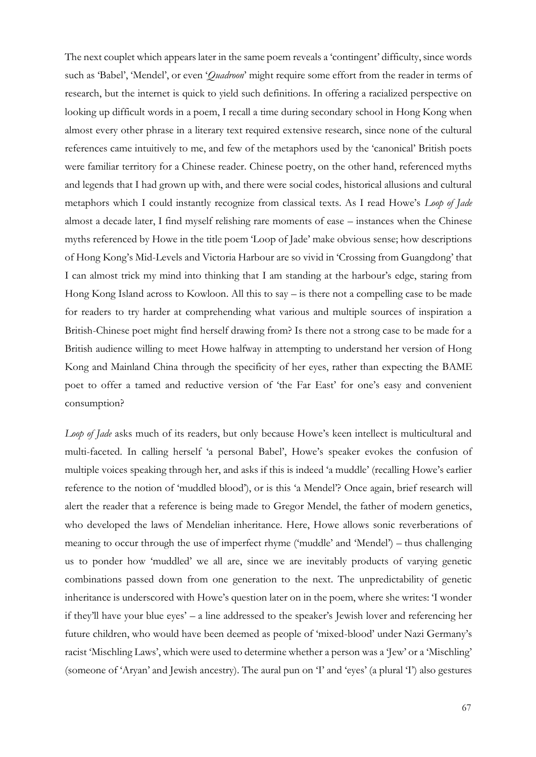The next couplet which appears later in the same poem reveals a 'contingent' difficulty, since words such as 'Babel', 'Mendel', or even '*Quadroon*' might require some effort from the reader in terms of research, but the internet is quick to yield such definitions. In offering a racialized perspective on looking up difficult words in a poem, I recall a time during secondary school in Hong Kong when almost every other phrase in a literary text required extensive research, since none of the cultural references came intuitively to me, and few of the metaphors used by the 'canonical' British poets were familiar territory for a Chinese reader. Chinese poetry, on the other hand, referenced myths and legends that I had grown up with, and there were social codes, historical allusions and cultural metaphors which I could instantly recognize from classical texts. As I read Howe's *Loop of Jade*  almost a decade later, I find myself relishing rare moments of ease – instances when the Chinese myths referenced by Howe in the title poem 'Loop of Jade' make obvious sense; how descriptions of Hong Kong's Mid-Levels and Victoria Harbour are so vivid in 'Crossing from Guangdong' that I can almost trick my mind into thinking that I am standing at the harbour's edge, staring from Hong Kong Island across to Kowloon. All this to say – is there not a compelling case to be made for readers to try harder at comprehending what various and multiple sources of inspiration a British-Chinese poet might find herself drawing from? Is there not a strong case to be made for a British audience willing to meet Howe halfway in attempting to understand her version of Hong Kong and Mainland China through the specificity of her eyes, rather than expecting the BAME poet to offer a tamed and reductive version of 'the Far East' for one's easy and convenient consumption?

*Loop of Jade* asks much of its readers, but only because Howe's keen intellect is multicultural and multi-faceted. In calling herself 'a personal Babel', Howe's speaker evokes the confusion of multiple voices speaking through her, and asks if this is indeed 'a muddle' (recalling Howe's earlier reference to the notion of 'muddled blood'), or is this 'a Mendel'? Once again, brief research will alert the reader that a reference is being made to Gregor Mendel, the father of modern genetics, who developed the laws of Mendelian inheritance. Here, Howe allows sonic reverberations of meaning to occur through the use of imperfect rhyme ('muddle' and 'Mendel') – thus challenging us to ponder how 'muddled' we all are, since we are inevitably products of varying genetic combinations passed down from one generation to the next. The unpredictability of genetic inheritance is underscored with Howe's question later on in the poem, where she writes: 'I wonder if they'll have your blue eyes' – a line addressed to the speaker's Jewish lover and referencing her future children, who would have been deemed as people of 'mixed-blood' under Nazi Germany's racist 'Mischling Laws', which were used to determine whether a person was a 'Jew' or a 'Mischling' (someone of 'Aryan' and Jewish ancestry). The aural pun on 'I' and 'eyes' (a plural 'I') also gestures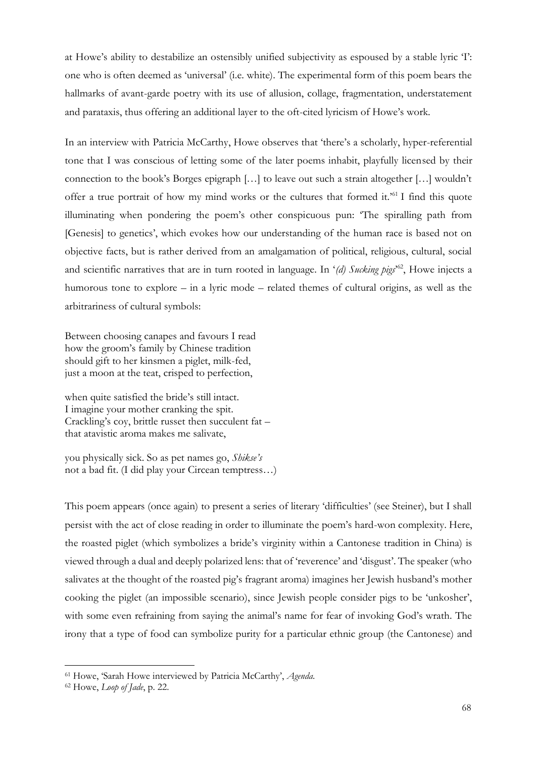at Howe's ability to destabilize an ostensibly unified subjectivity as espoused by a stable lyric 'I': one who is often deemed as 'universal' (i.e. white). The experimental form of this poem bears the hallmarks of avant-garde poetry with its use of allusion, collage, fragmentation, understatement and parataxis, thus offering an additional layer to the oft-cited lyricism of Howe's work.

In an interview with Patricia McCarthy, Howe observes that 'there's a scholarly, hyper-referential tone that I was conscious of letting some of the later poems inhabit, playfully licensed by their connection to the book's Borges epigraph […] to leave out such a strain altogether […] wouldn't offer a true portrait of how my mind works or the cultures that formed it.'<sup>61</sup> I find this quote illuminating when pondering the poem's other conspicuous pun: 'The spiralling path from [Genesis] to genetics', which evokes how our understanding of the human race is based not on objective facts, but is rather derived from an amalgamation of political, religious, cultural, social and scientific narratives that are in turn rooted in language. In '*(d) Sucking pigs*' <sup>62</sup>, Howe injects a humorous tone to explore – in a lyric mode – related themes of cultural origins, as well as the arbitrariness of cultural symbols:

Between choosing canapes and favours I read how the groom's family by Chinese tradition should gift to her kinsmen a piglet, milk-fed, just a moon at the teat, crisped to perfection,

when quite satisfied the bride's still intact. I imagine your mother cranking the spit. Crackling's coy, brittle russet then succulent fat – that atavistic aroma makes me salivate,

you physically sick. So as pet names go, *Shikse's*  not a bad fit. (I did play your Circean temptress…)

This poem appears (once again) to present a series of literary 'difficulties' (see Steiner), but I shall persist with the act of close reading in order to illuminate the poem's hard-won complexity. Here, the roasted piglet (which symbolizes a bride's virginity within a Cantonese tradition in China) is viewed through a dual and deeply polarized lens: that of 'reverence' and 'disgust'. The speaker (who salivates at the thought of the roasted pig's fragrant aroma) imagines her Jewish husband's mother cooking the piglet (an impossible scenario), since Jewish people consider pigs to be 'unkosher', with some even refraining from saying the animal's name for fear of invoking God's wrath. The irony that a type of food can symbolize purity for a particular ethnic group (the Cantonese) and

<sup>61</sup> Howe, 'Sarah Howe interviewed by Patricia McCarthy', *Agenda*.

<sup>62</sup> Howe, *Loop of Jade*, p. 22.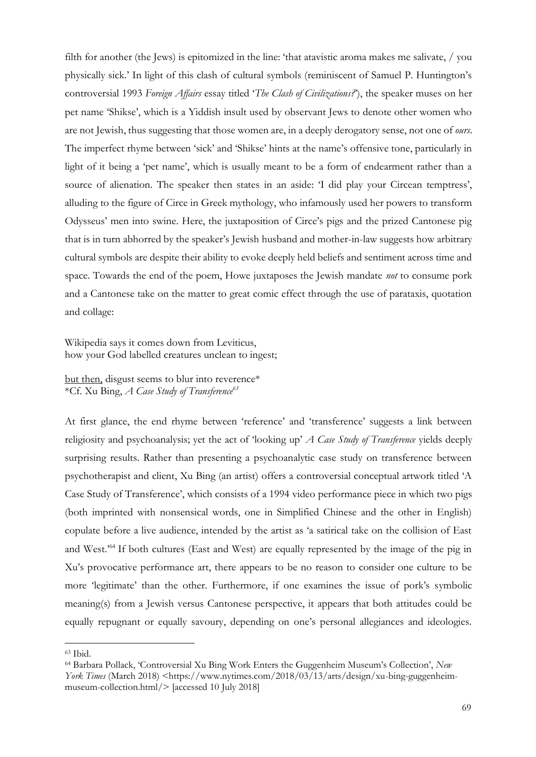filth for another (the Jews) is epitomized in the line: 'that atavistic aroma makes me salivate, / you physically sick.' In light of this clash of cultural symbols (reminiscent of Samuel P. Huntington's controversial 1993 *Foreign Affairs* essay titled '*The Clash of Civilizations?*'), the speaker muses on her pet name 'Shikse', which is a Yiddish insult used by observant Jews to denote other women who are not Jewish, thus suggesting that those women are, in a deeply derogatory sense, not one of *ours*. The imperfect rhyme between 'sick' and 'Shikse' hints at the name's offensive tone, particularly in light of it being a 'pet name', which is usually meant to be a form of endearment rather than a source of alienation. The speaker then states in an aside: 'I did play your Circean temptress', alluding to the figure of Circe in Greek mythology, who infamously used her powers to transform Odysseus' men into swine. Here, the juxtaposition of Circe's pigs and the prized Cantonese pig that is in turn abhorred by the speaker's Jewish husband and mother-in-law suggests how arbitrary cultural symbols are despite their ability to evoke deeply held beliefs and sentiment across time and space. Towards the end of the poem, Howe juxtaposes the Jewish mandate *not* to consume pork and a Cantonese take on the matter to great comic effect through the use of parataxis, quotation and collage:

Wikipedia says it comes down from Leviticus, how your God labelled creatures unclean to ingest;

but then, disgust seems to blur into reverence\* \*Cf. Xu Bing, *A Case Study of Transference<sup>63</sup>*

At first glance, the end rhyme between 'reference' and 'transference' suggests a link between religiosity and psychoanalysis; yet the act of 'looking up' *A Case Study of Transference* yields deeply surprising results. Rather than presenting a psychoanalytic case study on transference between psychotherapist and client, Xu Bing (an artist) offers a controversial conceptual artwork titled 'A Case Study of Transference', which consists of a 1994 video performance piece in which two pigs (both imprinted with nonsensical words, one in Simplified Chinese and the other in English) copulate before a live audience, intended by the artist as 'a satirical take on the collision of East and West.'<sup>64</sup> If both cultures (East and West) are equally represented by the image of the pig in Xu's provocative performance art, there appears to be no reason to consider one culture to be more 'legitimate' than the other. Furthermore, if one examines the issue of pork's symbolic meaning(s) from a Jewish versus Cantonese perspective, it appears that both attitudes could be equally repugnant or equally savoury, depending on one's personal allegiances and ideologies.

<sup>63</sup> Ibid.

<sup>64</sup> Barbara Pollack, 'Controversial Xu Bing Work Enters the Guggenheim Museum's Collection', *New York Times* (March 2018) <https://www.nytimes.com/2018/03/13/arts/design/xu-bing-guggenheimmuseum-collection.html/> [accessed 10 July 2018]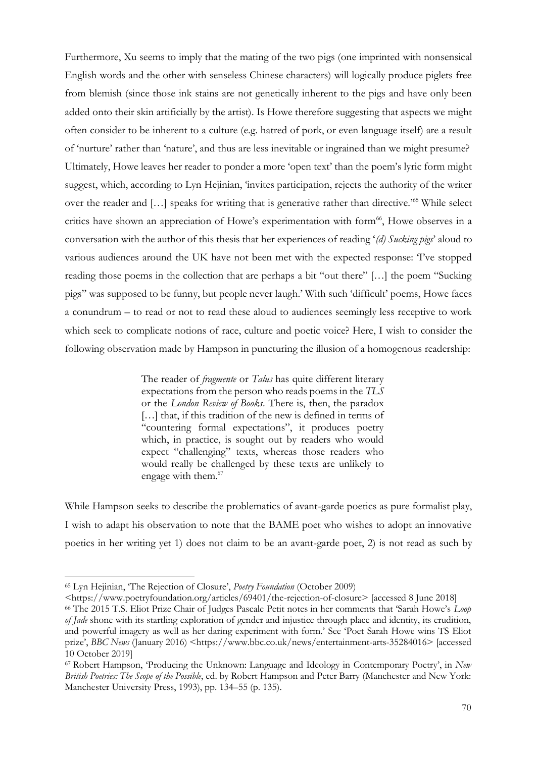Furthermore, Xu seems to imply that the mating of the two pigs (one imprinted with nonsensical English words and the other with senseless Chinese characters) will logically produce piglets free from blemish (since those ink stains are not genetically inherent to the pigs and have only been added onto their skin artificially by the artist). Is Howe therefore suggesting that aspects we might often consider to be inherent to a culture (e.g. hatred of pork, or even language itself) are a result of 'nurture' rather than 'nature', and thus are less inevitable or ingrained than we might presume? Ultimately, Howe leaves her reader to ponder a more 'open text' than the poem's lyric form might suggest, which, according to Lyn Hejinian, 'invites participation, rejects the authority of the writer over the reader and [...] speaks for writing that is generative rather than directive.<sup>'65</sup> While select critics have shown an appreciation of Howe's experimentation with form<sup>66</sup>, Howe observes in a conversation with the author of this thesis that her experiences of reading '*(d) Sucking pigs*' aloud to various audiences around the UK have not been met with the expected response: 'I've stopped reading those poems in the collection that are perhaps a bit "out there" […] the poem "Sucking pigs" was supposed to be funny, but people never laugh.' With such 'difficult' poems, Howe faces a conundrum – to read or not to read these aloud to audiences seemingly less receptive to work which seek to complicate notions of race, culture and poetic voice? Here, I wish to consider the following observation made by Hampson in puncturing the illusion of a homogenous readership:

> The reader of *fragmente* or *Talus* has quite different literary expectations from the person who reads poems in the *TLS* or the *London Review of Books*. There is, then, the paradox [...] that, if this tradition of the new is defined in terms of "countering formal expectations", it produces poetry which, in practice, is sought out by readers who would expect "challenging" texts, whereas those readers who would really be challenged by these texts are unlikely to engage with them.<sup>67</sup>

While Hampson seeks to describe the problematics of avant-garde poetics as pure formalist play, I wish to adapt his observation to note that the BAME poet who wishes to adopt an innovative poetics in her writing yet 1) does not claim to be an avant-garde poet, 2) is not read as such by

<sup>65</sup> Lyn Hejinian, 'The Rejection of Closure', *Poetry Foundation* (October 2009)

<sup>&</sup>lt;https://www.poetryfoundation.org/articles/69401/the-rejection-of-closure> [accessed 8 June 2018]

<sup>66</sup> The 2015 T.S. Eliot Prize Chair of Judges Pascale Petit notes in her comments that 'Sarah Howe's *Loop of Jade* shone with its startling exploration of gender and injustice through place and identity, its erudition, and powerful imagery as well as her daring experiment with form.' See 'Poet Sarah Howe wins TS Eliot prize', *BBC News* (January 2016) <https://www.bbc.co.uk/news/entertainment-arts-35284016> [accessed 10 October 2019]

<sup>67</sup> Robert Hampson, 'Producing the Unknown: Language and Ideology in Contemporary Poetry', in *New British Poetries: The Scope of the Possible*, ed. by Robert Hampson and Peter Barry (Manchester and New York: Manchester University Press, 1993), pp. 134–55 (p. 135).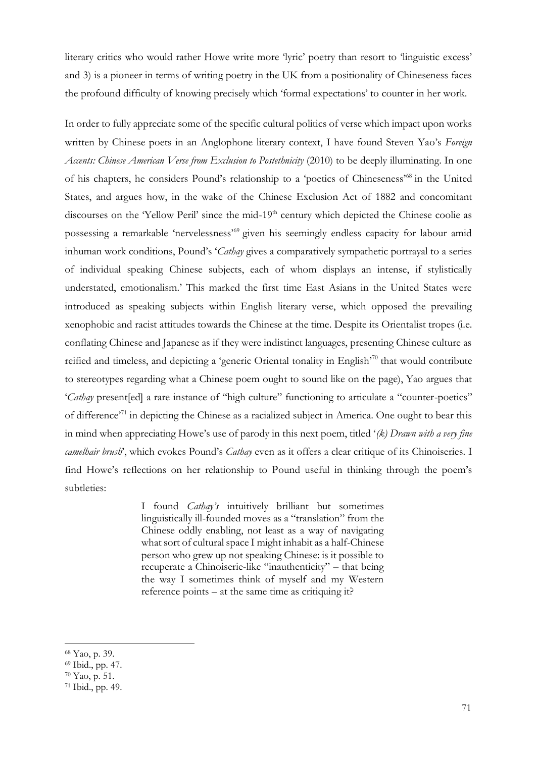literary critics who would rather Howe write more 'lyric' poetry than resort to 'linguistic excess' and 3) is a pioneer in terms of writing poetry in the UK from a positionality of Chineseness faces the profound difficulty of knowing precisely which 'formal expectations' to counter in her work.

In order to fully appreciate some of the specific cultural politics of verse which impact upon works written by Chinese poets in an Anglophone literary context, I have found Steven Yao's *Foreign Accents: Chinese American Verse from Exclusion to Postethnicity* (2010) to be deeply illuminating. In one of his chapters, he considers Pound's relationship to a 'poetics of Chineseness'<sup>68</sup> in the United States, and argues how, in the wake of the Chinese Exclusion Act of 1882 and concomitant discourses on the 'Yellow Peril' since the mid-19<sup>th</sup> century which depicted the Chinese coolie as possessing a remarkable 'nervelessness'<sup>69</sup> given his seemingly endless capacity for labour amid inhuman work conditions, Pound's '*Cathay* gives a comparatively sympathetic portrayal to a series of individual speaking Chinese subjects, each of whom displays an intense, if stylistically understated, emotionalism.' This marked the first time East Asians in the United States were introduced as speaking subjects within English literary verse, which opposed the prevailing xenophobic and racist attitudes towards the Chinese at the time. Despite its Orientalist tropes (i.e. conflating Chinese and Japanese as if they were indistinct languages, presenting Chinese culture as reified and timeless, and depicting a 'generic Oriental tonality in English'<sup>70</sup> that would contribute to stereotypes regarding what a Chinese poem ought to sound like on the page), Yao argues that '*Cathay* present[ed] a rare instance of "high culture" functioning to articulate a "counter-poetics" of difference'<sup>71</sup> in depicting the Chinese as a racialized subject in America. One ought to bear this in mind when appreciating Howe's use of parody in this next poem, titled '*(k) Drawn with a very fine camelhair brush*', which evokes Pound's *Cathay* even as it offers a clear critique of its Chinoiseries. I find Howe's reflections on her relationship to Pound useful in thinking through the poem's subtleties:

> I found *Cathay's* intuitively brilliant but sometimes linguistically ill-founded moves as a "translation" from the Chinese oddly enabling, not least as a way of navigating what sort of cultural space I might inhabit as a half-Chinese person who grew up not speaking Chinese: is it possible to recuperate a Chinoiserie-like "inauthenticity" – that being the way I sometimes think of myself and my Western reference points – at the same time as critiquing it?

<sup>68</sup> Yao, p. 39.

<sup>69</sup> Ibid., pp. 47.

<sup>70</sup> Yao, p. 51.

<sup>71</sup> Ibid., pp. 49.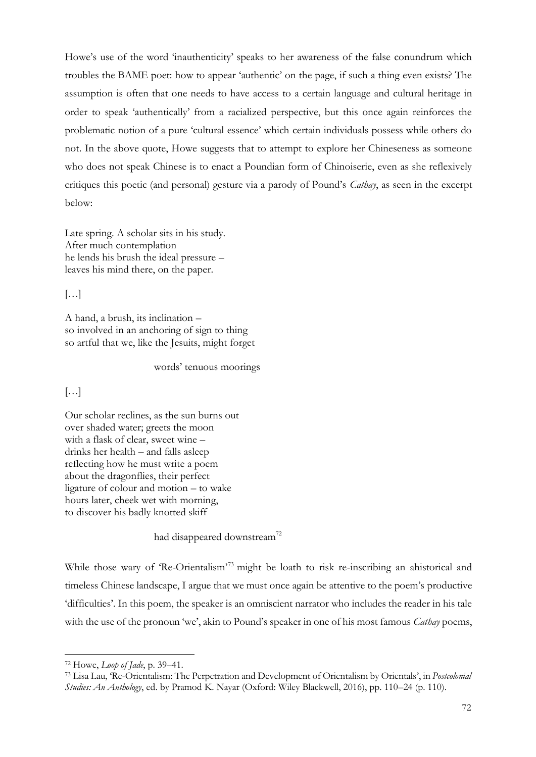Howe's use of the word 'inauthenticity' speaks to her awareness of the false conundrum which troubles the BAME poet: how to appear 'authentic' on the page, if such a thing even exists? The assumption is often that one needs to have access to a certain language and cultural heritage in order to speak 'authentically' from a racialized perspective, but this once again reinforces the problematic notion of a pure 'cultural essence' which certain individuals possess while others do not. In the above quote, Howe suggests that to attempt to explore her Chineseness as someone who does not speak Chinese is to enact a Poundian form of Chinoiserie, even as she reflexively critiques this poetic (and personal) gesture via a parody of Pound's *Cathay*, as seen in the excerpt below:

Late spring. A scholar sits in his study. After much contemplation he lends his brush the ideal pressure – leaves his mind there, on the paper.

 $\left[\ldots\right]$ 

A hand, a brush, its inclination – so involved in an anchoring of sign to thing so artful that we, like the Jesuits, might forget

words' tenuous moorings

## $\left[\ldots\right]$

Our scholar reclines, as the sun burns out over shaded water; greets the moon with a flask of clear, sweet wine – drinks her health – and falls asleep reflecting how he must write a poem about the dragonflies, their perfect ligature of colour and motion – to wake hours later, cheek wet with morning, to discover his badly knotted skiff

had disappeared downstream<sup>72</sup>

While those wary of 'Re-Orientalism'<sup>73</sup> might be loath to risk re-inscribing an ahistorical and timeless Chinese landscape, I argue that we must once again be attentive to the poem's productive 'difficulties'. In this poem, the speaker is an omniscient narrator who includes the reader in his tale with the use of the pronoun 'we', akin to Pound's speaker in one of his most famous *Cathay* poems,

<sup>72</sup> Howe, *Loop of Jade*, p. 39–41.

<sup>73</sup> Lisa Lau, 'Re-Orientalism: The Perpetration and Development of Orientalism by Orientals', in *Postcolonial Studies: An Anthology*, ed. by Pramod K. Nayar (Oxford: Wiley Blackwell, 2016), pp. 110–24 (p. 110).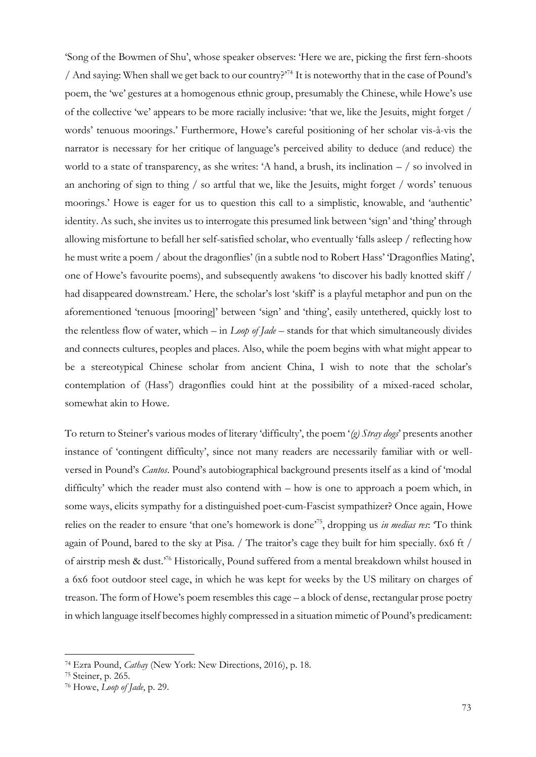'Song of the Bowmen of Shu', whose speaker observes: 'Here we are, picking the first fern-shoots / And saying: When shall we get back to our country?'<sup>74</sup> It is noteworthy that in the case of Pound's poem, the 'we' gestures at a homogenous ethnic group, presumably the Chinese, while Howe's use of the collective 'we' appears to be more racially inclusive: 'that we, like the Jesuits, might forget / words' tenuous moorings.' Furthermore, Howe's careful positioning of her scholar vis-à-vis the narrator is necessary for her critique of language's perceived ability to deduce (and reduce) the world to a state of transparency, as she writes: 'A hand, a brush, its inclination – / so involved in an anchoring of sign to thing / so artful that we, like the Jesuits, might forget / words' tenuous moorings.' Howe is eager for us to question this call to a simplistic, knowable, and 'authentic' identity. As such, she invites us to interrogate this presumed link between 'sign' and 'thing' through allowing misfortune to befall her self-satisfied scholar, who eventually 'falls asleep / reflecting how he must write a poem / about the dragonflies' (in a subtle nod to Robert Hass' 'Dragonflies Mating', one of Howe's favourite poems), and subsequently awakens 'to discover his badly knotted skiff / had disappeared downstream.' Here, the scholar's lost 'skiff' is a playful metaphor and pun on the aforementioned 'tenuous [mooring]' between 'sign' and 'thing', easily untethered, quickly lost to the relentless flow of water, which – in *Loop of Jade* – stands for that which simultaneously divides and connects cultures, peoples and places. Also, while the poem begins with what might appear to be a stereotypical Chinese scholar from ancient China, I wish to note that the scholar's contemplation of (Hass') dragonflies could hint at the possibility of a mixed-raced scholar, somewhat akin to Howe.

To return to Steiner's various modes of literary 'difficulty', the poem '*(g) Stray dogs*' presents another instance of 'contingent difficulty', since not many readers are necessarily familiar with or wellversed in Pound's *Cantos*. Pound's autobiographical background presents itself as a kind of 'modal difficulty' which the reader must also contend with – how is one to approach a poem which, in some ways, elicits sympathy for a distinguished poet-cum-Fascist sympathizer? Once again, Howe relies on the reader to ensure 'that one's homework is done'<sup>75</sup>, dropping us *in medias res*: 'To think again of Pound, bared to the sky at Pisa. / The traitor's cage they built for him specially. 6x6 ft / of airstrip mesh & dust.'<sup>76</sup> Historically, Pound suffered from a mental breakdown whilst housed in a 6x6 foot outdoor steel cage, in which he was kept for weeks by the US military on charges of treason. The form of Howe's poem resembles this cage – a block of dense, rectangular prose poetry in which language itself becomes highly compressed in a situation mimetic of Pound's predicament:

<sup>74</sup> Ezra Pound, *Cathay* (New York: New Directions, 2016), p. 18.

<sup>75</sup> Steiner, p. 265.

<sup>76</sup> Howe, *Loop of Jade*, p. 29.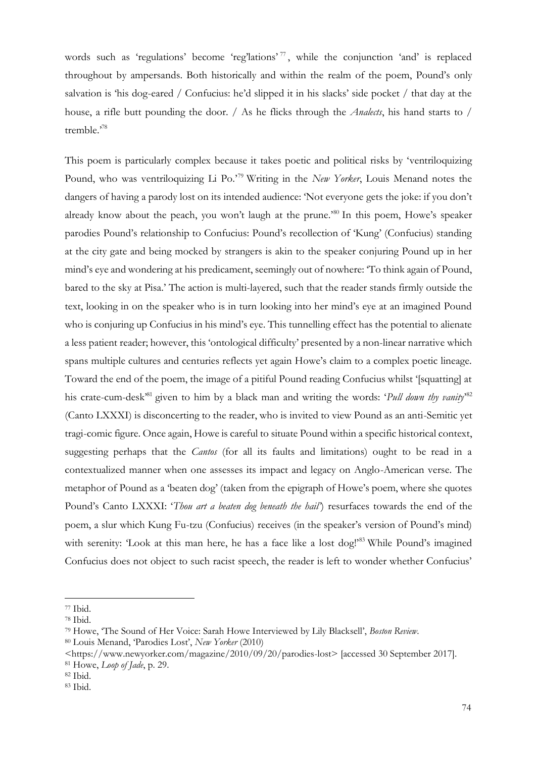words such as 'regulations' become 'reg'lations' <sup>77</sup> , while the conjunction 'and' is replaced throughout by ampersands. Both historically and within the realm of the poem, Pound's only salvation is 'his dog-eared / Confucius: he'd slipped it in his slacks' side pocket / that day at the house, a rifle butt pounding the door. / As he flicks through the *Analects*, his hand starts to / tremble.'<sup>78</sup>

This poem is particularly complex because it takes poetic and political risks by 'ventriloquizing Pound, who was ventriloquizing Li Po.'<sup>79</sup> Writing in the *New Yorker*, Louis Menand notes the dangers of having a parody lost on its intended audience: 'Not everyone gets the joke: if you don't already know about the peach, you won't laugh at the prune.'<sup>80</sup> In this poem, Howe's speaker parodies Pound's relationship to Confucius: Pound's recollection of 'Kung' (Confucius) standing at the city gate and being mocked by strangers is akin to the speaker conjuring Pound up in her mind's eye and wondering at his predicament, seemingly out of nowhere: 'To think again of Pound, bared to the sky at Pisa.' The action is multi-layered, such that the reader stands firmly outside the text, looking in on the speaker who is in turn looking into her mind's eye at an imagined Pound who is conjuring up Confucius in his mind's eye. This tunnelling effect has the potential to alienate a less patient reader; however, this 'ontological difficulty' presented by a non-linear narrative which spans multiple cultures and centuries reflects yet again Howe's claim to a complex poetic lineage. Toward the end of the poem, the image of a pitiful Pound reading Confucius whilst '[squatting] at his crate-cum-desk<sup>,81</sup> given to him by a black man and writing the words: '*Pull down thy vanity*'<sup>82</sup> (Canto LXXXI) is disconcerting to the reader, who is invited to view Pound as an anti-Semitic yet tragi-comic figure. Once again, Howe is careful to situate Pound within a specific historical context, suggesting perhaps that the *Cantos* (for all its faults and limitations) ought to be read in a contextualized manner when one assesses its impact and legacy on Anglo-American verse. The metaphor of Pound as a 'beaten dog' (taken from the epigraph of Howe's poem, where she quotes Pound's Canto LXXXI: '*Thou art a beaten dog beneath the hail'*) resurfaces towards the end of the poem, a slur which Kung Fu-tzu (Confucius) receives (in the speaker's version of Pound's mind) with serenity: 'Look at this man here, he has a face like a lost dog!'<sup>83</sup> While Pound's imagined Confucius does not object to such racist speech, the reader is left to wonder whether Confucius'

<sup>77</sup> Ibid.

<sup>78</sup> Ibid.

<sup>79</sup> Howe, 'The Sound of Her Voice: Sarah Howe Interviewed by Lily Blacksell', *Boston Review*.

<sup>80</sup> Louis Menand, 'Parodies Lost', *New Yorker* (2010)

<sup>&</sup>lt;https://www.newyorker.com/magazine/2010/09/20/parodies-lost> [accessed 30 September 2017]. <sup>81</sup> Howe, *Loop of Jade*, p. 29.

<sup>82</sup> Ibid.

<sup>83</sup> Ibid.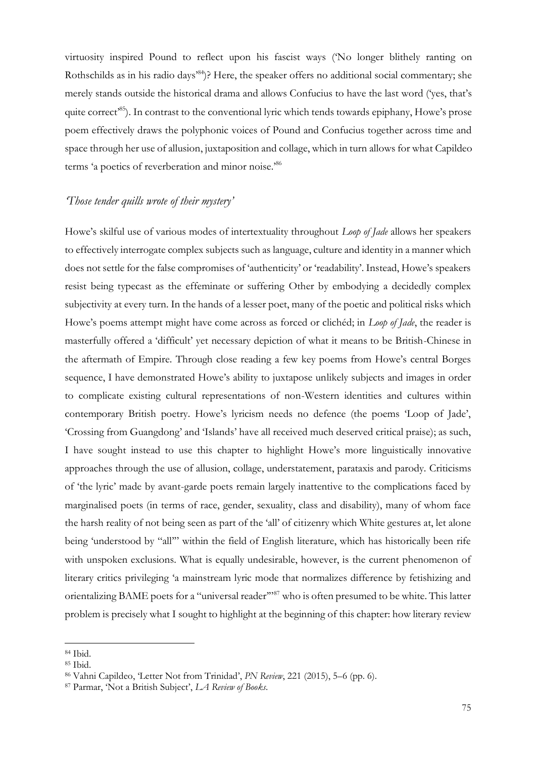virtuosity inspired Pound to reflect upon his fascist ways ('No longer blithely ranting on Rothschilds as in his radio days<sup>84</sup>)? Here, the speaker offers no additional social commentary; she merely stands outside the historical drama and allows Confucius to have the last word ('yes, that's quite correct<sup>85</sup>). In contrast to the conventional lyric which tends towards epiphany, Howe's prose poem effectively draws the polyphonic voices of Pound and Confucius together across time and space through her use of allusion, juxtaposition and collage, which in turn allows for what Capildeo terms 'a poetics of reverberation and minor noise.'<sup>86</sup>

## *'Those tender quills wrote of their mystery'*

Howe's skilful use of various modes of intertextuality throughout *Loop of Jade* allows her speakers to effectively interrogate complex subjects such as language, culture and identity in a manner which does not settle for the false compromises of 'authenticity' or 'readability'. Instead, Howe's speakers resist being typecast as the effeminate or suffering Other by embodying a decidedly complex subjectivity at every turn. In the hands of a lesser poet, many of the poetic and political risks which Howe's poems attempt might have come across as forced or clichéd; in *Loop of Jade*, the reader is masterfully offered a 'difficult' yet necessary depiction of what it means to be British-Chinese in the aftermath of Empire. Through close reading a few key poems from Howe's central Borges sequence, I have demonstrated Howe's ability to juxtapose unlikely subjects and images in order to complicate existing cultural representations of non-Western identities and cultures within contemporary British poetry. Howe's lyricism needs no defence (the poems 'Loop of Jade', 'Crossing from Guangdong' and 'Islands' have all received much deserved critical praise); as such, I have sought instead to use this chapter to highlight Howe's more linguistically innovative approaches through the use of allusion, collage, understatement, parataxis and parody. Criticisms of 'the lyric' made by avant-garde poets remain largely inattentive to the complications faced by marginalised poets (in terms of race, gender, sexuality, class and disability), many of whom face the harsh reality of not being seen as part of the 'all' of citizenry which White gestures at, let alone being 'understood by "all'" within the field of English literature, which has historically been rife with unspoken exclusions. What is equally undesirable, however, is the current phenomenon of literary critics privileging 'a mainstream lyric mode that normalizes difference by fetishizing and orientalizing BAME poets for a "universal reader"<sup>87</sup> who is often presumed to be white. This latter problem is precisely what I sought to highlight at the beginning of this chapter: how literary review

<sup>84</sup> Ibid.

<sup>85</sup> Ibid.

<sup>86</sup> Vahni Capildeo, 'Letter Not from Trinidad', *PN Review*, 221 (2015), 5–6 (pp. 6).

<sup>87</sup> Parmar, 'Not a British Subject', *LA Review of Books*.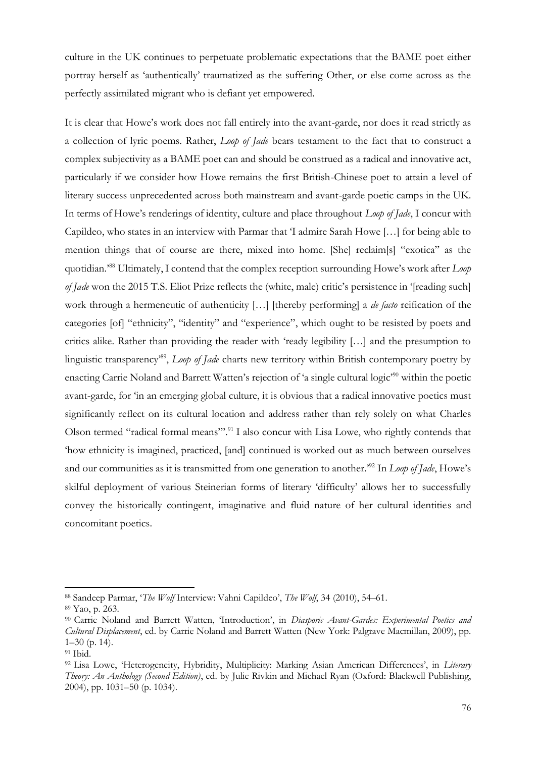culture in the UK continues to perpetuate problematic expectations that the BAME poet either portray herself as 'authentically' traumatized as the suffering Other, or else come across as the perfectly assimilated migrant who is defiant yet empowered.

It is clear that Howe's work does not fall entirely into the avant-garde, nor does it read strictly as a collection of lyric poems. Rather, *Loop of Jade* bears testament to the fact that to construct a complex subjectivity as a BAME poet can and should be construed as a radical and innovative act, particularly if we consider how Howe remains the first British-Chinese poet to attain a level of literary success unprecedented across both mainstream and avant-garde poetic camps in the UK. In terms of Howe's renderings of identity, culture and place throughout *Loop of Jade*, I concur with Capildeo, who states in an interview with Parmar that 'I admire Sarah Howe […] for being able to mention things that of course are there, mixed into home. [She] reclaim[s] "exotica" as the quotidian.'<sup>88</sup> Ultimately, I contend that the complex reception surrounding Howe's work after *Loop of Jade* won the 2015 T.S. Eliot Prize reflects the (white, male) critic's persistence in '[reading such] work through a hermeneutic of authenticity […] [thereby performing] a *de facto* reification of the categories [of] "ethnicity", "identity" and "experience", which ought to be resisted by poets and critics alike. Rather than providing the reader with 'ready legibility […] and the presumption to linguistic transparency'<sup>89</sup> , *Loop of Jade* charts new territory within British contemporary poetry by enacting Carrie Noland and Barrett Watten's rejection of 'a single cultural logic'<sup>90</sup> within the poetic avant-garde, for 'in an emerging global culture, it is obvious that a radical innovative poetics must significantly reflect on its cultural location and address rather than rely solely on what Charles Olson termed "radical formal means".<sup>91</sup> I also concur with Lisa Lowe, who rightly contends that 'how ethnicity is imagined, practiced, [and] continued is worked out as much between ourselves and our communities as it is transmitted from one generation to another.'<sup>92</sup> In *Loop of Jade*, Howe's skilful deployment of various Steinerian forms of literary 'difficulty' allows her to successfully convey the historically contingent, imaginative and fluid nature of her cultural identities and concomitant poetics.

<sup>88</sup> Sandeep Parmar, '*The Wolf* Interview: Vahni Capildeo', *The Wolf*, 34 (2010), 54–61.

<sup>89</sup> Yao, p. 263.

<sup>90</sup> Carrie Noland and Barrett Watten, 'Introduction', in *Diasporic Avant-Gardes: Experimental Poetics and Cultural Displacement*, ed. by Carrie Noland and Barrett Watten (New York: Palgrave Macmillan, 2009), pp. 1–30 (p. 14).

<sup>91</sup> Ibid.

<sup>92</sup> Lisa Lowe, 'Heterogeneity, Hybridity, Multiplicity: Marking Asian American Differences', in *Literary Theory: An Anthology (Second Edition)*, ed. by Julie Rivkin and Michael Ryan (Oxford: Blackwell Publishing, 2004), pp. 1031–50 (p. 1034).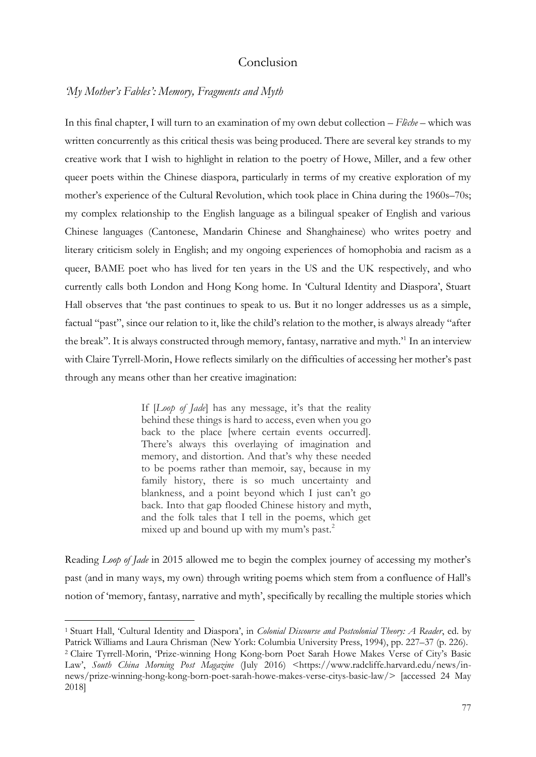# Conclusion

#### *'My Mother's Fables': Memory, Fragments and Myth*

In this final chapter, I will turn to an examination of my own debut collection – *Flèche* – which was written concurrently as this critical thesis was being produced. There are several key strands to my creative work that I wish to highlight in relation to the poetry of Howe, Miller, and a few other queer poets within the Chinese diaspora, particularly in terms of my creative exploration of my mother's experience of the Cultural Revolution, which took place in China during the 1960s–70s; my complex relationship to the English language as a bilingual speaker of English and various Chinese languages (Cantonese, Mandarin Chinese and Shanghainese) who writes poetry and literary criticism solely in English; and my ongoing experiences of homophobia and racism as a queer, BAME poet who has lived for ten years in the US and the UK respectively, and who currently calls both London and Hong Kong home. In 'Cultural Identity and Diaspora', Stuart Hall observes that 'the past continues to speak to us. But it no longer addresses us as a simple, factual "past", since our relation to it, like the child's relation to the mother, is always already "after the break". It is always constructed through memory, fantasy, narrative and myth.<sup>1</sup> In an interview with Claire Tyrrell-Morin, Howe reflects similarly on the difficulties of accessing her mother's past through any means other than her creative imagination:

> If [*Loop of Jade*] has any message, it's that the reality behind these things is hard to access, even when you go back to the place [where certain events occurred]. There's always this overlaying of imagination and memory, and distortion. And that's why these needed to be poems rather than memoir, say, because in my family history, there is so much uncertainty and blankness, and a point beyond which I just can't go back. Into that gap flooded Chinese history and myth, and the folk tales that I tell in the poems, which get mixed up and bound up with my mum's past.<sup>2</sup>

Reading *Loop of Jade* in 2015 allowed me to begin the complex journey of accessing my mother's past (and in many ways, my own) through writing poems which stem from a confluence of Hall's notion of 'memory, fantasy, narrative and myth', specifically by recalling the multiple stories which

<sup>1</sup> Stuart Hall, 'Cultural Identity and Diaspora', in *Colonial Discourse and Postcolonial Theory: A Reader*, ed. by Patrick Williams and Laura Chrisman (New York: Columbia University Press, 1994), pp. 227–37 (p. 226). <sup>2</sup> Claire Tyrrell-Morin, 'Prize-winning Hong Kong-born Poet Sarah Howe Makes Verse of City's Basic Law', *South China Morning Post Magazine* (July 2016) <https://www.radcliffe.harvard.edu/news/innews/prize-winning-hong-kong-born-poet-sarah-howe-makes-verse-citys-basic-law/> [accessed 24 May 2018]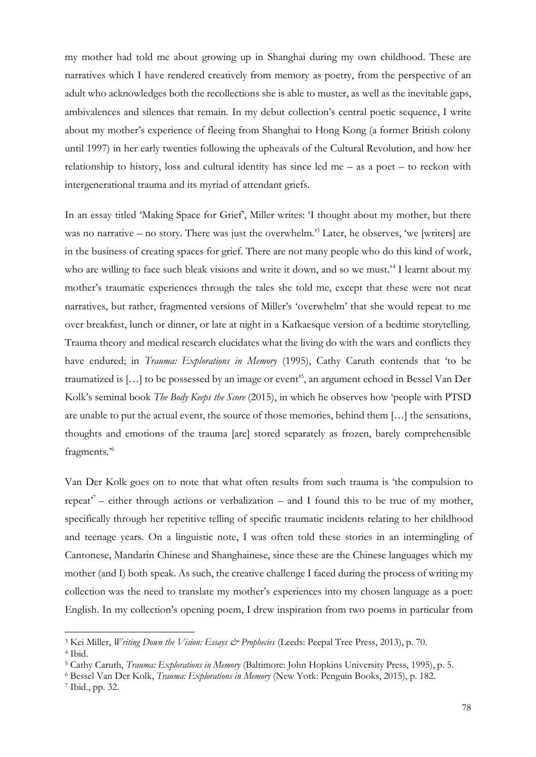my mother had told me about growing up in Shanghai during my own childhood. These are narratives which I have rendered creatively from memory as poetry, from the perspective of an adult who acknowledges both the recollections she is able to muster, as well as the inevitable gaps, ambivalences and silences that remain. In my debut collection's central poetic sequence, I write about my mother's experience of fleeing from Shanghai to Hong Kong (a former British colony until 1997) in her early twenties following the upheavals of the Cultural Revolution, and how her relationship to history, loss and cultural identity has since led me – as a poet – to reckon with intergenerational trauma and its myriad of attendant griefs.

In an essay titled 'Making Space for Grief', Miller writes: 'I thought about my mother, but there was no narrative – no story. There was just the overwhelm.<sup>33</sup> Later, he observes, 'we [writers] are in the business of creating spaces for grief. There are not many people who do this kind of work, who are willing to face such bleak visions and write it down, and so we must.<sup>24</sup> I learnt about my mother's traumatic experiences through the tales she told me, except that these were not neat narratives, but rather, fragmented versions of Miller's 'overwhelm' that she would repeat to me over breakfast, lunch or dinner, or late at night in a Kafkaesque version of a bedtime storytelling. Trauma theory and medical research elucidates what the living do with the wars and conflicts they have endured; in *Trauma: Explorations in Memory* (1995), Cathy Caruth contends that 'to be traumatized is […] to be possessed by an image or event'<sup>5</sup> , an argument echoed in Bessel Van Der Kolk's seminal book *The Body Keeps the Score* (2015), in which he observes how 'people with PTSD are unable to put the actual event, the source of those memories, behind them […] the sensations, thoughts and emotions of the trauma [are] stored separately as frozen, barely comprehensible fragments.'<sup>6</sup>

Van Der Kolk goes on to note that what often results from such trauma is 'the compulsion to repeat<sup>77</sup> – either through actions or verbalization – and I found this to be true of my mother, specifically through her repetitive telling of specific traumatic incidents relating to her childhood and teenage years. On a linguistic note, I was often told these stories in an intermingling of Cantonese, Mandarin Chinese and Shanghainese, since these are the Chinese languages which my mother (and I) both speak. As such, the creative challenge I faced during the process of writing my collection was the need to translate my mother's experiences into my chosen language as a poet: English. In my collection's opening poem, I drew inspiration from two poems in particular from

<sup>3</sup> Kei Miller, *Writing Down the Vision: Essays & Prophecies* (Leeds: Peepal Tree Press, 2013), p. 70. <sup>4</sup> Ibid.

<sup>5</sup> Cathy Caruth, *Trauma: Explorations in Memory* (Baltimore: John Hopkins University Press, 1995), p. 5.

<sup>6</sup> Bessel Van Der Kolk, *Trauma: Explorations in Memory* (New York: Penguin Books, 2015), p. 182.

<sup>7</sup> Ibid., pp. 32.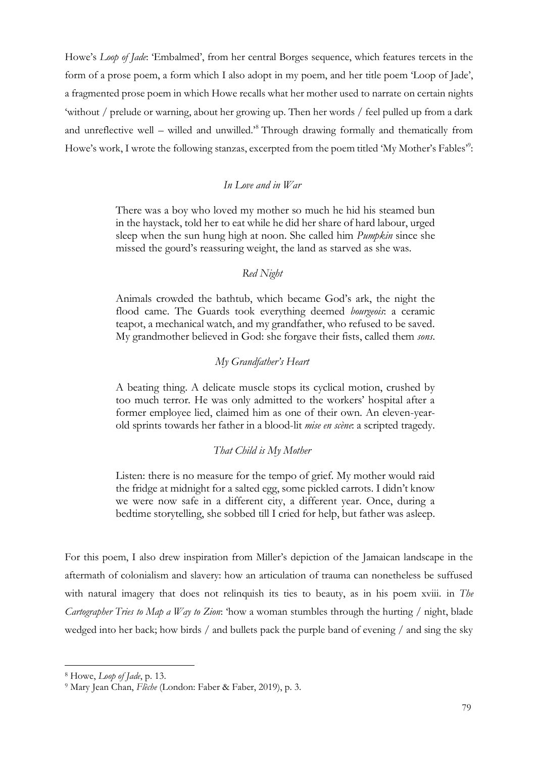Howe's *Loop of Jade*: 'Embalmed', from her central Borges sequence, which features tercets in the form of a prose poem, a form which I also adopt in my poem, and her title poem 'Loop of Jade', a fragmented prose poem in which Howe recalls what her mother used to narrate on certain nights 'without / prelude or warning, about her growing up. Then her words / feel pulled up from a dark and unreflective well – willed and unwilled.'<sup>8</sup> Through drawing formally and thematically from Howe's work, I wrote the following stanzas, excerpted from the poem titled 'My Mother's Fables":

### *In Love and in War*

There was a boy who loved my mother so much he hid his steamed bun in the haystack, told her to eat while he did her share of hard labour, urged sleep when the sun hung high at noon. She called him *Pumpkin* since she missed the gourd's reassuring weight, the land as starved as she was.

#### *Red Night*

Animals crowded the bathtub, which became God's ark, the night the flood came. The Guards took everything deemed *bourgeois*: a ceramic teapot, a mechanical watch, and my grandfather, who refused to be saved. My grandmother believed in God: she forgave their fists, called them *sons*.

#### *My Grandfather's Heart*

A beating thing. A delicate muscle stops its cyclical motion, crushed by too much terror. He was only admitted to the workers' hospital after a former employee lied, claimed him as one of their own. An eleven-yearold sprints towards her father in a blood-lit *mise en scène*: a scripted tragedy.

#### *That Child is My Mother*

Listen: there is no measure for the tempo of grief. My mother would raid the fridge at midnight for a salted egg, some pickled carrots. I didn't know we were now safe in a different city, a different year. Once, during a bedtime storytelling, she sobbed till I cried for help, but father was asleep.

For this poem, I also drew inspiration from Miller's depiction of the Jamaican landscape in the aftermath of colonialism and slavery: how an articulation of trauma can nonetheless be suffused with natural imagery that does not relinquish its ties to beauty, as in his poem xviii. in *The Cartographer Tries to Map a Way to Zion*: 'how a woman stumbles through the hurting / night, blade wedged into her back; how birds / and bullets pack the purple band of evening / and sing the sky

<sup>8</sup> Howe, *Loop of Jade*, p. 13.

<sup>9</sup> Mary Jean Chan, *Flèche* (London: Faber & Faber, 2019), p. 3.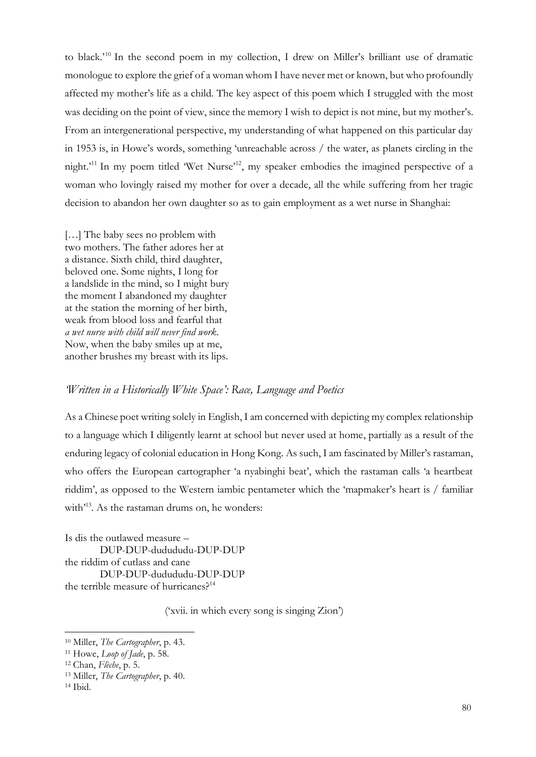to black.'<sup>10</sup> In the second poem in my collection, I drew on Miller's brilliant use of dramatic monologue to explore the grief of a woman whom I have never met or known, but who profoundly affected my mother's life as a child. The key aspect of this poem which I struggled with the most was deciding on the point of view, since the memory I wish to depict is not mine, but my mother's. From an intergenerational perspective, my understanding of what happened on this particular day in 1953 is, in Howe's words, something 'unreachable across / the water, as planets circling in the night.'<sup>11</sup> In my poem titled 'Wet Nurse'<sup>12</sup>, my speaker embodies the imagined perspective of a woman who lovingly raised my mother for over a decade, all the while suffering from her tragic decision to abandon her own daughter so as to gain employment as a wet nurse in Shanghai:

[...] The baby sees no problem with two mothers. The father adores her at a distance. Sixth child, third daughter, beloved one. Some nights, I long for a landslide in the mind, so I might bury the moment I abandoned my daughter at the station the morning of her birth, weak from blood loss and fearful that *a wet nurse with child will never find work*. Now, when the baby smiles up at me, another brushes my breast with its lips.

# *'Written in a Historically White Space': Race, Language and Poetics*

As a Chinese poet writing solely in English, I am concerned with depicting my complex relationship to a language which I diligently learnt at school but never used at home, partially as a result of the enduring legacy of colonial education in Hong Kong. As such, I am fascinated by Miller's rastaman, who offers the European cartographer 'a nyabinghi beat', which the rastaman calls 'a heartbeat riddim', as opposed to the Western iambic pentameter which the 'mapmaker's heart is / familiar with<sup>'13</sup>. As the rastaman drums on, he wonders:

Is dis the outlawed measure – DUP-DUP-dudududu-DUP-DUP the riddim of cutlass and cane DUP-DUP-dudududu-DUP-DUP the terrible measure of hurricanes?<sup>14</sup>

('xvii. in which every song is singing Zion')

<sup>10</sup> Miller, *The Cartographer*, p. 43.

<sup>11</sup> Howe, *Loop of Jade*, p. 58.

<sup>12</sup> Chan, *Flèche*, p. 5.

<sup>13</sup> Miller, *The Cartographer*, p. 40.

<sup>14</sup> Ibid.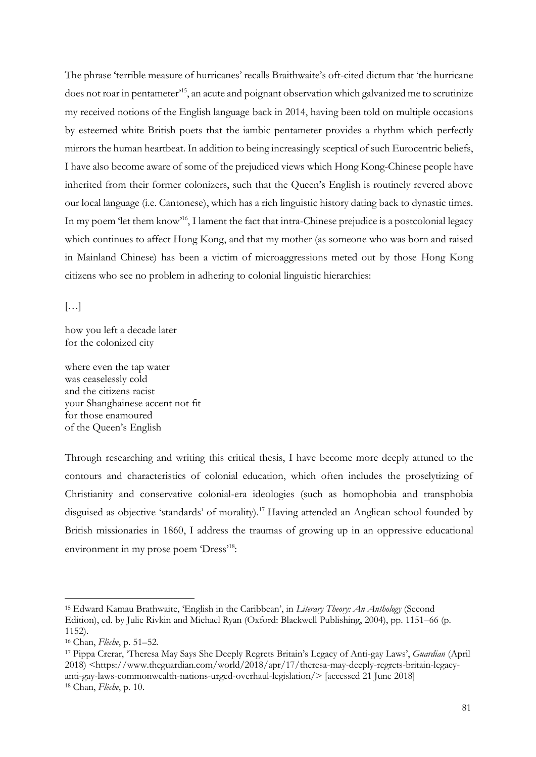The phrase 'terrible measure of hurricanes' recalls Braithwaite's oft-cited dictum that 'the hurricane does not roar in pentameter' <sup>15</sup>, an acute and poignant observation which galvanized me to scrutinize my received notions of the English language back in 2014, having been told on multiple occasions by esteemed white British poets that the iambic pentameter provides a rhythm which perfectly mirrors the human heartbeat. In addition to being increasingly sceptical of such Eurocentric beliefs, I have also become aware of some of the prejudiced views which Hong Kong-Chinese people have inherited from their former colonizers, such that the Queen's English is routinely revered above our local language (i.e. Cantonese), which has a rich linguistic history dating back to dynastic times. In my poem 'let them know'<sup>16</sup>, I lament the fact that intra-Chinese prejudice is a postcolonial legacy which continues to affect Hong Kong, and that my mother (as someone who was born and raised in Mainland Chinese) has been a victim of microaggressions meted out by those Hong Kong citizens who see no problem in adhering to colonial linguistic hierarchies:

 $\left[\ldots\right]$ 

how you left a decade later for the colonized city

where even the tap water was ceaselessly cold and the citizens racist your Shanghainese accent not fit for those enamoured of the Queen's English

Through researching and writing this critical thesis, I have become more deeply attuned to the contours and characteristics of colonial education, which often includes the proselytizing of Christianity and conservative colonial-era ideologies (such as homophobia and transphobia disguised as objective 'standards' of morality).<sup>17</sup> Having attended an Anglican school founded by British missionaries in 1860, I address the traumas of growing up in an oppressive educational environment in my prose poem 'Dress'<sup>18</sup>:

<sup>15</sup> Edward Kamau Brathwaite, 'English in the Caribbean', in *Literary Theory: An Anthology* (Second Edition), ed. by Julie Rivkin and Michael Ryan (Oxford: Blackwell Publishing, 2004), pp. 1151–66 (p. 1152).

<sup>16</sup> Chan, *Flèche*, p. 51–52.

<sup>17</sup> Pippa Crerar, 'Theresa May Says She Deeply Regrets Britain's Legacy of Anti-gay Laws', *Guardian* (April 2018) <https://www.theguardian.com/world/2018/apr/17/theresa-may-deeply-regrets-britain-legacyanti-gay-laws-commonwealth-nations-urged-overhaul-legislation/> [accessed 21 June 2018] <sup>18</sup> Chan, *Flèche*, p. 10.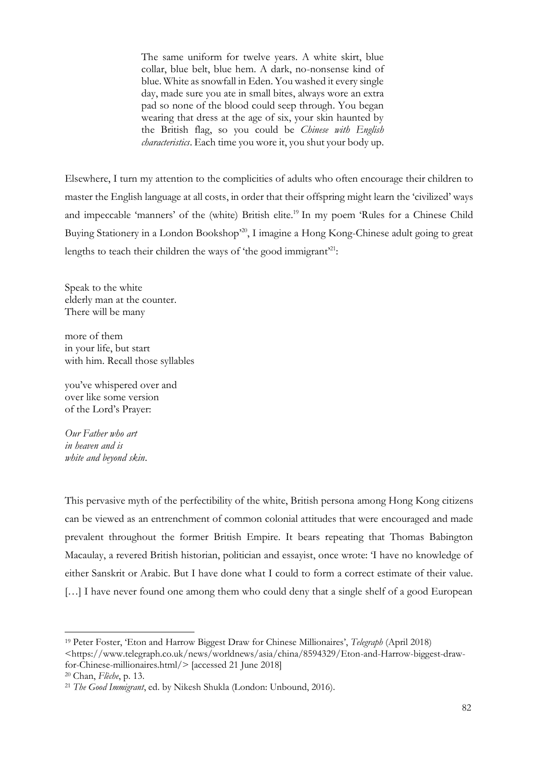The same uniform for twelve years. A white skirt, blue collar, blue belt, blue hem. A dark, no-nonsense kind of blue. White as snowfall in Eden. You washed it every single day, made sure you ate in small bites, always wore an extra pad so none of the blood could seep through. You began wearing that dress at the age of six, your skin haunted by the British flag, so you could be *Chinese with English characteristics*. Each time you wore it, you shut your body up.

Elsewhere, I turn my attention to the complicities of adults who often encourage their children to master the English language at all costs, in order that their offspring might learn the 'civilized' ways and impeccable 'manners' of the (white) British elite.<sup>19</sup> In my poem 'Rules for a Chinese Child Buying Stationery in a London Bookshop<sup>20</sup>, I imagine a Hong Kong-Chinese adult going to great lengths to teach their children the ways of 'the good immigrant'<sup>21</sup>:

Speak to the white elderly man at the counter. There will be many

more of them in your life, but start with him. Recall those syllables

you've whispered over and over like some version of the Lord's Prayer:

*Our Father who art in heaven and is white and beyond skin*.

This pervasive myth of the perfectibility of the white, British persona among Hong Kong citizens can be viewed as an entrenchment of common colonial attitudes that were encouraged and made prevalent throughout the former British Empire. It bears repeating that Thomas Babington Macaulay, a revered British historian, politician and essayist, once wrote: 'I have no knowledge of either Sanskrit or Arabic. But I have done what I could to form a correct estimate of their value. [...] I have never found one among them who could deny that a single shelf of a good European

<sup>19</sup> Peter Foster, 'Eton and Harrow Biggest Draw for Chinese Millionaires', *Telegraph* (April 2018) <https://www.telegraph.co.uk/news/worldnews/asia/china/8594329/Eton-and-Harrow-biggest-drawfor-Chinese-millionaires.html/> [accessed 21 June 2018]

<sup>20</sup> Chan, *Flèche*, p. 13.

<sup>21</sup> *The Good Immigrant*, ed. by Nikesh Shukla (London: Unbound, 2016).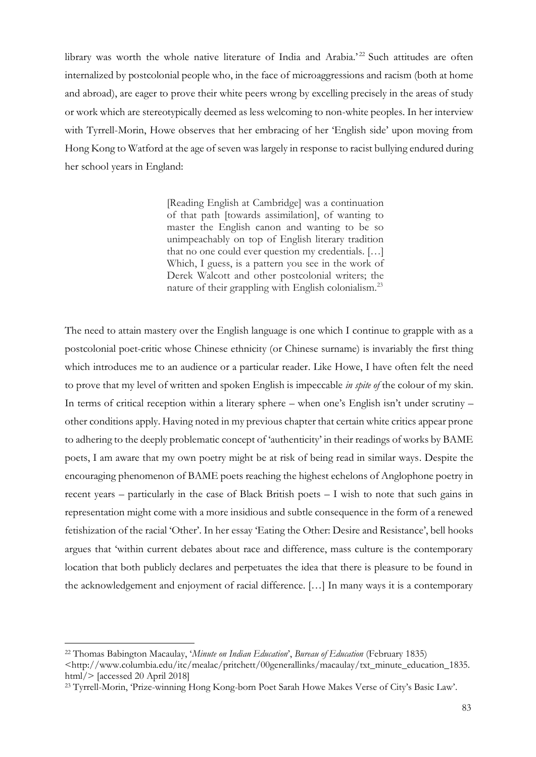library was worth the whole native literature of India and Arabia.'<sup>22</sup> Such attitudes are often internalized by postcolonial people who, in the face of microaggressions and racism (both at home and abroad), are eager to prove their white peers wrong by excelling precisely in the areas of study or work which are stereotypically deemed as less welcoming to non-white peoples. In her interview with Tyrrell-Morin, Howe observes that her embracing of her 'English side' upon moving from Hong Kong to Watford at the age of seven was largely in response to racist bullying endured during her school years in England:

> [Reading English at Cambridge] was a continuation of that path [towards assimilation], of wanting to master the English canon and wanting to be so unimpeachably on top of English literary tradition that no one could ever question my credentials. […] Which, I guess, is a pattern you see in the work of Derek Walcott and other postcolonial writers; the nature of their grappling with English colonialism.<sup>23</sup>

The need to attain mastery over the English language is one which I continue to grapple with as a postcolonial poet-critic whose Chinese ethnicity (or Chinese surname) is invariably the first thing which introduces me to an audience or a particular reader. Like Howe, I have often felt the need to prove that my level of written and spoken English is impeccable *in spite of* the colour of my skin. In terms of critical reception within a literary sphere – when one's English isn't under scrutiny – other conditions apply. Having noted in my previous chapter that certain white critics appear prone to adhering to the deeply problematic concept of 'authenticity' in their readings of works by BAME poets, I am aware that my own poetry might be at risk of being read in similar ways. Despite the encouraging phenomenon of BAME poets reaching the highest echelons of Anglophone poetry in recent years – particularly in the case of Black British poets – I wish to note that such gains in representation might come with a more insidious and subtle consequence in the form of a renewed fetishization of the racial 'Other'. In her essay 'Eating the Other: Desire and Resistance', bell hooks argues that 'within current debates about race and difference, mass culture is the contemporary location that both publicly declares and perpetuates the idea that there is pleasure to be found in the acknowledgement and enjoyment of racial difference. […] In many ways it is a contemporary

<sup>22</sup> Thomas Babington Macaulay, '*Minute on Indian Education*', *Bureau of Education* (February 1835) <http://www.columbia.edu/itc/mealac/pritchett/00generallinks/macaulay/txt\_minute\_education\_1835. html/> [accessed 20 April 2018]

<sup>23</sup> Tyrrell-Morin, 'Prize-winning Hong Kong-born Poet Sarah Howe Makes Verse of City's Basic Law'.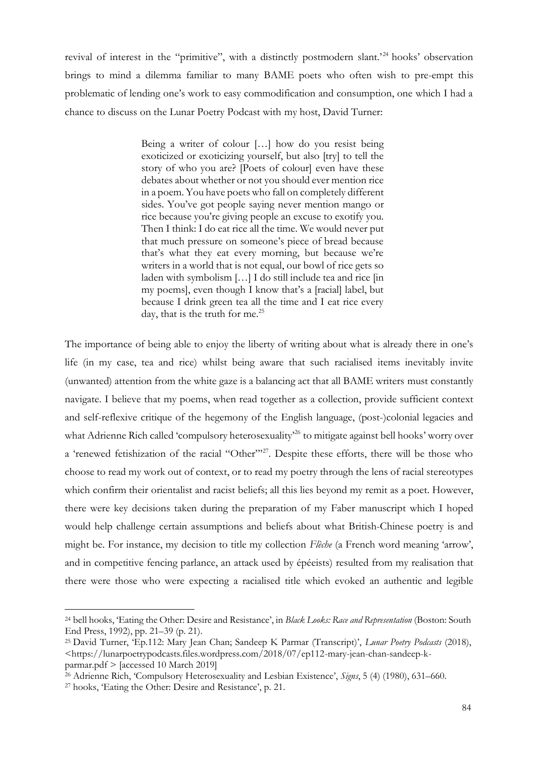revival of interest in the "primitive", with a distinctly postmodern slant.'<sup>24</sup> hooks' observation brings to mind a dilemma familiar to many BAME poets who often wish to pre-empt this problematic of lending one's work to easy commodification and consumption, one which I had a chance to discuss on the Lunar Poetry Podcast with my host, David Turner:

> Being a writer of colour […] how do you resist being exoticized or exoticizing yourself, but also [try] to tell the story of who you are? [Poets of colour] even have these debates about whether or not you should ever mention rice in a poem. You have poets who fall on completely different sides. You've got people saying never mention mango or rice because you're giving people an excuse to exotify you. Then I think: I do eat rice all the time. We would never put that much pressure on someone's piece of bread because that's what they eat every morning, but because we're writers in a world that is not equal, our bowl of rice gets so laden with symbolism […] I do still include tea and rice [in my poems], even though I know that's a [racial] label, but because I drink green tea all the time and I eat rice every day, that is the truth for me. $^{25}$

The importance of being able to enjoy the liberty of writing about what is already there in one's life (in my case, tea and rice) whilst being aware that such racialised items inevitably invite (unwanted) attention from the white gaze is a balancing act that all BAME writers must constantly navigate. I believe that my poems, when read together as a collection, provide sufficient context and self-reflexive critique of the hegemony of the English language, (post-)colonial legacies and what Adrienne Rich called 'compulsory heterosexuality<sup>26</sup> to mitigate against bell hooks' worry over a 'renewed fetishization of the racial "Other"<sup>27</sup>. Despite these efforts, there will be those who choose to read my work out of context, or to read my poetry through the lens of racial stereotypes which confirm their orientalist and racist beliefs; all this lies beyond my remit as a poet. However, there were key decisions taken during the preparation of my Faber manuscript which I hoped would help challenge certain assumptions and beliefs about what British-Chinese poetry is and might be. For instance, my decision to title my collection *Flèche* (a French word meaning 'arrow', and in competitive fencing parlance, an attack used by épéeists) resulted from my realisation that there were those who were expecting a racialised title which evoked an authentic and legible

<sup>24</sup> bell hooks, 'Eating the Other: Desire and Resistance', in *Black Looks: Race and Representation* (Boston: South End Press, 1992), pp. 21–39 (p. 21).

<sup>25</sup> David Turner, 'Ep.112: Mary Jean Chan; Sandeep K Parmar (Transcript)', *Lunar Poetry Podcasts* (2018), <https://lunarpoetrypodcasts.files.wordpress.com/2018/07/ep112-mary-jean-chan-sandeep-kparmar.pdf > [accessed 10 March 2019]

<sup>26</sup> Adrienne Rich, 'Compulsory Heterosexuality and Lesbian Existence', *Signs*, 5 (4) (1980), 631–660.

<sup>27</sup> hooks, 'Eating the Other: Desire and Resistance', p. 21.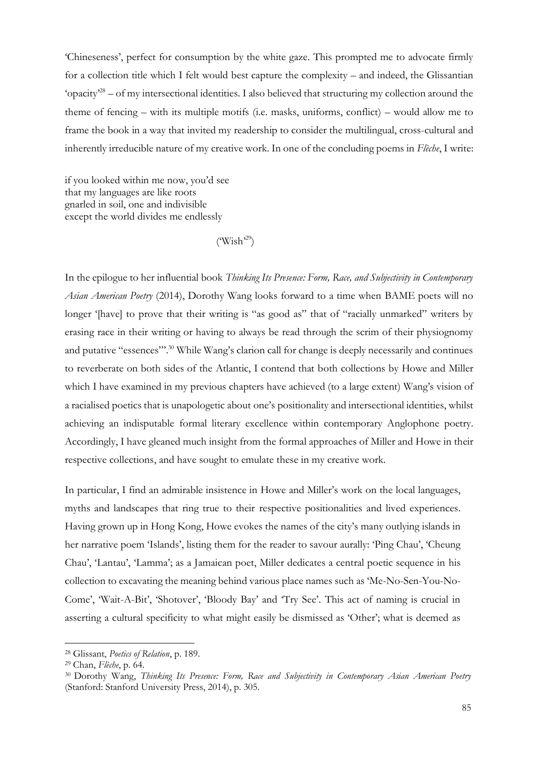'Chineseness', perfect for consumption by the white gaze. This prompted me to advocate firmly for a collection title which I felt would best capture the complexity – and indeed, the Glissantian 'opacity'<sup>28</sup> – of my intersectional identities. I also believed that structuring my collection around the theme of fencing – with its multiple motifs (i.e. masks, uniforms, conflict) – would allow me to frame the book in a way that invited my readership to consider the multilingual, cross-cultural and inherently irreducible nature of my creative work. In one of the concluding poems in *Flèche*, I write:

if you looked within me now, you'd see that my languages are like roots gnarled in soil, one and indivisible except the world divides me endlessly

 $(Wish^{29})$ 

In the epilogue to her influential book *Thinking Its Presence: Form, Race, and Subjectivity in Contemporary Asian American Poetry* (2014), Dorothy Wang looks forward to a time when BAME poets will no longer '[have] to prove that their writing is "as good as" that of "racially unmarked" writers by erasing race in their writing or having to always be read through the scrim of their physiognomy and putative "essences"'.<sup>30</sup> While Wang's clarion call for change is deeply necessarily and continues to reverberate on both sides of the Atlantic, I contend that both collections by Howe and Miller which I have examined in my previous chapters have achieved (to a large extent) Wang's vision of a racialised poetics that is unapologetic about one's positionality and intersectional identities, whilst achieving an indisputable formal literary excellence within contemporary Anglophone poetry. Accordingly, I have gleaned much insight from the formal approaches of Miller and Howe in their respective collections, and have sought to emulate these in my creative work.

In particular, I find an admirable insistence in Howe and Miller's work on the local languages, myths and landscapes that ring true to their respective positionalities and lived experiences. Having grown up in Hong Kong, Howe evokes the names of the city's many outlying islands in her narrative poem 'Islands', listing them for the reader to savour aurally: 'Ping Chau', 'Cheung Chau', 'Lantau', 'Lamma'; as a Jamaican poet, Miller dedicates a central poetic sequence in his collection to excavating the meaning behind various place names such as 'Me-No-Sen-You-No-Come', 'Wait-A-Bit', 'Shotover', 'Bloody Bay' and 'Try See'. This act of naming is crucial in asserting a cultural specificity to what might easily be dismissed as 'Other'; what is deemed as

<sup>28</sup> Glissant, *Poetics of Relation*, p. 189.

<sup>29</sup> Chan, *Flèche*, p. 64.

<sup>30</sup> Dorothy Wang, *Thinking Its Presence: Form, Race and Subjectivity in Contemporary Asian American Poetry* (Stanford: Stanford University Press, 2014), p. 305.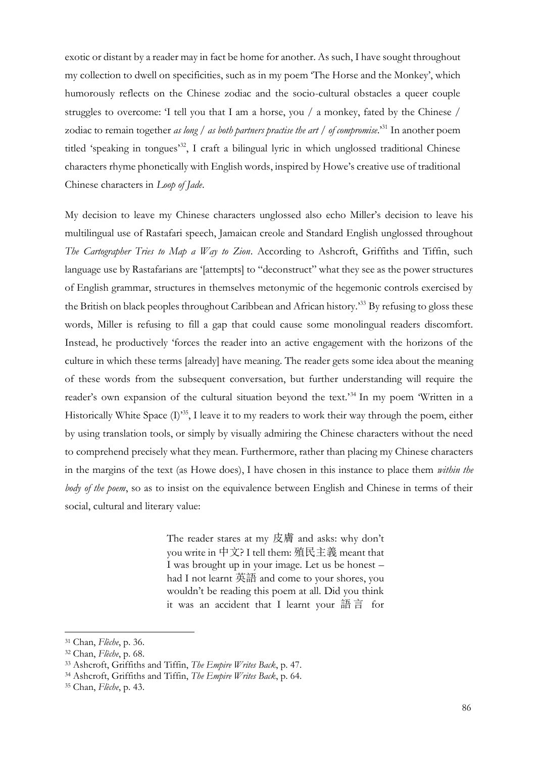exotic or distant by a reader may in fact be home for another. As such, I have sought throughout my collection to dwell on specificities, such as in my poem 'The Horse and the Monkey', which humorously reflects on the Chinese zodiac and the socio-cultural obstacles a queer couple struggles to overcome: 'I tell you that I am a horse, you / a monkey, fated by the Chinese / zodiac to remain together *as long* / *as both partners practise the art* / *of compromise*.'<sup>31</sup> In another poem titled 'speaking in tongues'<sup>32</sup>, I craft a bilingual lyric in which unglossed traditional Chinese characters rhyme phonetically with English words, inspired by Howe's creative use of traditional Chinese characters in *Loop of Jade*.

My decision to leave my Chinese characters unglossed also echo Miller's decision to leave his multilingual use of Rastafari speech, Jamaican creole and Standard English unglossed throughout *The Cartographer Tries to Map a Way to Zion*. According to Ashcroft, Griffiths and Tiffin, such language use by Rastafarians are '[attempts] to "deconstruct" what they see as the power structures of English grammar, structures in themselves metonymic of the hegemonic controls exercised by the British on black peoples throughout Caribbean and African history.'<sup>33</sup> By refusing to gloss these words, Miller is refusing to fill a gap that could cause some monolingual readers discomfort. Instead, he productively 'forces the reader into an active engagement with the horizons of the culture in which these terms [already] have meaning. The reader gets some idea about the meaning of these words from the subsequent conversation, but further understanding will require the reader's own expansion of the cultural situation beyond the text.<sup>34</sup> In my poem 'Written in a Historically White Space (I)<sup>35</sup>, I leave it to my readers to work their way through the poem, either by using translation tools, or simply by visually admiring the Chinese characters without the need to comprehend precisely what they mean. Furthermore, rather than placing my Chinese characters in the margins of the text (as Howe does), I have chosen in this instance to place them *within the body of the poem*, so as to insist on the equivalence between English and Chinese in terms of their social, cultural and literary value:

> The reader stares at my 皮膚 and asks: why don't you write in 中文? I tell them: 殖民主義 meant that I was brought up in your image. Let us be honest – had I not learnt 英語 and come to your shores, you wouldn't be reading this poem at all. Did you think it was an accident that I learnt your 語 言 for

<sup>31</sup> Chan, *Flèche*, p. 36.

<sup>32</sup> Chan, *Flèche*, p. 68.

<sup>33</sup> Ashcroft, Griffiths and Tiffin, *The Empire Writes Back*, p. 47.

<sup>34</sup> Ashcroft, Griffiths and Tiffin, *The Empire Writes Back*, p. 64.

<sup>35</sup> Chan, *Flèche*, p. 43.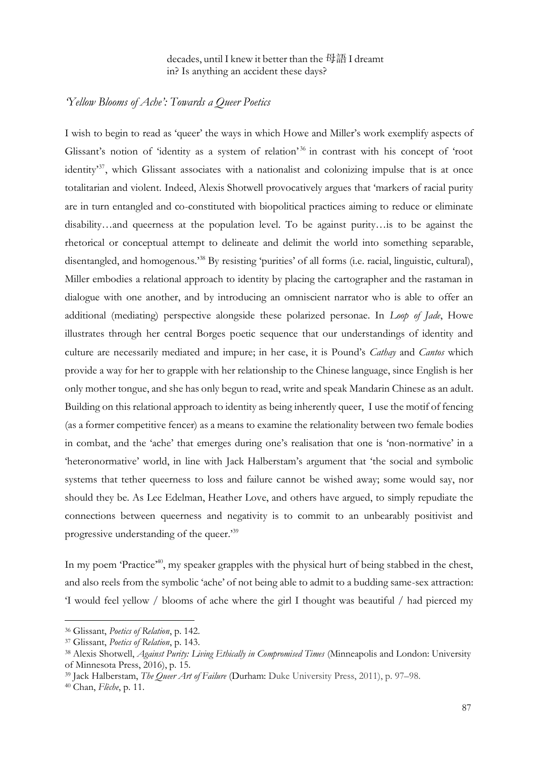decades, until I knew it better than the 母語I dreamt in? Is anything an accident these days?

#### *'Yellow Blooms of Ache': Towards a Queer Poetics*

I wish to begin to read as 'queer' the ways in which Howe and Miller's work exemplify aspects of Glissant's notion of 'identity as a system of relation'<sup>36</sup> in contrast with his concept of 'root identity'<sup>37</sup>, which Glissant associates with a nationalist and colonizing impulse that is at once totalitarian and violent. Indeed, Alexis Shotwell provocatively argues that 'markers of racial purity are in turn entangled and co-constituted with biopolitical practices aiming to reduce or eliminate disability…and queerness at the population level. To be against purity…is to be against the rhetorical or conceptual attempt to delineate and delimit the world into something separable, disentangled, and homogenous.'<sup>38</sup> By resisting 'purities' of all forms (i.e. racial, linguistic, cultural), Miller embodies a relational approach to identity by placing the cartographer and the rastaman in dialogue with one another, and by introducing an omniscient narrator who is able to offer an additional (mediating) perspective alongside these polarized personae. In *Loop of Jade*, Howe illustrates through her central Borges poetic sequence that our understandings of identity and culture are necessarily mediated and impure; in her case, it is Pound's *Cathay* and *Cantos* which provide a way for her to grapple with her relationship to the Chinese language, since English is her only mother tongue, and she has only begun to read, write and speak Mandarin Chinese as an adult. Building on this relational approach to identity as being inherently queer, I use the motif of fencing (as a former competitive fencer) as a means to examine the relationality between two female bodies in combat, and the 'ache' that emerges during one's realisation that one is 'non-normative' in a 'heteronormative' world, in line with Jack Halberstam's argument that 'the social and symbolic systems that tether queerness to loss and failure cannot be wished away; some would say, nor should they be. As Lee Edelman, Heather Love, and others have argued, to simply repudiate the connections between queerness and negativity is to commit to an unbearably positivist and progressive understanding of the queer.'<sup>39</sup>

In my poem 'Practice<sup>,40</sup>, my speaker grapples with the physical hurt of being stabbed in the chest, and also reels from the symbolic 'ache' of not being able to admit to a budding same-sex attraction: 'I would feel yellow / blooms of ache where the girl I thought was beautiful / had pierced my

<sup>36</sup> Glissant, *Poetics of Relation*, p. 142.

<sup>37</sup> Glissant, *Poetics of Relation*, p. 143.

<sup>38</sup> Alexis Shotwell, *Against Purity: Living Ethically in Compromised Times* (Minneapolis and London: University of Minnesota Press, 2016), p. 15.

<sup>39</sup> Jack Halberstam, *The Queer Art of Failure* (Durham: Duke University Press, 2011), p. 97–98.

<sup>40</sup> Chan, *Flèche*, p. 11.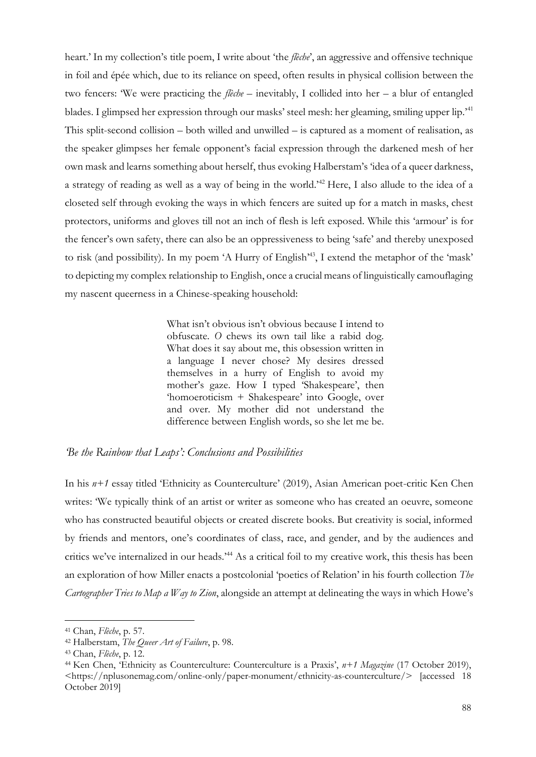heart.' In my collection's title poem, I write about 'the *flèche*', an aggressive and offensive technique in foil and épée which, due to its reliance on speed, often results in physical collision between the two fencers: 'We were practicing the *flèche* – inevitably, I collided into her – a blur of entangled blades. I glimpsed her expression through our masks' steel mesh: her gleaming, smiling upper lip.'<sup>41</sup> This split-second collision – both willed and unwilled – is captured as a moment of realisation, as the speaker glimpses her female opponent's facial expression through the darkened mesh of her own mask and learns something about herself, thus evoking Halberstam's 'idea of a queer darkness, a strategy of reading as well as a way of being in the world.'<sup>42</sup> Here, I also allude to the idea of a closeted self through evoking the ways in which fencers are suited up for a match in masks, chest protectors, uniforms and gloves till not an inch of flesh is left exposed. While this 'armour' is for the fencer's own safety, there can also be an oppressiveness to being 'safe' and thereby unexposed to risk (and possibility). In my poem 'A Hurry of English'<sup>43</sup>, I extend the metaphor of the 'mask' to depicting my complex relationship to English, once a crucial means of linguistically camouflaging my nascent queerness in a Chinese-speaking household:

> What isn't obvious isn't obvious because I intend to obfuscate. *O* chews its own tail like a rabid dog. What does it say about me, this obsession written in a language I never chose? My desires dressed themselves in a hurry of English to avoid my mother's gaze. How I typed 'Shakespeare', then 'homoeroticism + Shakespeare' into Google, over and over. My mother did not understand the difference between English words, so she let me be.

### *'Be the Rainbow that Leaps': Conclusions and Possibilities*

In his *n+1* essay titled 'Ethnicity as Counterculture' (2019), Asian American poet-critic Ken Chen writes: 'We typically think of an artist or writer as someone who has created an oeuvre, someone who has constructed beautiful objects or created discrete books. But creativity is social, informed by friends and mentors, one's coordinates of class, race, and gender, and by the audiences and critics we've internalized in our heads.'<sup>44</sup> As a critical foil to my creative work, this thesis has been an exploration of how Miller enacts a postcolonial 'poetics of Relation' in his fourth collection *The Cartographer Tries to Map a Way to Zion*, alongside an attempt at delineating the ways in which Howe's

<sup>41</sup> Chan, *Flèche*, p. 57.

<sup>42</sup> Halberstam, *The Queer Art of Failure*, p. 98.

<sup>43</sup> Chan, *Flèche*, p. 12.

<sup>44</sup> Ken Chen, 'Ethnicity as Counterculture: Counterculture is a Praxis', *n+1 Magazine* (17 October 2019), <https://nplusonemag.com/online-only/paper-monument/ethnicity-as-counterculture/> [accessed 18 October 2019]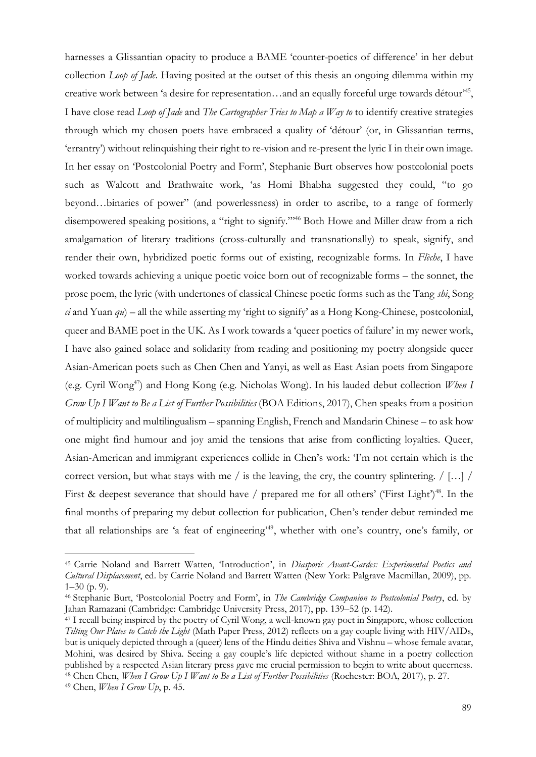harnesses a Glissantian opacity to produce a BAME 'counter-poetics of difference' in her debut collection *Loop of Jade*. Having posited at the outset of this thesis an ongoing dilemma within my creative work between 'a desire for representation...and an equally forceful urge towards détour<sup>145</sup>, I have close read *Loop of Jade* and *The Cartographer Tries to Map a Way to* to identify creative strategies through which my chosen poets have embraced a quality of 'détour' (or, in Glissantian terms, 'errantry') without relinquishing their right to re-vision and re-present the lyric I in their own image. In her essay on 'Postcolonial Poetry and Form', Stephanie Burt observes how postcolonial poets such as Walcott and Brathwaite work, 'as Homi Bhabha suggested they could, "to go beyond…binaries of power" (and powerlessness) in order to ascribe, to a range of formerly disempowered speaking positions, a "right to signify."<sup>46</sup> Both Howe and Miller draw from a rich amalgamation of literary traditions (cross-culturally and transnationally) to speak, signify, and render their own, hybridized poetic forms out of existing, recognizable forms. In *Flèche*, I have worked towards achieving a unique poetic voice born out of recognizable forms – the sonnet, the prose poem, the lyric (with undertones of classical Chinese poetic forms such as the Tang *shi*, Song *ci* and Yuan *qu*) – all the while asserting my 'right to signify' as a Hong Kong-Chinese, postcolonial, queer and BAME poet in the UK. As I work towards a 'queer poetics of failure' in my newer work, I have also gained solace and solidarity from reading and positioning my poetry alongside queer Asian-American poets such as Chen Chen and Yanyi, as well as East Asian poets from Singapore (e.g. Cyril Wong<sup>47</sup>) and Hong Kong (e.g. Nicholas Wong). In his lauded debut collection *When I Grow Up I Want to Be a List of Further Possibilities* (BOA Editions, 2017), Chen speaks from a position of multiplicity and multilingualism – spanning English, French and Mandarin Chinese – to ask how one might find humour and joy amid the tensions that arise from conflicting loyalties. Queer, Asian-American and immigrant experiences collide in Chen's work: 'I'm not certain which is the correct version, but what stays with me / is the leaving, the cry, the country splintering. / […] / First & deepest severance that should have / prepared me for all others' ('First Light')<sup>48</sup>. In the final months of preparing my debut collection for publication, Chen's tender debut reminded me that all relationships are 'a feat of engineering' <sup>49</sup>, whether with one's country, one's family, or

<sup>45</sup> Carrie Noland and Barrett Watten, 'Introduction', in *Diasporic Avant-Gardes: Experimental Poetics and Cultural Displacement*, ed. by Carrie Noland and Barrett Watten (New York: Palgrave Macmillan, 2009), pp.  $1-30$  (p. 9).

<sup>46</sup> Stephanie Burt, 'Postcolonial Poetry and Form', in *The Cambridge Companion to Postcolonial Poetry*, ed. by Jahan Ramazani (Cambridge: Cambridge University Press, 2017), pp. 139–52 (p. 142).

<sup>47</sup> I recall being inspired by the poetry of Cyril Wong, a well-known gay poet in Singapore, whose collection *Tilting Our Plates to Catch the Light* (Math Paper Press, 2012) reflects on a gay couple living with HIV/AIDs, but is uniquely depicted through a (queer) lens of the Hindu deities Shiva and Vishnu – whose female avatar, Mohini, was desired by Shiva. Seeing a gay couple's life depicted without shame in a poetry collection published by a respected Asian literary press gave me crucial permission to begin to write about queerness. <sup>48</sup> Chen Chen, *When I Grow Up I Want to Be a List of Further Possibilities* (Rochester: BOA, 2017), p. 27.

<sup>49</sup> Chen, *When I Grow Up*, p. 45.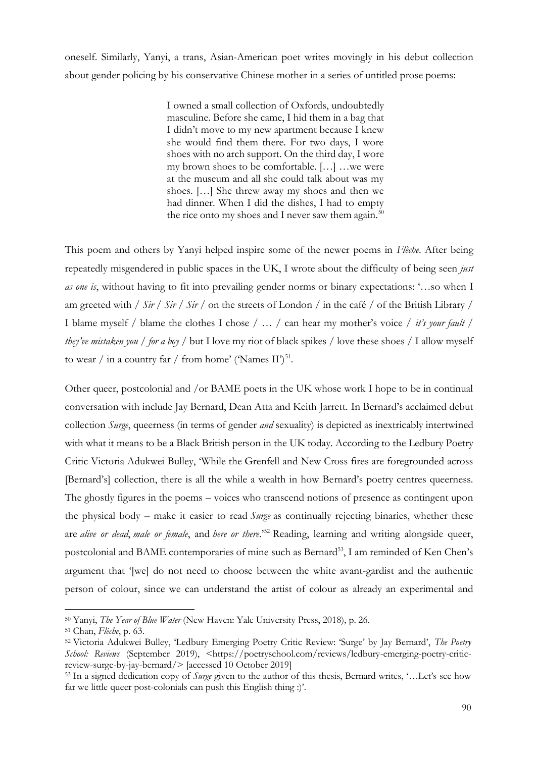oneself. Similarly, Yanyi, a trans, Asian-American poet writes movingly in his debut collection about gender policing by his conservative Chinese mother in a series of untitled prose poems:

> I owned a small collection of Oxfords, undoubtedly masculine. Before she came, I hid them in a bag that I didn't move to my new apartment because I knew she would find them there. For two days, I wore shoes with no arch support. On the third day, I wore my brown shoes to be comfortable. […] …we were at the museum and all she could talk about was my shoes. […] She threw away my shoes and then we had dinner. When I did the dishes, I had to empty the rice onto my shoes and I never saw them again. $50$

This poem and others by Yanyi helped inspire some of the newer poems in *Flèche*. After being repeatedly misgendered in public spaces in the UK, I wrote about the difficulty of being seen *just as one is*, without having to fit into prevailing gender norms or binary expectations: '…so when I am greeted with / *Sir* / *Sir* / *Sir* / on the streets of London / in the café / of the British Library / I blame myself / blame the clothes I chose / … / can hear my mother's voice / *it's your fault* / *they've mistaken you* / *for a boy* / but I love my riot of black spikes / love these shoes / I allow myself to wear / in a country far / from home' ('Names  $II$ ')<sup>51</sup>.

Other queer, postcolonial and /or BAME poets in the UK whose work I hope to be in continual conversation with include Jay Bernard, Dean Atta and Keith Jarrett. In Bernard's acclaimed debut collection *Surge*, queerness (in terms of gender *and* sexuality) is depicted as inextricably intertwined with what it means to be a Black British person in the UK today. According to the Ledbury Poetry Critic Victoria Adukwei Bulley, 'While the Grenfell and New Cross fires are foregrounded across [Bernard's] collection, there is all the while a wealth in how Bernard's poetry centres queerness. The ghostly figures in the poems – voices who transcend notions of presence as contingent upon the physical body – make it easier to read *Surge* as continually rejecting binaries, whether these are *alive or dead*, *male or female*, and *here or there*.' <sup>52</sup> Reading, learning and writing alongside queer, postcolonial and BAME contemporaries of mine such as Bernard<sup>53</sup>, I am reminded of Ken Chen's argument that '[we] do not need to choose between the white avant-gardist and the authentic person of colour, since we can understand the artist of colour as already an experimental and

<sup>50</sup> Yanyi, *The Year of Blue Water* (New Haven: Yale University Press, 2018), p. 26.

<sup>51</sup> Chan, *Flèche*, p. 63.

<sup>52</sup> Victoria Adukwei Bulley, 'Ledbury Emerging Poetry Critic Review: 'Surge' by Jay Bernard', *The Poetry School: Reviews* (September 2019), <https://poetryschool.com/reviews/ledbury-emerging-poetry-criticreview-surge-by-jay-bernard/> [accessed 10 October 2019]

<sup>53</sup> In a signed dedication copy of *Surge* given to the author of this thesis, Bernard writes, '…Let's see how far we little queer post-colonials can push this English thing :)'.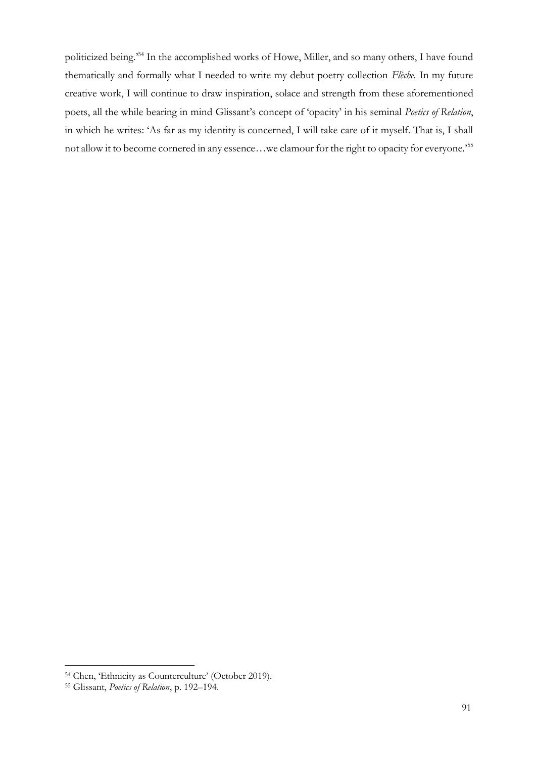politicized being.' <sup>54</sup> In the accomplished works of Howe, Miller, and so many others, I have found thematically and formally what I needed to write my debut poetry collection *Flèche.* In my future creative work, I will continue to draw inspiration, solace and strength from these aforementioned poets, all the while bearing in mind Glissant's concept of 'opacity' in his seminal *Poetics of Relation*, in which he writes: 'As far as my identity is concerned, I will take care of it myself. That is, I shall not allow it to become cornered in any essence…we clamour for the right to opacity for everyone.'<sup>55</sup>

<sup>54</sup> Chen, 'Ethnicity as Counterculture' (October 2019).

<sup>55</sup> Glissant, *Poetics of Relation*, p. 192–194.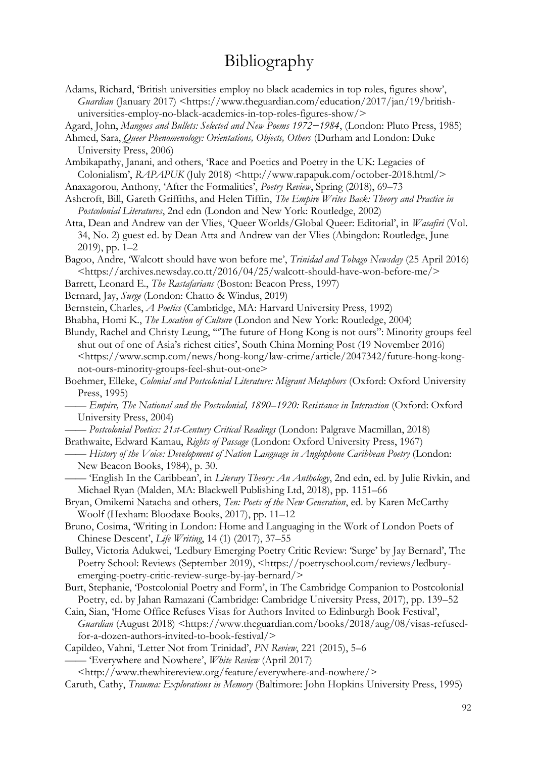# Bibliography

Ambikapathy, Janani, and others, 'Race and Poetics and Poetry in the UK: Legacies of Colonialism', *RAPAPUK* (July 2018) <http://www.rapapuk.com/october-2018.html/>

Anaxagorou, Anthony, 'After the Formalities', *Poetry Review*, Spring (2018), 69–73

- Ashcroft, Bill, Gareth Griffiths, and Helen Tiffin, *The Empire Writes Back: Theory and Practice in Postcolonial Literatures*, 2nd edn (London and New York: Routledge, 2002)
- Atta, Dean and Andrew van der Vlies, 'Queer Worlds/Global Queer: Editorial', in *Wasafiri* (Vol. 34, No. 2) guest ed. by Dean Atta and Andrew van der Vlies (Abingdon: Routledge, June 2019), pp. 1–2

Bagoo, Andre, 'Walcott should have won before me', *Trinidad and Tobago Newsday* (25 April 2016) <https://archives.newsday.co.tt/2016/04/25/walcott-should-have-won-before-me/>

- Barrett, Leonard E., *The Rastafarians* (Boston: Beacon Press, 1997)
- Bernard, Jay, *Surge* (London: Chatto & Windus, 2019)
- Bernstein, Charles, *A Poetics* (Cambridge, MA: Harvard University Press, 1992)

Bhabha, Homi K., *The Location of Culture* (London and New York: Routledge, 2004)

Blundy, Rachel and Christy Leung, '"The future of Hong Kong is not ours": Minority groups feel shut out of one of Asia's richest cities', South China Morning Post (19 November 2016) <https://www.scmp.com/news/hong-kong/law-crime/article/2047342/future-hong-kongnot-ours-minority-groups-feel-shut-out-one>

- Boehmer, Elleke, *Colonial and Postcolonial Literature: Migrant Metaphors* (Oxford: Oxford University Press, 1995)
	- —— *Empire, The National and the Postcolonial, 1890–1920: Resistance in Interaction* (Oxford: Oxford University Press, 2004)
- —— *Postcolonial Poetics: 21st-Century Critical Readings* (London: Palgrave Macmillan, 2018) Brathwaite, Edward Kamau, *Rights of Passage* (London: Oxford University Press, 1967)
- —— *History of the Voice: Development of Nation Language in Anglophone Caribbean Poetry* (London: New Beacon Books, 1984), p. 30.

—— 'English In the Caribbean', in *Literary Theory: An Anthology*, 2nd edn, ed. by Julie Rivkin, and Michael Ryan (Malden, MA: Blackwell Publishing Ltd, 2018), pp. 1151–66

Bryan, Omikemi Natacha and others, *Ten: Poets of the New Generation*, ed. by Karen McCarthy Woolf (Hexham: Bloodaxe Books, 2017), pp. 11–12

Bruno, Cosima, 'Writing in London: Home and Languaging in the Work of London Poets of Chinese Descent', *Life Writing*, 14 (1) (2017), 37–55

Bulley, Victoria Adukwei, 'Ledbury Emerging Poetry Critic Review: 'Surge' by Jay Bernard', The Poetry School: Reviews (September 2019), <https://poetryschool.com/reviews/ledburyemerging-poetry-critic-review-surge-by-jay-bernard/>

Burt, Stephanie, 'Postcolonial Poetry and Form', in The Cambridge Companion to Postcolonial Poetry, ed. by Jahan Ramazani (Cambridge: Cambridge University Press, 2017), pp. 139–52

Cain, Sian, 'Home Office Refuses Visas for Authors Invited to Edinburgh Book Festival', *Guardian* (August 2018) <https://www.theguardian.com/books/2018/aug/08/visas-refusedfor-a-dozen-authors-invited-to-book-festival/>

Capildeo, Vahni, 'Letter Not from Trinidad', *PN Review*, 221 (2015), 5–6 —— 'Everywhere and Nowhere', *White Review* (April 2017)

<http://www.thewhitereview.org/feature/everywhere-and-nowhere/>

Caruth, Cathy, *Trauma: Explorations in Memory* (Baltimore: John Hopkins University Press, 1995)

Adams, Richard, 'British universities employ no black academics in top roles, figures show', *Guardian* (January 2017) <https://www.theguardian.com/education/2017/jan/19/britishuniversities-employ-no-black-academics-in-top-roles-figures-show/>

Agard, John, *Mangoes and Bullets: Selected and New Poems 1972−1984*, (London: Pluto Press, 1985)

Ahmed, Sara, *Queer Phenomenology: Orientations, Objects, Others* (Durham and London: Duke University Press, 2006)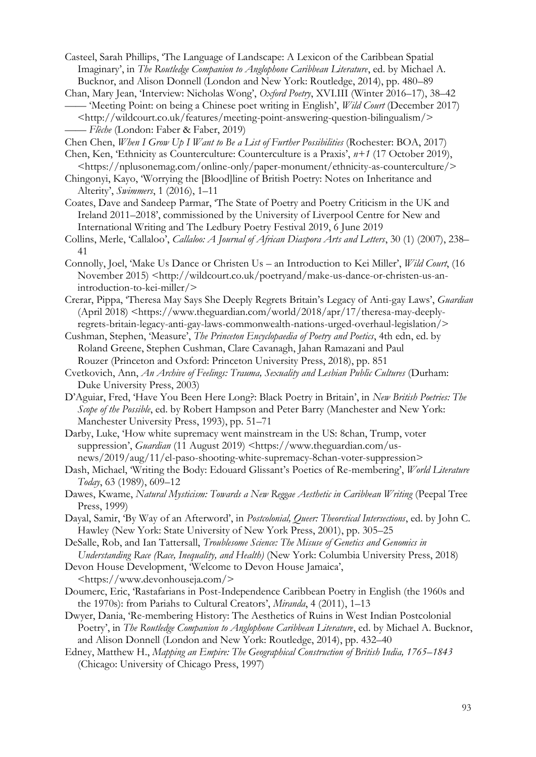Casteel, Sarah Phillips, 'The Language of Landscape: A Lexicon of the Caribbean Spatial Imaginary', in *The Routledge Companion to Anglophone Caribbean Literature*, ed. by Michael A. Bucknor, and Alison Donnell (London and New York: Routledge, 2014), pp. 480–89

Chan, Mary Jean, 'Interview: Nicholas Wong', *Oxford Poetry*, XVI.III (Winter 2016–17), 38–42 —— 'Meeting Point: on being a Chinese poet writing in English', *Wild Court* (December 2017)

<http://wildcourt.co.uk/features/meeting-point-answering-question-bilingualism/> —— *Flèche* (London: Faber & Faber, 2019)

Chen Chen, *When I Grow Up I Want to Be a List of Further Possibilities* (Rochester: BOA, 2017)

- Chen, Ken, 'Ethnicity as Counterculture: Counterculture is a Praxis', *n+1* (17 October 2019), <https://nplusonemag.com/online-only/paper-monument/ethnicity-as-counterculture/>
- Chingonyi, Kayo, 'Worrying the [Blood]line of British Poetry: Notes on Inheritance and Alterity', *Swimmers*, 1 (2016), 1–11
- Coates, Dave and Sandeep Parmar, 'The State of Poetry and Poetry Criticism in the UK and Ireland 2011–2018', commissioned by the University of Liverpool Centre for New and International Writing and The Ledbury Poetry Festival 2019, 6 June 2019
- Collins, Merle, 'Callaloo', *Callaloo: A Journal of African Diaspora Arts and Letters*, 30 (1) (2007), 238– 41
- Connolly, Joel, 'Make Us Dance or Christen Us an Introduction to Kei Miller', *Wild Court*, (16 November 2015) <http://wildcourt.co.uk/poetryand/make-us-dance-or-christen-us-anintroduction-to-kei-miller/>
- Crerar, Pippa, 'Theresa May Says She Deeply Regrets Britain's Legacy of Anti-gay Laws', *Guardian*  $(Apiri]$  2018)  $\langle$ https://www.theguardian.com/world/2018/apr/17/theresa-may-deeplyregrets-britain-legacy-anti-gay-laws-commonwealth-nations-urged-overhaul-legislation/>
- Cushman, Stephen, 'Measure', *The Princeton Encyclopaedia of Poetry and Poetics*, 4th edn, ed. by Roland Greene, Stephen Cushman, Clare Cavanagh, Jahan Ramazani and Paul Rouzer (Princeton and Oxford: Princeton University Press, 2018), pp. 851
- Cvetkovich, Ann, *An Archive of Feelings: Trauma, Sexuality and Lesbian Public Cultures* (Durham: Duke University Press, 2003)
- D'Aguiar, Fred, 'Have You Been Here Long?: Black Poetry in Britain', in *New British Poetries: The Scope of the Possible*, ed. by Robert Hampson and Peter Barry (Manchester and New York: Manchester University Press, 1993), pp. 51–71
- Darby, Luke, 'How white supremacy went mainstream in the US: 8chan, Trump, voter suppression', *Guardian* (11 August 2019) <https://www.theguardian.com/usnews/2019/aug/11/el-paso-shooting-white-supremacy-8chan-voter-suppression>
- Dash, Michael, 'Writing the Body: Edouard Glissant's Poetics of Re-membering', *World Literature Today*, 63 (1989), 609–12
- Dawes, Kwame, *Natural Mysticism: Towards a New Reggae Aesthetic in Caribbean Writing* (Peepal Tree Press, 1999)
- Dayal, Samir, 'By Way of an Afterword', in *Postcolonial, Queer: Theoretical Intersections*, ed. by John C. Hawley (New York: State University of New York Press, 2001), pp. 305–25
- DeSalle, Rob, and Ian Tattersall, *Troublesome Science: The Misuse of Genetics and Genomics in Understanding Race (Race, Inequality, and Health)* (New York: Columbia University Press, 2018)
- Devon House Development, 'Welcome to Devon House Jamaica', <https://www.devonhouseja.com/>
- Doumerc, Eric, 'Rastafarians in Post-Independence Caribbean Poetry in English (the 1960s and the 1970s): from Pariahs to Cultural Creators', *Miranda*, 4 (2011), 1–13
- Dwyer, Dania, 'Re-membering History: The Aesthetics of Ruins in West Indian Postcolonial Poetry', in *The Routledge Companion to Anglophone Caribbean Literature*, ed. by Michael A. Bucknor, and Alison Donnell (London and New York: Routledge, 2014), pp. 432–40
- Edney, Matthew H., *Mapping an Empire: The Geographical Construction of British India, 1765–1843* (Chicago: University of Chicago Press, 1997)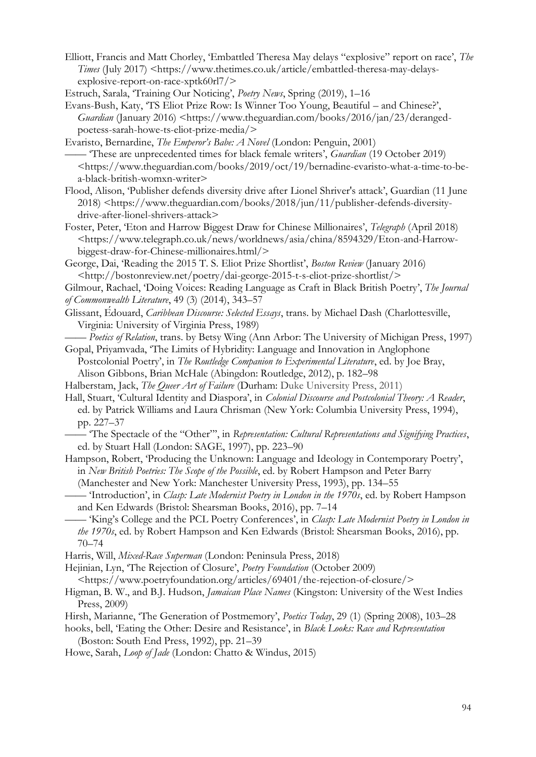- Elliott, Francis and Matt Chorley, 'Embattled Theresa May delays "explosive" report on race', *The Times* (July 2017) <https://www.thetimes.co.uk/article/embattled-theresa-may-delaysexplosive-report-on-race-xptk60rl7/>
- Estruch, Sarala, 'Training Our Noticing', *Poetry News*, Spring (2019), 1–16

Evans-Bush, Katy, 'TS Eliot Prize Row: Is Winner Too Young, Beautiful – and Chinese?', *Guardian* (January 2016) <https://www.theguardian.com/books/2016/jan/23/derangedpoetess-sarah-howe-ts-eliot-prize-media/>

Evaristo, Bernardine, *The Emperor's Babe: A Novel* (London: Penguin, 2001) —— 'These are unprecedented times for black female writers', *Guardian* (19 October 2019) <https://www.theguardian.com/books/2019/oct/19/bernadine-evaristo-what-a-time-to-bea-black-british-womxn-writer>

Flood, Alison, 'Publisher defends diversity drive after Lionel Shriver's attack', Guardian (11 June 2018) <https://www.theguardian.com/books/2018/jun/11/publisher-defends-diversitydrive-after-lionel-shrivers-attack>

Foster, Peter, 'Eton and Harrow Biggest Draw for Chinese Millionaires', *Telegraph* (April 2018) <https://www.telegraph.co.uk/news/worldnews/asia/china/8594329/Eton-and-Harrowbiggest-draw-for-Chinese-millionaires.html/>

George, Dai, 'Reading the 2015 T. S. Eliot Prize Shortlist', *Boston Review* (January 2016) <http://bostonreview.net/poetry/dai-george-2015-t-s-eliot-prize-shortlist/>

Gilmour, Rachael, 'Doing Voices: Reading Language as Craft in Black British Poetry', *The Journal of Commonwealth Literature*, 49 (3) (2014), 343–57

- Glissant, Édouard, *Caribbean Discourse: Selected Essays*, trans. by Michael Dash (Charlottesville, Virginia: University of Virginia Press, 1989)
- —— *Poetics of Relation*, trans. by Betsy Wing (Ann Arbor: The University of Michigan Press, 1997) Gopal, Priyamvada, 'The Limits of Hybridity: Language and Innovation in Anglophone
- Postcolonial Poetry', in *The Routledge Companion to Experimental Literature*, ed. by Joe Bray, Alison Gibbons, Brian McHale (Abingdon: Routledge, 2012), p. 182–98
- Halberstam, Jack, *The Queer Art of Failure* (Durham: Duke University Press, 2011)

Hall, Stuart, 'Cultural Identity and Diaspora', in *Colonial Discourse and Postcolonial Theory: A Reader*, ed. by Patrick Williams and Laura Chrisman (New York: Columbia University Press, 1994), pp. 227–37

—— 'The Spectacle of the "Other"', in *Representation: Cultural Representations and Signifying Practices*, ed. by Stuart Hall (London: SAGE, 1997), pp. 223–90

Hampson, Robert, 'Producing the Unknown: Language and Ideology in Contemporary Poetry', in *New British Poetries: The Scope of the Possible*, ed. by Robert Hampson and Peter Barry

(Manchester and New York: Manchester University Press, 1993), pp. 134–55

—— 'Introduction', in *Clasp: Late Modernist Poetry in London in the 1970s*, ed. by Robert Hampson and Ken Edwards (Bristol: Shearsman Books, 2016), pp. 7–14

—— 'King's College and the PCL Poetry Conferences', in *Clasp: Late Modernist Poetry in London in the 1970s*, ed. by Robert Hampson and Ken Edwards (Bristol: Shearsman Books, 2016), pp. 70–74

Harris, Will, *Mixed-Race Superman* (London: Peninsula Press, 2018)

Hejinian, Lyn, 'The Rejection of Closure', *Poetry Foundation* (October 2009) <https://www.poetryfoundation.org/articles/69401/the-rejection-of-closure/>

- Higman, B. W., and B.J. Hudson, *Jamaican Place Names* (Kingston: University of the West Indies Press, 2009)
- Hirsh, Marianne, 'The Generation of Postmemory', *Poetics Today*, 29 (1) (Spring 2008), 103–28

hooks, bell, 'Eating the Other: Desire and Resistance', in *Black Looks: Race and Representation*  (Boston: South End Press, 1992), pp. 21–39

Howe, Sarah, *Loop of Jade* (London: Chatto & Windus, 2015)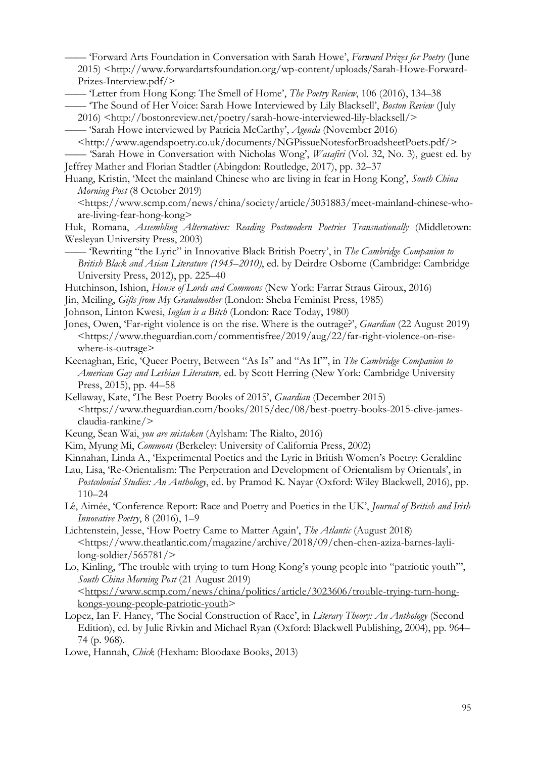—— 'Forward Arts Foundation in Conversation with Sarah Howe', *Forward Prizes for Poetry* (June 2015) <http://www.forwardartsfoundation.org/wp-content/uploads/Sarah-Howe-Forward-Prizes-Interview.pdf/>

—— 'Letter from Hong Kong: The Smell of Home', *The Poetry Review*, 106 (2016), 134–38

- —— 'The Sound of Her Voice: Sarah Howe Interviewed by Lily Blacksell', *Boston Review* (July
- 2016) <http://bostonreview.net/poetry/sarah-howe-interviewed-lily-blacksell/>
- —— 'Sarah Howe interviewed by Patricia McCarthy', *Agenda* (November 2016)

<http://www.agendapoetry.co.uk/documents/NGPissueNotesforBroadsheetPoets.pdf/> —— 'Sarah Howe in Conversation with Nicholas Wong', *Wasafiri* (Vol. 32, No. 3), guest ed. by

- Jeffrey Mather and Florian Stadtler (Abingdon: Routledge, 2017), pp. 32–37
- Huang, Kristin, 'Meet the mainland Chinese who are living in fear in Hong Kong', *South China Morning Post* (8 October 2019)

[<https://www.scmp.com/news/china/society/article/3031883/meet-mainland-chinese-who](https://www.scmp.com/news/china/society/article/3031883/meet-mainland-chinese-who-are-living-fear-hong-kong)[are-living-fear-hong-kong>](https://www.scmp.com/news/china/society/article/3031883/meet-mainland-chinese-who-are-living-fear-hong-kong)

Huk, Romana, *Assembling Alternatives: Reading Postmodern Poetries Transnationally* (Middletown: Wesleyan University Press, 2003)

—— 'Rewriting "the Lyric" in Innovative Black British Poetry', in *The Cambridge Companion to British Black and Asian Literature (1945–2010)*, ed. by Deirdre Osborne (Cambridge: Cambridge University Press, 2012), pp. 225–40

Hutchinson, Ishion, *House of Lords and Commons* (New York: Farrar Straus Giroux, 2016)

- Jin, Meiling, *Gifts from My Grandmother* (London: Sheba Feminist Press, 1985)
- Johnson, Linton Kwesi, *Inglan is a Bitch* (London: Race Today, 1980)

Jones, Owen, 'Far-right violence is on the rise. Where is the outrage?', *Guardian* (22 August 2019) <https://www.theguardian.com/commentisfree/2019/aug/22/far-right-violence-on-risewhere-is-outrage>

Keenaghan, Eric, 'Queer Poetry, Between "As Is" and "As If"', in *The Cambridge Companion to American Gay and Lesbian Literature,* ed. by Scott Herring (New York: Cambridge University Press, 2015), pp. 44–58

Kellaway, Kate, 'The Best Poetry Books of 2015', *Guardian* (December 2015) <https://www.theguardian.com/books/2015/dec/08/best-poetry-books-2015-clive-jamesclaudia-rankine/>

Keung, Sean Wai, *you are mistaken* (Aylsham: The Rialto, 2016)

Kim, Myung Mi, *Commons* (Berkeley: University of California Press, 2002)

Kinnahan, Linda A., 'Experimental Poetics and the Lyric in British Women's Poetry: Geraldine

Lau, Lisa, 'Re-Orientalism: The Perpetration and Development of Orientalism by Orientals', in *Postcolonial Studies: An Anthology*, ed. by Pramod K. Nayar (Oxford: Wiley Blackwell, 2016), pp. 110–24

Lê, Aimée, 'Conference Report: Race and Poetry and Poetics in the UK', *Journal of British and Irish Innovative Poetry*, 8 (2016), 1–9

- Lichtenstein, Jesse, 'How Poetry Came to Matter Again', *The Atlantic* (August 2018) <https://www.theatlantic.com/magazine/archive/2018/09/chen-chen-aziza-barnes-laylilong-soldier/565781/>
- Lo, Kinling, 'The trouble with trying to turn Hong Kong's young people into "patriotic youth"', *South China Morning Post* (21 August 2019) [<https://www.scmp.com/news/china/politics/article/3023606/trouble-trying-turn-hong-](about:blank)

[kongs-young-people-patriotic-youth>](about:blank)

Lopez, Ian F. Haney, 'The Social Construction of Race', in *Literary Theory: An Anthology* (Second Edition), ed. by Julie Rivkin and Michael Ryan (Oxford: Blackwell Publishing, 2004), pp. 964– 74 (p. 968).

Lowe, Hannah, *Chick* (Hexham: Bloodaxe Books, 2013)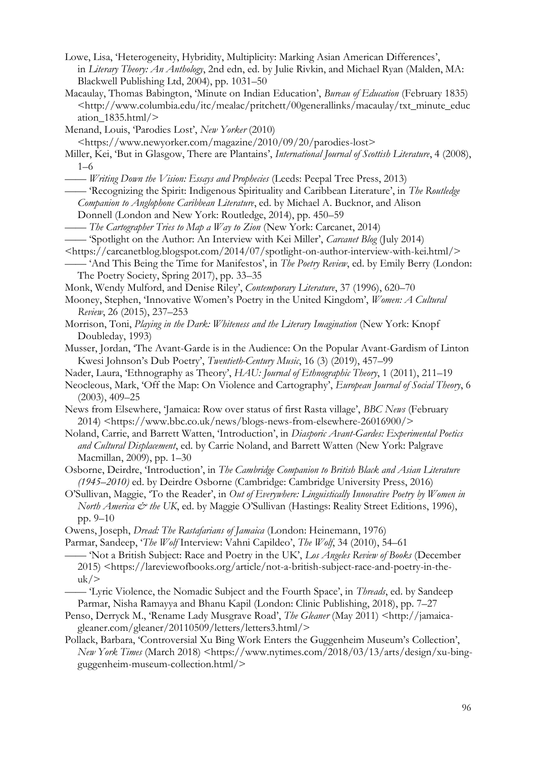- Lowe, Lisa, 'Heterogeneity, Hybridity, Multiplicity: Marking Asian American Differences', in *Literary Theory: An Anthology*, 2nd edn, ed. by Julie Rivkin, and Michael Ryan (Malden, MA: Blackwell Publishing Ltd, 2004), pp. 1031–50
- Macaulay, Thomas Babington, 'Minute on Indian Education', *Bureau of Education* (February 1835)  $\langle$ http://www.columbia.edu/itc/mealac/pritchett/00generallinks/macaulay/txt\_minute\_educ ation  $1835.html/$
- Menand, Louis, 'Parodies Lost', *New Yorker* (2010)
- <https://www.newyorker.com/magazine/2010/09/20/parodies-lost>
- Miller, Kei, 'But in Glasgow, There are Plantains', *International Journal of Scottish Literature*, 4 (2008), 1–6
- —— *Writing Down the Vision: Essays and Prophecies* (Leeds: Peepal Tree Press, 2013)
- —— 'Recognizing the Spirit: Indigenous Spirituality and Caribbean Literature', in *The Routledge Companion to Anglophone Caribbean Literature*, ed. by Michael A. Bucknor, and Alison Donnell (London and New York: Routledge, 2014), pp. 450–59
- —— *The Cartographer Tries to Map a Way to Zion* (New York: Carcanet, 2014)
- —— 'Spotlight on the Author: An Interview with Kei Miller', *Carcanet Blog* (July 2014)
- $\langle$ https://carcanetblog.blogspot.com/2014/07/spotlight-on-author-interview-with-kei.html/ $>$
- —— 'And This Being the Time for Manifestos', in *The Poetry Review*, ed. by Emily Berry (London: The Poetry Society, Spring 2017), pp. 33–35
- Monk, Wendy Mulford, and Denise Riley', *Contemporary Literature*, 37 (1996), 620–70
- Mooney, Stephen, 'Innovative Women's Poetry in the United Kingdom', *Women: A Cultural Review*, 26 (2015), 237–253
- Morrison, Toni, *Playing in the Dark: Whiteness and the Literary Imagination* (New York: Knopf Doubleday, 1993)
- Musser, Jordan, 'The Avant-Garde is in the Audience: On the Popular Avant-Gardism of Linton Kwesi Johnson's Dub Poetry', *Twentieth-Century Music*, 16 (3) (2019), 457–99
- Nader, Laura, 'Ethnography as Theory', *HAU: Journal of Ethnographic Theory*, 1 (2011), 211–19
- Neocleous, Mark, 'Off the Map: On Violence and Cartography', *European Journal of Social Theory*, 6 (2003), 409–25
- News from Elsewhere, 'Jamaica: Row over status of first Rasta village', *BBC News* (February 2014) <https://www.bbc.co.uk/news/blogs-news-from-elsewhere-26016900/>
- Noland, Carrie, and Barrett Watten, 'Introduction', in *Diasporic Avant-Gardes: Experimental Poetics and Cultural Displacement*, ed. by Carrie Noland, and Barrett Watten (New York: Palgrave Macmillan, 2009), pp. 1–30
- Osborne, Deirdre, 'Introduction', in *The Cambridge Companion to British Black and Asian Literature (1945–2010)* ed. by Deirdre Osborne (Cambridge: Cambridge University Press, 2016)
- O'Sullivan, Maggie, 'To the Reader', in *Out of Everywhere: Linguistically Innovative Poetry by Women in North America & the UK*, ed. by Maggie O'Sullivan (Hastings: Reality Street Editions, 1996), pp. 9–10
- Owens, Joseph, *Dread: The Rastafarians of Jamaica* (London: Heinemann, 1976)
- Parmar, Sandeep, '*The Wolf* Interview: Vahni Capildeo', *The Wolf*, 34 (2010), 54–61
- —— 'Not a British Subject: Race and Poetry in the UK', *Los Angeles Review of Books* (December 2015) <https://lareviewofbooks.org/article/not-a-british-subject-race-and-poetry-in-the $uk$ />
- —— 'Lyric Violence, the Nomadic Subject and the Fourth Space', in *Threads*, ed. by Sandeep Parmar, Nisha Ramayya and Bhanu Kapil (London: Clinic Publishing, 2018), pp. 7–27
- Penso, Derryck M., 'Rename Lady Musgrave Road', *The Gleaner* (May 2011) <http://jamaicagleaner.com/gleaner/20110509/letters/letters3.html/>
- Pollack, Barbara, 'Controversial Xu Bing Work Enters the Guggenheim Museum's Collection', *New York Times* (March 2018) <https://www.nytimes.com/2018/03/13/arts/design/xu-bingguggenheim-museum-collection.html/>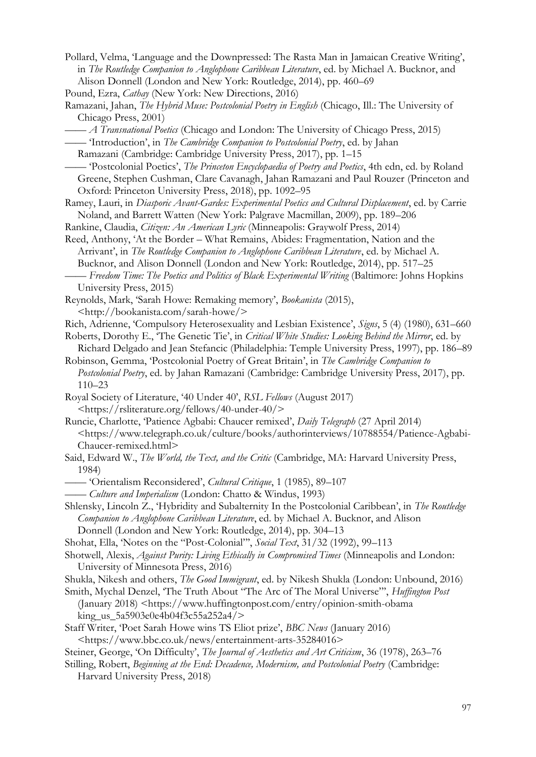- Pollard, Velma, 'Language and the Downpressed: The Rasta Man in Jamaican Creative Writing', in *The Routledge Companion to Anglophone Caribbean Literature*, ed. by Michael A. Bucknor, and Alison Donnell (London and New York: Routledge, 2014), pp. 460–69
- Pound, Ezra, *Cathay* (New York: New Directions, 2016)
- Ramazani, Jahan, *The Hybrid Muse: Postcolonial Poetry in English* (Chicago, Ill.: The University of Chicago Press, 2001)
	- —— *A Transnational Poetics* (Chicago and London: The University of Chicago Press, 2015)
- —— 'Introduction', in *The Cambridge Companion to Postcolonial Poetry*, ed. by Jahan
- Ramazani (Cambridge: Cambridge University Press, 2017), pp. 1–15
- —— 'Postcolonial Poetics', *The Princeton Encyclopaedia of Poetry and Poetics*, 4th edn, ed. by Roland Greene, Stephen Cushman, Clare Cavanagh, Jahan Ramazani and Paul Rouzer (Princeton and Oxford: Princeton University Press, 2018), pp. 1092–95
- Ramey, Lauri, in *Diasporic Avant-Gardes: Experimental Poetics and Cultural Displacement*, ed. by Carrie Noland, and Barrett Watten (New York: Palgrave Macmillan, 2009), pp. 189–206
- Rankine, Claudia, *Citizen: An American Lyric* (Minneapolis: Graywolf Press, 2014)
- Reed, Anthony, 'At the Border What Remains, Abides: Fragmentation, Nation and the Arrivant', in *The Routledge Companion to Anglophone Caribbean Literature*, ed. by Michael A. Bucknor, and Alison Donnell (London and New York: Routledge, 2014), pp. 517–25 —— *Freedom Time: The Poetics and Politics of Black Experimental Writing* (Baltimore: Johns Hopkins
- University Press, 2015) Reynolds, Mark, 'Sarah Howe: Remaking memory', *Bookanista* (2015), <http://bookanista.com/sarah-howe/>
- Rich, Adrienne, 'Compulsory Heterosexuality and Lesbian Existence', *Signs*, 5 (4) (1980), 631–660
- Roberts, Dorothy E., 'The Genetic Tie', in *Critical White Studies: Looking Behind the Mirror*, ed. by Richard Delgado and Jean Stefancic (Philadelphia: Temple University Press, 1997), pp. 186–89
- Robinson, Gemma, 'Postcolonial Poetry of Great Britain', in *The Cambridge Companion to Postcolonial Poetry*, ed. by Jahan Ramazani (Cambridge: Cambridge University Press, 2017), pp. 110–23
- Royal Society of Literature, '40 Under 40', *RSL Fellows* (August 2017) [<https://rsliterature.org/fellows/40-under-40/>](https://rsliterature.org/fellows/40-under-40/)
- Runcie, Charlotte, 'Patience Agbabi: Chaucer remixed', *Daily Telegraph* (27 April 2014) <https://www.telegraph.co.uk/culture/books/authorinterviews/10788554/Patience-Agbabi-Chaucer-remixed.html>
- Said, Edward W., *The World, the Text, and the Critic* (Cambridge, MA: Harvard University Press, 1984)
- —— 'Orientalism Reconsidered', *Cultural Critique*, 1 (1985), 89–107
- —— *Culture and Imperialism* (London: Chatto & Windus, 1993)
- Shlensky, Lincoln Z., 'Hybridity and Subalternity In the Postcolonial Caribbean', in *The Routledge Companion to Anglophone Caribbean Literature*, ed. by Michael A. Bucknor, and Alison Donnell (London and New York: Routledge, 2014), pp. 304–13
- Shohat, Ella, 'Notes on the "Post-Colonial"', *Social Text*, 31/32 (1992), 99–113
- Shotwell, Alexis, *Against Purity: Living Ethically in Compromised Times* (Minneapolis and London: University of Minnesota Press, 2016)
- Shukla, Nikesh and others, *The Good Immigrant*, ed. by Nikesh Shukla (London: Unbound, 2016)
- Smith, Mychal Denzel, 'The Truth About "The Arc of The Moral Universe"', *Huffington Post* (January 2018) <https://www.huffingtonpost.com/entry/opinion-smith-obama king us 5a5903e0e4b04f3c55a252a4/>
- Staff Writer, 'Poet Sarah Howe wins TS Eliot prize', *BBC News* (January 2016) <https://www.bbc.co.uk/news/entertainment-arts-35284016>
- Steiner, George, 'On Difficulty', *The Journal of Aesthetics and Art Criticism*, 36 (1978), 263–76
- Stilling, Robert, *Beginning at the End: Decadence, Modernism, and Postcolonial Poetry* (Cambridge: Harvard University Press, 2018)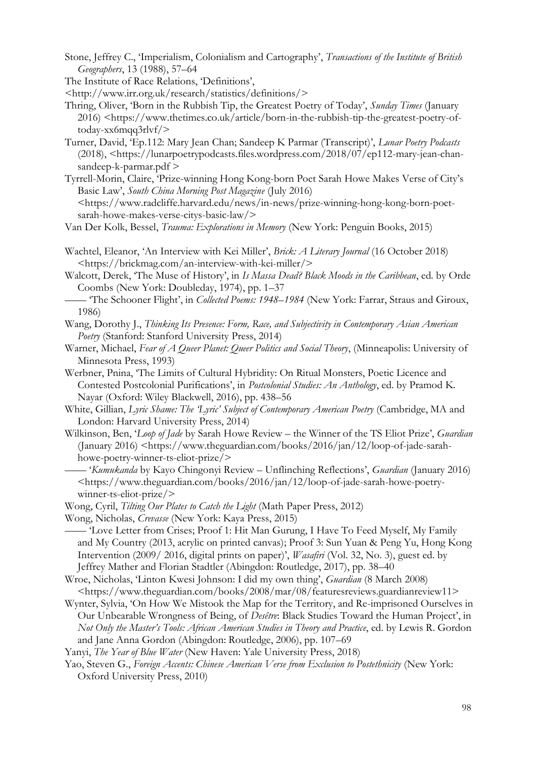- Stone, Jeffrey C., 'Imperialism, Colonialism and Cartography', *Transactions of the Institute of British Geographers*, 13 (1988), 57–64
- The Institute of Race Relations, 'Definitions',
- [<http://www.irr.org.uk/research/statistics/definitions/>](about:blank)
- Thring, Oliver, 'Born in the Rubbish Tip, the Greatest Poetry of Today', *Sunday Times* (January 2016) <https://www.thetimes.co.uk/article/born-in-the-rubbish-tip-the-greatest-poetry-oftoday-xx6mqq3rlvf/>
- Turner, David, 'Ep.112: Mary Jean Chan; Sandeep K Parmar (Transcript)', *Lunar Poetry Podcasts*  (2018), <https://lunarpoetrypodcasts.files.wordpress.com/2018/07/ep112-mary-jean-chansandeep-k-parmar.pdf >
- Tyrrell-Morin, Claire, 'Prize-winning Hong Kong-born Poet Sarah Howe Makes Verse of City's Basic Law', *South China Morning Post Magazine* (July 2016)

<https://www.radcliffe.harvard.edu/news/in-news/prize-winning-hong-kong-born-poetsarah-howe-makes-verse-citys-basic-law/>

Van Der Kolk, Bessel, *Trauma: Explorations in Memory* (New York: Penguin Books, 2015)

Wachtel, Eleanor, 'An Interview with Kei Miller', *Brick: A Literary Journal* (16 October 2018) <https://brickmag.com/an-interview-with-kei-miller/>

Walcott, Derek, 'The Muse of History', in *Is Massa Dead? Black Moods in the Caribbean*, ed. by Orde Coombs (New York: Doubleday, 1974), pp. 1–37

—— 'The Schooner Flight', in *Collected Poems: 1948–1984* (New York: Farrar, Straus and Giroux, 1986)

Wang, Dorothy J., *Thinking Its Presence: Form, Race, and Subjectivity in Contemporary Asian American Poetry* (Stanford: Stanford University Press, 2014)

- Warner, Michael, *Fear of A Queer Planet: Queer Politics and Social Theory*, (Minneapolis: University of Minnesota Press, 1993)
- Werbner, Pnina, 'The Limits of Cultural Hybridity: On Ritual Monsters, Poetic Licence and Contested Postcolonial Purifications', in *Postcolonial Studies: An Anthology*, ed. by Pramod K. Nayar (Oxford: Wiley Blackwell, 2016), pp. 438–56
- White, Gillian, *Lyric Shame: The 'Lyric' Subject of Contemporary American Poetry* (Cambridge, MA and London: Harvard University Press, 2014)
- Wilkinson, Ben, '*Loop of Jade* by Sarah Howe Review the Winner of the TS Eliot Prize', *Guardian* (January 2016) <https://www.theguardian.com/books/2016/jan/12/loop-of-jade-sarahhowe-poetry-winner-ts-eliot-prize/>
	- —— '*Kumukanda* by Kayo Chingonyi Review Unflinching Reflections', *Guardian* (January 2016) <https://www.theguardian.com/books/2016/jan/12/loop-of-jade-sarah-howe-poetrywinner-ts-eliot-prize/>
- Wong, Cyril, *Tilting Our Plates to Catch the Light* (Math Paper Press, 2012)
- Wong, Nicholas, *Crevasse* (New York: Kaya Press, 2015)

—— 'Love Letter from Crises; Proof 1: Hit Man Gurung, I Have To Feed Myself, My Family and My Country (2013, acrylic on printed canvas); Proof 3: Sun Yuan & Peng Yu, Hong Kong Intervention (2009/ 2016, digital prints on paper)', *Wasafiri* (Vol. 32, No. 3), guest ed. by Jeffrey Mather and Florian Stadtler (Abingdon: Routledge, 2017), pp. 38–40

- Wroe, Nicholas, 'Linton Kwesi Johnson: I did my own thing', *Guardian* (8 March 2008) <https://www.theguardian.com/books/2008/mar/08/featuresreviews.guardianreview11>
- Wynter, Sylvia, 'On How We Mistook the Map for the Territory, and Re-imprisoned Ourselves in Our Unbearable Wrongness of Being, of *Desêtre*: Black Studies Toward the Human Project', in *Not Only the Master's Tools: African American Studies in Theory and Practice*, ed. by Lewis R. Gordon and Jane Anna Gordon (Abingdon: Routledge, 2006), pp. 107–69
- Yanyi, *The Year of Blue Water* (New Haven: Yale University Press, 2018)
- Yao, Steven G., *Foreign Accents: Chinese American Verse from Exclusion to Postethnicity* (New York: Oxford University Press, 2010)